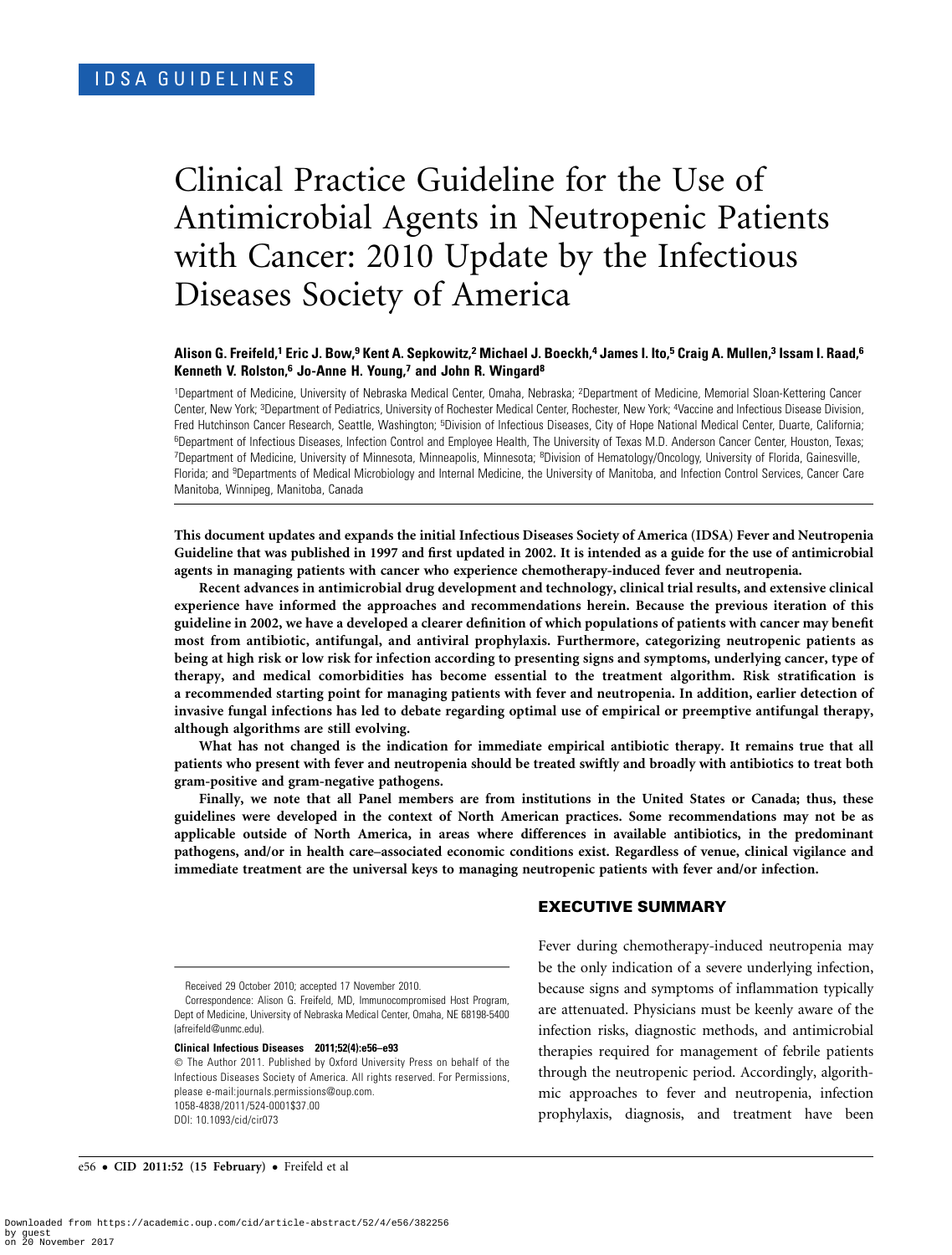# Clinical Practice Guideline for the Use of Antimicrobial Agents in Neutropenic Patients with Cancer: 2010 Update by the Infectious Diseases Society of America

#### Alison G. Freifeld,<sup>1</sup> Eric J. Bow,<sup>9</sup> Kent A. Sepkowitz,<sup>2</sup> Michael J. Boeckh,<sup>4</sup> James I. Ito,<sup>5</sup> Craig A. Mullen,<sup>3</sup> Issam I. Raad,<sup>6</sup> Kenneth V. Rolston,<sup>6</sup> Jo-Anne H. Young,<sup>7</sup> and John R. Wingard<sup>8</sup>

<sup>1</sup>Department of Medicine, University of Nebraska Medical Center, Omaha, Nebraska; <sup>2</sup>Department of Medicine, Memorial Sloan-Kettering Cancer Center, New York; <sup>3</sup>Department of Pediatrics, University of Rochester Medical Center, Rochester, New York; <sup>4</sup>Vaccine and Infectious Disease Division, Fred Hutchinson Cancer Research, Seattle, Washington; <sup>5</sup>Division of Infectious Diseases, City of Hope National Medical Center, Duarte, California; 6 Department of Infectious Diseases, Infection Control and Employee Health, The University of Texas M.D. Anderson Cancer Center, Houston, Texas; <sup>7</sup>Department of Medicine, University of Minnesota, Minneapolis, Minnesota; <sup>8</sup>Division of Hematology/Oncology, University of Florida, Gainesville, Florida; and <sup>9</sup>Departments of Medical Microbiology and Internal Medicine, the University of Manitoba, and Infection Control Services, Cancer Care Manitoba, Winnipeg, Manitoba, Canada

This document updates and expands the initial Infectious Diseases Society of America (IDSA) Fever and Neutropenia Guideline that was published in 1997 and first updated in 2002. It is intended as a guide for the use of antimicrobial agents in managing patients with cancer who experience chemotherapy-induced fever and neutropenia.

Recent advances in antimicrobial drug development and technology, clinical trial results, and extensive clinical experience have informed the approaches and recommendations herein. Because the previous iteration of this guideline in 2002, we have a developed a clearer definition of which populations of patients with cancer may benefit most from antibiotic, antifungal, and antiviral prophylaxis. Furthermore, categorizing neutropenic patients as being at high risk or low risk for infection according to presenting signs and symptoms, underlying cancer, type of therapy, and medical comorbidities has become essential to the treatment algorithm. Risk stratification is a recommended starting point for managing patients with fever and neutropenia. In addition, earlier detection of invasive fungal infections has led to debate regarding optimal use of empirical or preemptive antifungal therapy, although algorithms are still evolving.

What has not changed is the indication for immediate empirical antibiotic therapy. It remains true that all patients who present with fever and neutropenia should be treated swiftly and broadly with antibiotics to treat both gram-positive and gram-negative pathogens.

Finally, we note that all Panel members are from institutions in the United States or Canada; thus, these guidelines were developed in the context of North American practices. Some recommendations may not be as applicable outside of North America, in areas where differences in available antibiotics, in the predominant pathogens, and/or in health care–associated economic conditions exist. Regardless of venue, clinical vigilance and immediate treatment are the universal keys to managing neutropenic patients with fever and/or infection.

#### EXECUTIVE SUMMARY

Correspondence: Alison G. Freifeld, MD, Immunocompromised Host Program, Dept of Medicine, University of Nebraska Medical Center, Omaha, NE 68198-5400 (afreifeld@unmc.edu).

Clinical Infectious Diseases 2011;52(4):e56–e93

 The Author 2011. Published by Oxford University Press on behalf of the Infectious Diseases Society of America. All rights reserved. For Permissions, please e-mail:journals.permissions@oup.com. 1058-4838/2011/524-0001\$37.00 DOI: 10.1093/cid/cir073

Fever during chemotherapy-induced neutropenia may be the only indication of a severe underlying infection, because signs and symptoms of inflammation typically are attenuated. Physicians must be keenly aware of the infection risks, diagnostic methods, and antimicrobial therapies required for management of febrile patients through the neutropenic period. Accordingly, algorithmic approaches to fever and neutropenia, infection prophylaxis, diagnosis, and treatment have been

Received 29 October 2010; accepted 17 November 2010.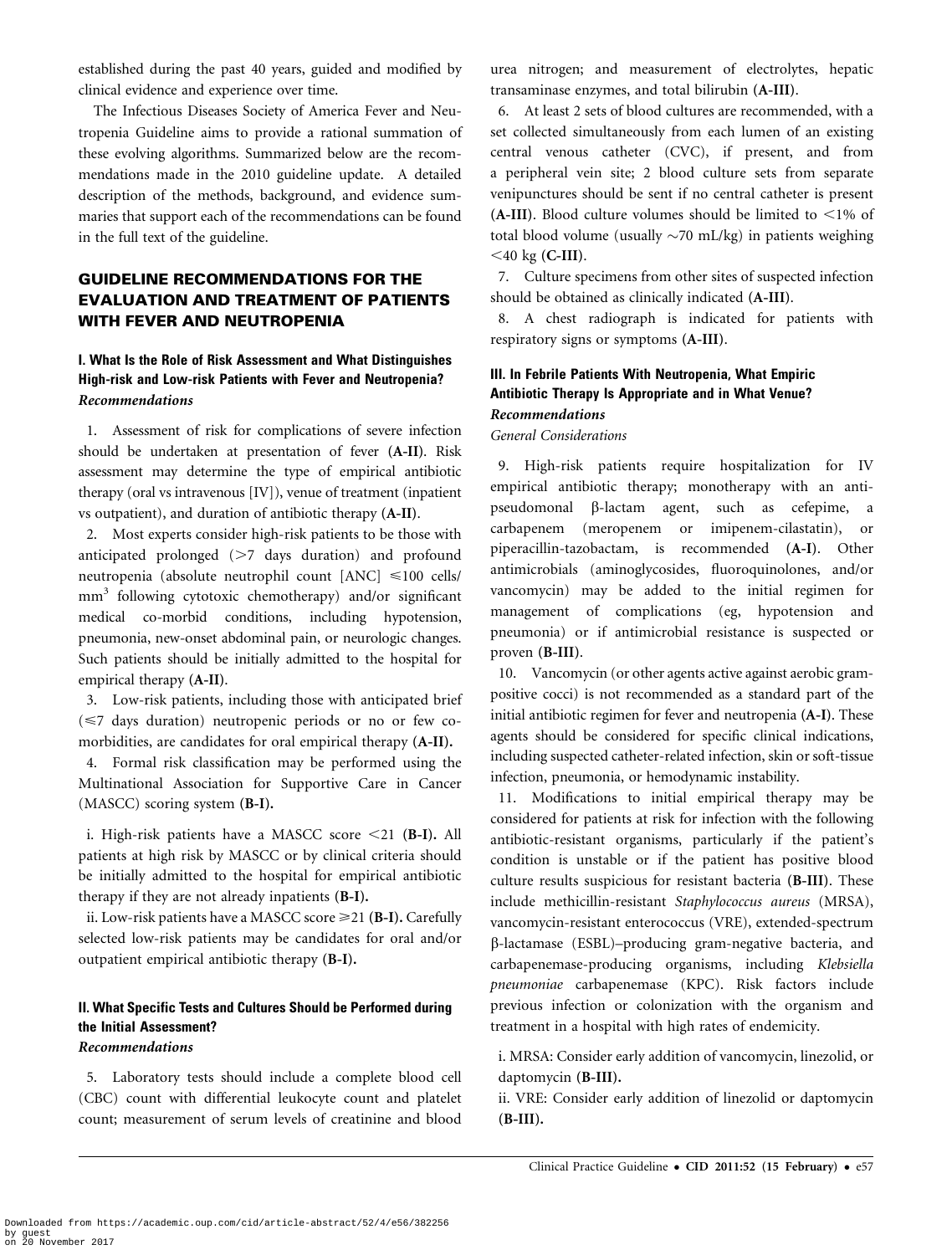established during the past 40 years, guided and modified by clinical evidence and experience over time.

The Infectious Diseases Society of America Fever and Neutropenia Guideline aims to provide a rational summation of these evolving algorithms. Summarized below are the recommendations made in the 2010 guideline update. A detailed description of the methods, background, and evidence summaries that support each of the recommendations can be found in the full text of the guideline.

## GUIDELINE RECOMMENDATIONS FOR THE EVALUATION AND TREATMENT OF PATIENTS WITH FEVER AND NEUTROPENIA

## I. What Is the Role of Risk Assessment and What Distinguishes High-risk and Low-risk Patients with Fever and Neutropenia? Recommendations

1. Assessment of risk for complications of severe infection should be undertaken at presentation of fever (A-II). Risk assessment may determine the type of empirical antibiotic therapy (oral vs intravenous [IV]), venue of treatment (inpatient vs outpatient), and duration of antibiotic therapy (A-II).

2. Most experts consider high-risk patients to be those with anticipated prolonged  $(>7$  days duration) and profound neutropenia (absolute neutrophil count [ANC] <100 cells/ mm<sup>3</sup> following cytotoxic chemotherapy) and/or significant medical co-morbid conditions, including hypotension, pneumonia, new-onset abdominal pain, or neurologic changes. Such patients should be initially admitted to the hospital for empirical therapy (A-II).

3. Low-risk patients, including those with anticipated brief (<7 days duration) neutropenic periods or no or few comorbidities, are candidates for oral empirical therapy (A-II).

4. Formal risk classification may be performed using the Multinational Association for Supportive Care in Cancer (MASCC) scoring system (B-I).

i. High-risk patients have a MASCC score  $\leq$  21 (B-I). All patients at high risk by MASCC or by clinical criteria should be initially admitted to the hospital for empirical antibiotic therapy if they are not already inpatients (B-I).

ii. Low-risk patients have a MASCC score  $\geq 21$  (B-I). Carefully selected low-risk patients may be candidates for oral and/or outpatient empirical antibiotic therapy (B-I).

# II. What Specific Tests and Cultures Should be Performed during the Initial Assessment?

## Recommendations

5. Laboratory tests should include a complete blood cell (CBC) count with differential leukocyte count and platelet count; measurement of serum levels of creatinine and blood

urea nitrogen; and measurement of electrolytes, hepatic transaminase enzymes, and total bilirubin (A-III).

6. At least 2 sets of blood cultures are recommended, with a set collected simultaneously from each lumen of an existing central venous catheter (CVC), if present, and from a peripheral vein site; 2 blood culture sets from separate venipunctures should be sent if no central catheter is present (A-III). Blood culture volumes should be limited to  $\langle 1\%$  of total blood volume (usually  $\sim$ 70 mL/kg) in patients weighing  $<$ 40 kg (C-III).

7. Culture specimens from other sites of suspected infection should be obtained as clinically indicated (A-III).

8. A chest radiograph is indicated for patients with respiratory signs or symptoms (A-III).

## III. In Febrile Patients With Neutropenia, What Empiric Antibiotic Therapy Is Appropriate and in What Venue? Recommendations

General Considerations

9. High-risk patients require hospitalization for IV empirical antibiotic therapy; monotherapy with an antipseudomonal b-lactam agent, such as cefepime, a carbapenem (meropenem or imipenem-cilastatin), or piperacillin-tazobactam, is recommended (A-I). Other antimicrobials (aminoglycosides, fluoroquinolones, and/or vancomycin) may be added to the initial regimen for management of complications (eg, hypotension and pneumonia) or if antimicrobial resistance is suspected or proven (B-III).

10. Vancomycin (or other agents active against aerobic grampositive cocci) is not recommended as a standard part of the initial antibiotic regimen for fever and neutropenia (A-I). These agents should be considered for specific clinical indications, including suspected catheter-related infection, skin or soft-tissue infection, pneumonia, or hemodynamic instability.

11. Modifications to initial empirical therapy may be considered for patients at risk for infection with the following antibiotic-resistant organisms, particularly if the patient's condition is unstable or if the patient has positive blood culture results suspicious for resistant bacteria (B-III). These include methicillin-resistant Staphylococcus aureus (MRSA), vancomycin-resistant enterococcus (VRE), extended-spectrum b-lactamase (ESBL)–producing gram-negative bacteria, and carbapenemase-producing organisms, including Klebsiella pneumoniae carbapenemase (KPC). Risk factors include previous infection or colonization with the organism and treatment in a hospital with high rates of endemicity.

i. MRSA: Consider early addition of vancomycin, linezolid, or daptomycin (B-III).

ii. VRE: Consider early addition of linezolid or daptomycin  $(B-III).$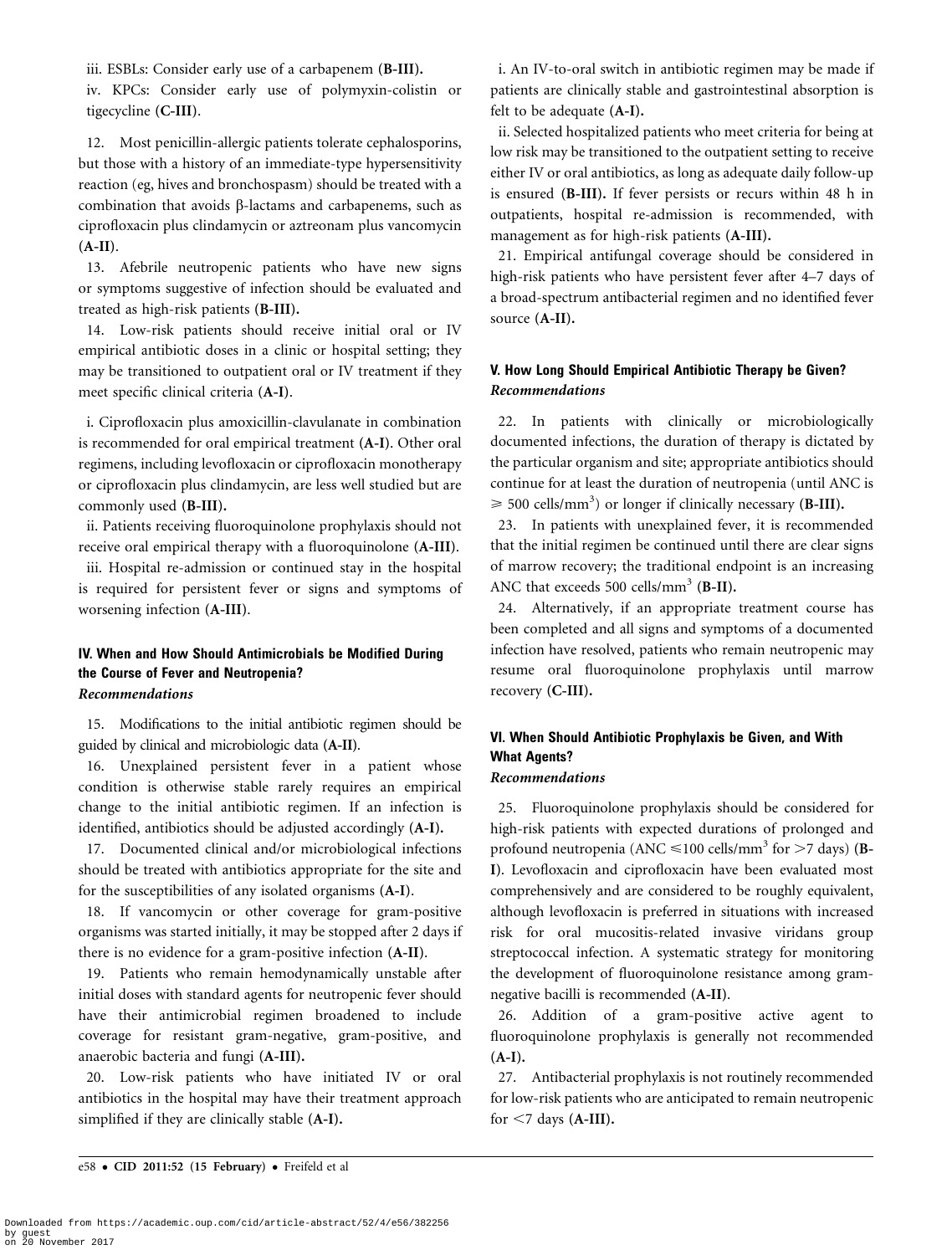iii. ESBLs: Consider early use of a carbapenem (B-III).

iv. KPCs: Consider early use of polymyxin-colistin or tigecycline (C-III).

12. Most penicillin-allergic patients tolerate cephalosporins, but those with a history of an immediate-type hypersensitivity reaction (eg, hives and bronchospasm) should be treated with a combination that avoids  $\beta$ -lactams and carbapenems, such as ciprofloxacin plus clindamycin or aztreonam plus vancomycin (A-II).

13. Afebrile neutropenic patients who have new signs or symptoms suggestive of infection should be evaluated and treated as high-risk patients (B-III).

14. Low-risk patients should receive initial oral or IV empirical antibiotic doses in a clinic or hospital setting; they may be transitioned to outpatient oral or IV treatment if they meet specific clinical criteria (A-I).

i. Ciprofloxacin plus amoxicillin-clavulanate in combination is recommended for oral empirical treatment (A-I). Other oral regimens, including levofloxacin or ciprofloxacin monotherapy or ciprofloxacin plus clindamycin, are less well studied but are commonly used (B-III).

ii. Patients receiving fluoroquinolone prophylaxis should not receive oral empirical therapy with a fluoroquinolone (A-III).

iii. Hospital re-admission or continued stay in the hospital is required for persistent fever or signs and symptoms of worsening infection (A-III).

## IV. When and How Should Antimicrobials be Modified During the Course of Fever and Neutropenia? Recommendations

15. Modifications to the initial antibiotic regimen should be guided by clinical and microbiologic data (A-II).

16. Unexplained persistent fever in a patient whose condition is otherwise stable rarely requires an empirical change to the initial antibiotic regimen. If an infection is identified, antibiotics should be adjusted accordingly (A-I).

17. Documented clinical and/or microbiological infections should be treated with antibiotics appropriate for the site and for the susceptibilities of any isolated organisms (A-I).

18. If vancomycin or other coverage for gram-positive organisms was started initially, it may be stopped after 2 days if there is no evidence for a gram-positive infection (A-II).

19. Patients who remain hemodynamically unstable after initial doses with standard agents for neutropenic fever should have their antimicrobial regimen broadened to include coverage for resistant gram-negative, gram-positive, and anaerobic bacteria and fungi (A-III).

20. Low-risk patients who have initiated IV or oral antibiotics in the hospital may have their treatment approach simplified if they are clinically stable (A-I).

i. An IV-to-oral switch in antibiotic regimen may be made if patients are clinically stable and gastrointestinal absorption is felt to be adequate (A-I).

ii. Selected hospitalized patients who meet criteria for being at low risk may be transitioned to the outpatient setting to receive either IV or oral antibiotics, as long as adequate daily follow-up is ensured (B-III). If fever persists or recurs within 48 h in outpatients, hospital re-admission is recommended, with management as for high-risk patients (A-III).

21. Empirical antifungal coverage should be considered in high-risk patients who have persistent fever after 4–7 days of a broad-spectrum antibacterial regimen and no identified fever source (A-II).

## V. How Long Should Empirical Antibiotic Therapy be Given? Recommendations

22. In patients with clinically or microbiologically documented infections, the duration of therapy is dictated by the particular organism and site; appropriate antibiotics should continue for at least the duration of neutropenia (until ANC is  $\geq$  500 cells/mm<sup>3</sup>) or longer if clinically necessary (B-III).

23. In patients with unexplained fever, it is recommended that the initial regimen be continued until there are clear signs of marrow recovery; the traditional endpoint is an increasing ANC that exceeds 500 cells/mm<sup>3</sup> (B-II).

24. Alternatively, if an appropriate treatment course has been completed and all signs and symptoms of a documented infection have resolved, patients who remain neutropenic may resume oral fluoroquinolone prophylaxis until marrow recovery (C-III).

# VI. When Should Antibiotic Prophylaxis be Given, and With What Agents?

#### Recommendations

25. Fluoroquinolone prophylaxis should be considered for high-risk patients with expected durations of prolonged and profound neutropenia (ANC  $\leq$  100 cells/mm<sup>3</sup> for >7 days) (**B**-I). Levofloxacin and ciprofloxacin have been evaluated most comprehensively and are considered to be roughly equivalent, although levofloxacin is preferred in situations with increased risk for oral mucositis-related invasive viridans group streptococcal infection. A systematic strategy for monitoring the development of fluoroquinolone resistance among gramnegative bacilli is recommended (A-II).

26. Addition of a gram-positive active agent to fluoroquinolone prophylaxis is generally not recommended  $(A-I).$ 

27. Antibacterial prophylaxis is not routinely recommended for low-risk patients who are anticipated to remain neutropenic for  $<$ 7 days (A-III).

e58 · CID 2011:52 (15 February) · Freifeld et al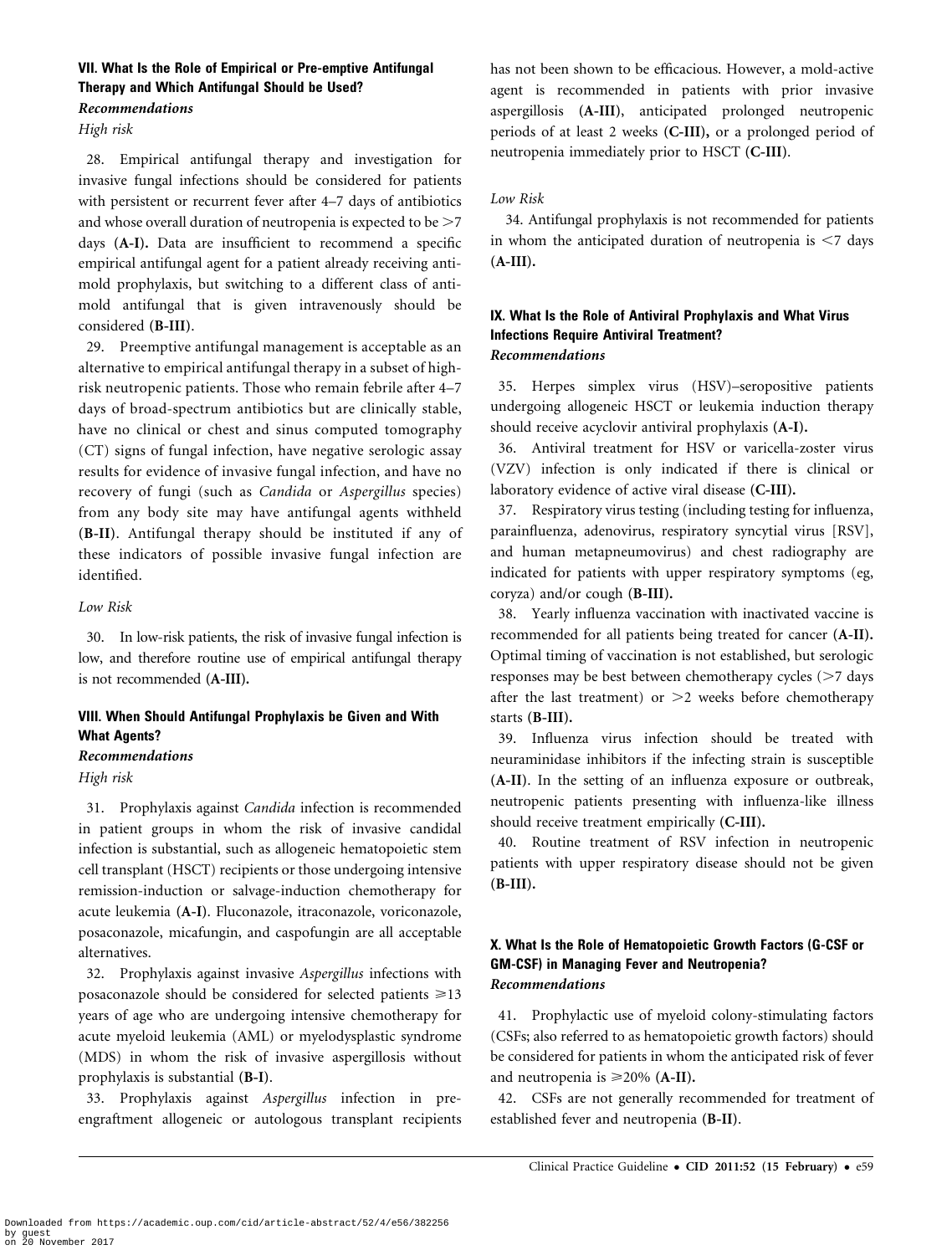## VII. What Is the Role of Empirical or Pre-emptive Antifungal Therapy and Which Antifungal Should be Used?

## Recommendations

## High risk

28. Empirical antifungal therapy and investigation for invasive fungal infections should be considered for patients with persistent or recurrent fever after 4–7 days of antibiotics and whose overall duration of neutropenia is expected to be  $>7$ days (A-I). Data are insufficient to recommend a specific empirical antifungal agent for a patient already receiving antimold prophylaxis, but switching to a different class of antimold antifungal that is given intravenously should be considered (B-III).

29. Preemptive antifungal management is acceptable as an alternative to empirical antifungal therapy in a subset of highrisk neutropenic patients. Those who remain febrile after 4–7 days of broad-spectrum antibiotics but are clinically stable, have no clinical or chest and sinus computed tomography (CT) signs of fungal infection, have negative serologic assay results for evidence of invasive fungal infection, and have no recovery of fungi (such as Candida or Aspergillus species) from any body site may have antifungal agents withheld (B-II). Antifungal therapy should be instituted if any of these indicators of possible invasive fungal infection are identified.

## Low Risk

30. In low-risk patients, the risk of invasive fungal infection is low, and therefore routine use of empirical antifungal therapy is not recommended (A-III).

## VIII. When Should Antifungal Prophylaxis be Given and With What Agents?

## Recommendations

High risk

31. Prophylaxis against Candida infection is recommended in patient groups in whom the risk of invasive candidal infection is substantial, such as allogeneic hematopoietic stem cell transplant (HSCT) recipients or those undergoing intensive remission-induction or salvage-induction chemotherapy for acute leukemia (A-I). Fluconazole, itraconazole, voriconazole, posaconazole, micafungin, and caspofungin are all acceptable alternatives.

32. Prophylaxis against invasive Aspergillus infections with posaconazole should be considered for selected patients  $\geq 13$ years of age who are undergoing intensive chemotherapy for acute myeloid leukemia (AML) or myelodysplastic syndrome (MDS) in whom the risk of invasive aspergillosis without prophylaxis is substantial (B-I).

33. Prophylaxis against Aspergillus infection in preengraftment allogeneic or autologous transplant recipients has not been shown to be efficacious. However, a mold-active agent is recommended in patients with prior invasive aspergillosis (A-III), anticipated prolonged neutropenic periods of at least 2 weeks (C-III), or a prolonged period of neutropenia immediately prior to HSCT (C-III).

## Low Risk

34. Antifungal prophylaxis is not recommended for patients in whom the anticipated duration of neutropenia is  $\leq$  days (A-III).

## IX. What Is the Role of Antiviral Prophylaxis and What Virus Infections Require Antiviral Treatment? Recommendations

35. Herpes simplex virus (HSV)–seropositive patients undergoing allogeneic HSCT or leukemia induction therapy should receive acyclovir antiviral prophylaxis (A-I).

36. Antiviral treatment for HSV or varicella-zoster virus (VZV) infection is only indicated if there is clinical or laboratory evidence of active viral disease (C-III).

37. Respiratory virus testing (including testing for influenza, parainfluenza, adenovirus, respiratory syncytial virus [RSV], and human metapneumovirus) and chest radiography are indicated for patients with upper respiratory symptoms (eg, coryza) and/or cough (B-III).

38. Yearly influenza vaccination with inactivated vaccine is recommended for all patients being treated for cancer (A-II). Optimal timing of vaccination is not established, but serologic responses may be best between chemotherapy cycles  $($  >7 days after the last treatment) or  $>2$  weeks before chemotherapy starts (B-III).

39. Influenza virus infection should be treated with neuraminidase inhibitors if the infecting strain is susceptible (A-II). In the setting of an influenza exposure or outbreak, neutropenic patients presenting with influenza-like illness should receive treatment empirically (C-III).

40. Routine treatment of RSV infection in neutropenic patients with upper respiratory disease should not be given (B-III).

## X. What Is the Role of Hematopoietic Growth Factors (G-CSF or GM-CSF) in Managing Fever and Neutropenia? Recommendations

41. Prophylactic use of myeloid colony-stimulating factors (CSFs; also referred to as hematopoietic growth factors) should be considered for patients in whom the anticipated risk of fever and neutropenia is  $\geq 20\%$  (A-II).

42. CSFs are not generally recommended for treatment of established fever and neutropenia (B-II).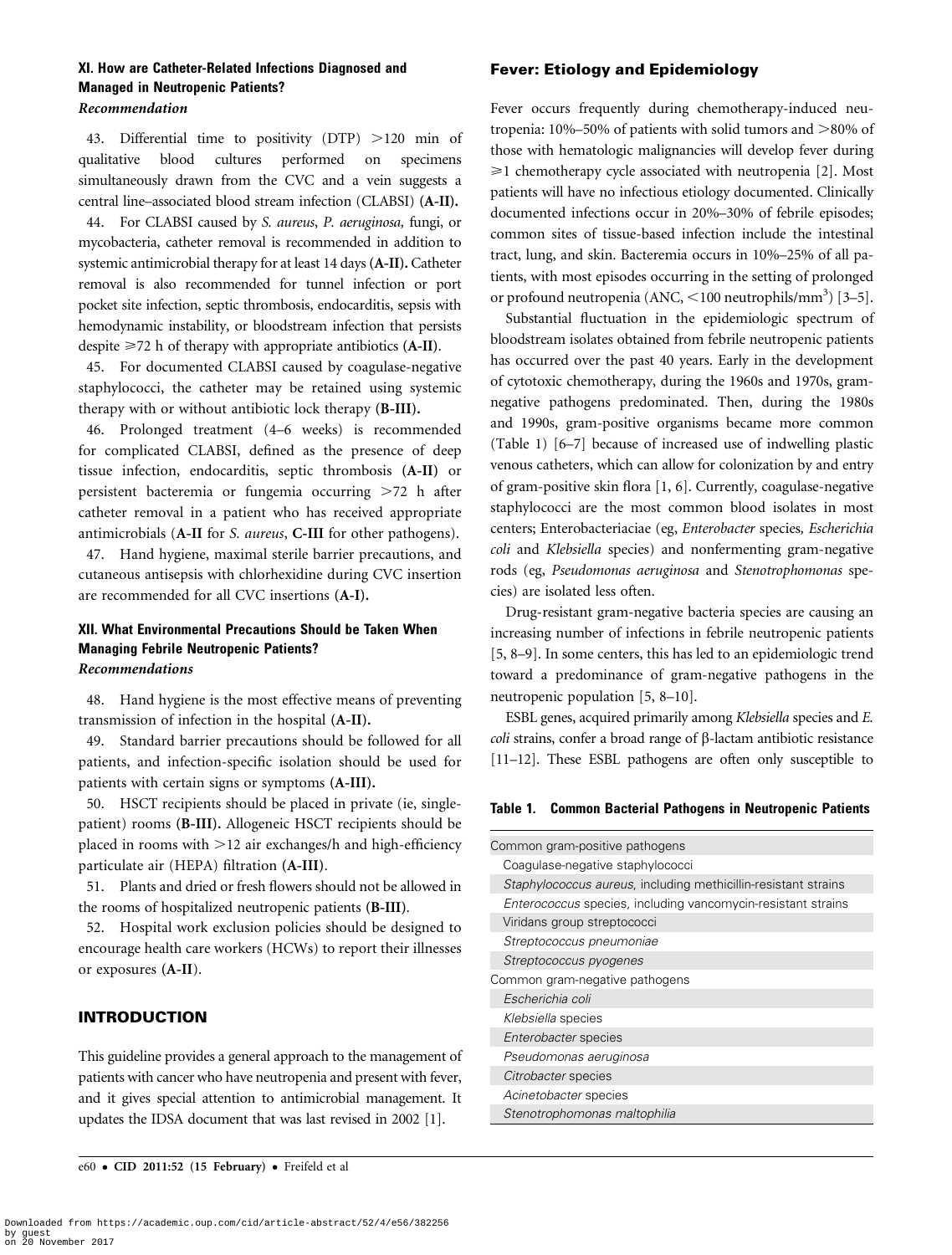#### XI. How are Catheter-Related Infections Diagnosed and Managed in Neutropenic Patients? Recommendation

43. Differential time to positivity  $(DTP) > 120$  min of qualitative blood cultures performed on specimens simultaneously drawn from the CVC and a vein suggests a central line–associated blood stream infection (CLABSI) (A-II).

44. For CLABSI caused by S. aureus, P. aeruginosa, fungi, or mycobacteria, catheter removal is recommended in addition to systemic antimicrobial therapy for at least 14 days (A-II). Catheter removal is also recommended for tunnel infection or port pocket site infection, septic thrombosis, endocarditis, sepsis with hemodynamic instability, or bloodstream infection that persists despite  $\geq$  72 h of therapy with appropriate antibiotics (A-II).

45. For documented CLABSI caused by coagulase-negative staphylococci, the catheter may be retained using systemic therapy with or without antibiotic lock therapy (B-III).

46. Prolonged treatment (4–6 weeks) is recommended for complicated CLABSI, defined as the presence of deep tissue infection, endocarditis, septic thrombosis (A-II) or persistent bacteremia or fungemia occurring  $>72$  h after catheter removal in a patient who has received appropriate antimicrobials (A-II for S. aureus, C-III for other pathogens).

47. Hand hygiene, maximal sterile barrier precautions, and cutaneous antisepsis with chlorhexidine during CVC insertion are recommended for all CVC insertions (A-I).

## XII. What Environmental Precautions Should be Taken When Managing Febrile Neutropenic Patients? Recommendations

48. Hand hygiene is the most effective means of preventing transmission of infection in the hospital (A-II).

49. Standard barrier precautions should be followed for all patients, and infection-specific isolation should be used for patients with certain signs or symptoms (A-III).

50. HSCT recipients should be placed in private (ie, singlepatient) rooms (B-III). Allogeneic HSCT recipients should be placed in rooms with  $>12$  air exchanges/h and high-efficiency particulate air (HEPA) filtration (A-III).

51. Plants and dried or fresh flowers should not be allowed in the rooms of hospitalized neutropenic patients (B-III).

52. Hospital work exclusion policies should be designed to encourage health care workers (HCWs) to report their illnesses or exposures (A-II).

## INTRODUCTION

This guideline provides a general approach to the management of patients with cancer who have neutropenia and present with fever, and it gives special attention to antimicrobial management. It updates the IDSA document that was last revised in 2002 [1].

## Fever: Etiology and Epidemiology

Fever occurs frequently during chemotherapy-induced neutropenia:  $10\% - 50\%$  of patients with solid tumors and  $>80\%$  of those with hematologic malignancies will develop fever during  $\geq 1$  chemotherapy cycle associated with neutropenia [2]. Most patients will have no infectious etiology documented. Clinically documented infections occur in 20%–30% of febrile episodes; common sites of tissue-based infection include the intestinal tract, lung, and skin. Bacteremia occurs in 10%–25% of all patients, with most episodes occurring in the setting of prolonged or profound neutropenia (ANC, <100 neutrophils/mm<sup>3</sup>) [3-5].

Substantial fluctuation in the epidemiologic spectrum of bloodstream isolates obtained from febrile neutropenic patients has occurred over the past 40 years. Early in the development of cytotoxic chemotherapy, during the 1960s and 1970s, gramnegative pathogens predominated. Then, during the 1980s and 1990s, gram-positive organisms became more common (Table 1) [6–7] because of increased use of indwelling plastic venous catheters, which can allow for colonization by and entry of gram-positive skin flora [1, 6]. Currently, coagulase-negative staphylococci are the most common blood isolates in most centers; Enterobacteriaciae (eg, Enterobacter species, Escherichia coli and Klebsiella species) and nonfermenting gram-negative rods (eg, Pseudomonas aeruginosa and Stenotrophomonas species) are isolated less often.

Drug-resistant gram-negative bacteria species are causing an increasing number of infections in febrile neutropenic patients [5, 8–9]. In some centers, this has led to an epidemiologic trend toward a predominance of gram-negative pathogens in the neutropenic population [5, 8–10].

ESBL genes, acquired primarily among Klebsiella species and E.  $\text{coli strains}$ , confer a broad range of  $\beta$ -lactam antibiotic resistance [11–12]. These ESBL pathogens are often only susceptible to

Table 1. Common Bacterial Pathogens in Neutropenic Patients

| Common gram-positive pathogens                                 |
|----------------------------------------------------------------|
| Coagulase-negative staphylococci                               |
| Staphylococcus aureus, including methicillin-resistant strains |
| Enterococcus species, including vancomycin-resistant strains   |
| Viridans group streptococci                                    |
| Streptococcus pneumoniae                                       |
| Streptococcus pyogenes                                         |
| Common gram-negative pathogens                                 |
| Escherichia coli                                               |
| Klebsiella species                                             |
| Enterobacter species                                           |
| Pseudomonas aeruginosa                                         |
| Citrobacter species                                            |
| Acinetobacter species                                          |
| Stenotrophomonas maltophilia                                   |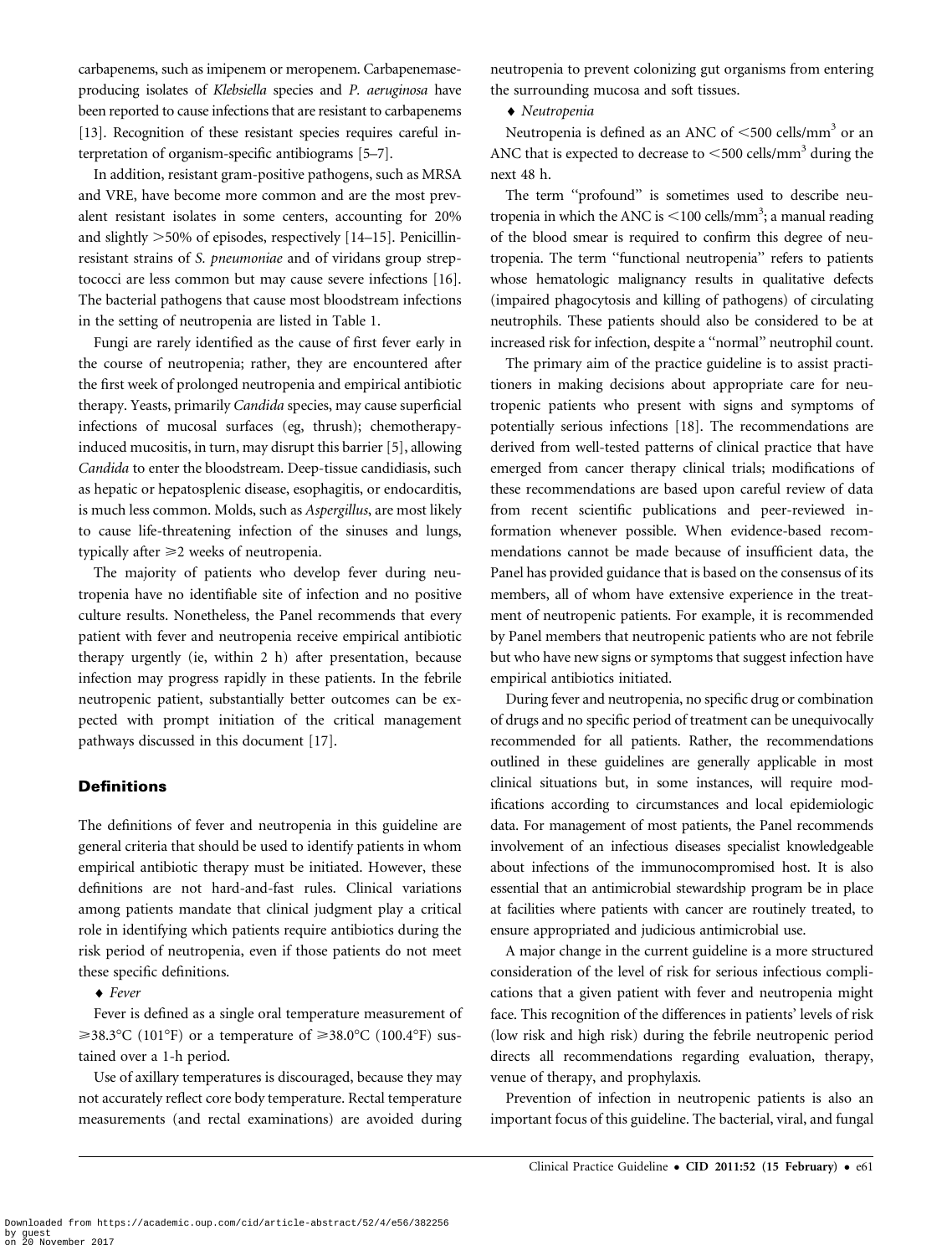carbapenems, such as imipenem or meropenem. Carbapenemaseproducing isolates of Klebsiella species and P. aeruginosa have been reported to cause infections that are resistant to carbapenems [13]. Recognition of these resistant species requires careful interpretation of organism-specific antibiograms [5–7].

In addition, resistant gram-positive pathogens, such as MRSA and VRE, have become more common and are the most prevalent resistant isolates in some centers, accounting for 20% and slightly  $>50\%$  of episodes, respectively [14–15]. Penicillinresistant strains of S. pneumoniae and of viridans group streptococci are less common but may cause severe infections [16]. The bacterial pathogens that cause most bloodstream infections in the setting of neutropenia are listed in Table 1.

Fungi are rarely identified as the cause of first fever early in the course of neutropenia; rather, they are encountered after the first week of prolonged neutropenia and empirical antibiotic therapy. Yeasts, primarily Candida species, may cause superficial infections of mucosal surfaces (eg, thrush); chemotherapyinduced mucositis, in turn, may disrupt this barrier [5], allowing Candida to enter the bloodstream. Deep-tissue candidiasis, such as hepatic or hepatosplenic disease, esophagitis, or endocarditis, is much less common. Molds, such as Aspergillus, are most likely to cause life-threatening infection of the sinuses and lungs, typically after  $\geq 2$  weeks of neutropenia.

The majority of patients who develop fever during neutropenia have no identifiable site of infection and no positive culture results. Nonetheless, the Panel recommends that every patient with fever and neutropenia receive empirical antibiotic therapy urgently (ie, within 2 h) after presentation, because infection may progress rapidly in these patients. In the febrile neutropenic patient, substantially better outcomes can be expected with prompt initiation of the critical management pathways discussed in this document [17].

## **Definitions**

The definitions of fever and neutropenia in this guideline are general criteria that should be used to identify patients in whom empirical antibiotic therapy must be initiated. However, these definitions are not hard-and-fast rules. Clinical variations among patients mandate that clinical judgment play a critical role in identifying which patients require antibiotics during the risk period of neutropenia, even if those patients do not meet these specific definitions.

#### $\bullet$  Fever

Fever is defined as a single oral temperature measurement of  $\geq 38.3^{\circ}$ C (101°F) or a temperature of  $\geq 38.0^{\circ}$ C (100.4°F) sustained over a 1-h period.

Use of axillary temperatures is discouraged, because they may not accurately reflect core body temperature. Rectal temperature measurements (and rectal examinations) are avoided during neutropenia to prevent colonizing gut organisms from entering the surrounding mucosa and soft tissues.

 $\blacklozenge$  Neutropenia

Neutropenia is defined as an ANC of  $\leq$ 500 cells/mm<sup>3</sup> or an ANC that is expected to decrease to  $\leq$  500 cells/mm<sup>3</sup> during the next 48 h.

The term ''profound'' is sometimes used to describe neutropenia in which the ANC is  $<$  100 cells/mm<sup>3</sup>; a manual reading of the blood smear is required to confirm this degree of neutropenia. The term ''functional neutropenia'' refers to patients whose hematologic malignancy results in qualitative defects (impaired phagocytosis and killing of pathogens) of circulating neutrophils. These patients should also be considered to be at increased risk for infection, despite a ''normal'' neutrophil count.

The primary aim of the practice guideline is to assist practitioners in making decisions about appropriate care for neutropenic patients who present with signs and symptoms of potentially serious infections [18]. The recommendations are derived from well-tested patterns of clinical practice that have emerged from cancer therapy clinical trials; modifications of these recommendations are based upon careful review of data from recent scientific publications and peer-reviewed information whenever possible. When evidence-based recommendations cannot be made because of insufficient data, the Panel has provided guidance that is based on the consensus of its members, all of whom have extensive experience in the treatment of neutropenic patients. For example, it is recommended by Panel members that neutropenic patients who are not febrile but who have new signs or symptoms that suggest infection have empirical antibiotics initiated.

During fever and neutropenia, no specific drug or combination of drugs and no specific period of treatment can be unequivocally recommended for all patients. Rather, the recommendations outlined in these guidelines are generally applicable in most clinical situations but, in some instances, will require modifications according to circumstances and local epidemiologic data. For management of most patients, the Panel recommends involvement of an infectious diseases specialist knowledgeable about infections of the immunocompromised host. It is also essential that an antimicrobial stewardship program be in place at facilities where patients with cancer are routinely treated, to ensure appropriated and judicious antimicrobial use.

A major change in the current guideline is a more structured consideration of the level of risk for serious infectious complications that a given patient with fever and neutropenia might face. This recognition of the differences in patients' levels of risk (low risk and high risk) during the febrile neutropenic period directs all recommendations regarding evaluation, therapy, venue of therapy, and prophylaxis.

Prevention of infection in neutropenic patients is also an important focus of this guideline. The bacterial, viral, and fungal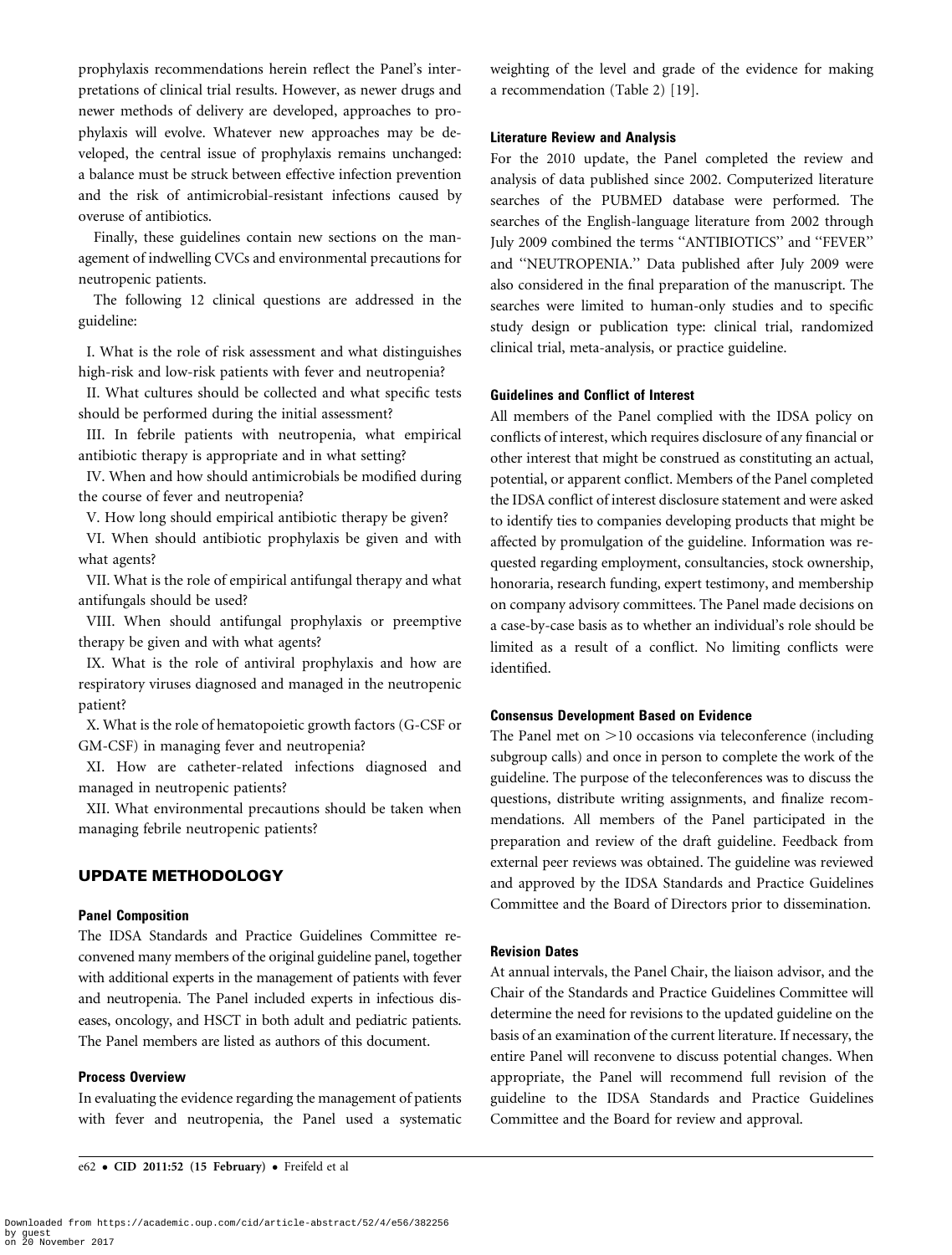prophylaxis recommendations herein reflect the Panel's interpretations of clinical trial results. However, as newer drugs and newer methods of delivery are developed, approaches to prophylaxis will evolve. Whatever new approaches may be developed, the central issue of prophylaxis remains unchanged: a balance must be struck between effective infection prevention and the risk of antimicrobial-resistant infections caused by overuse of antibiotics.

Finally, these guidelines contain new sections on the management of indwelling CVCs and environmental precautions for neutropenic patients.

The following 12 clinical questions are addressed in the guideline:

I. What is the role of risk assessment and what distinguishes high-risk and low-risk patients with fever and neutropenia?

II. What cultures should be collected and what specific tests should be performed during the initial assessment?

III. In febrile patients with neutropenia, what empirical antibiotic therapy is appropriate and in what setting?

IV. When and how should antimicrobials be modified during the course of fever and neutropenia?

V. How long should empirical antibiotic therapy be given?

VI. When should antibiotic prophylaxis be given and with what agents?

VII. What is the role of empirical antifungal therapy and what antifungals should be used?

VIII. When should antifungal prophylaxis or preemptive therapy be given and with what agents?

IX. What is the role of antiviral prophylaxis and how are respiratory viruses diagnosed and managed in the neutropenic patient?

X. What is the role of hematopoietic growth factors (G-CSF or GM-CSF) in managing fever and neutropenia?

XI. How are catheter-related infections diagnosed and managed in neutropenic patients?

XII. What environmental precautions should be taken when managing febrile neutropenic patients?

## UPDATE METHODOLOGY

#### Panel Composition

The IDSA Standards and Practice Guidelines Committee reconvened many members of the original guideline panel, together with additional experts in the management of patients with fever and neutropenia. The Panel included experts in infectious diseases, oncology, and HSCT in both adult and pediatric patients. The Panel members are listed as authors of this document.

#### Process Overview

In evaluating the evidence regarding the management of patients with fever and neutropenia, the Panel used a systematic

e62 · CID 2011:52 (15 February) · Freifeld et al

weighting of the level and grade of the evidence for making a recommendation (Table 2) [19].

#### Literature Review and Analysis

For the 2010 update, the Panel completed the review and analysis of data published since 2002. Computerized literature searches of the PUBMED database were performed. The searches of the English-language literature from 2002 through July 2009 combined the terms ''ANTIBIOTICS'' and ''FEVER'' and ''NEUTROPENIA.'' Data published after July 2009 were also considered in the final preparation of the manuscript. The searches were limited to human-only studies and to specific study design or publication type: clinical trial, randomized clinical trial, meta-analysis, or practice guideline.

#### Guidelines and Conflict of Interest

All members of the Panel complied with the IDSA policy on conflicts of interest, which requires disclosure of any financial or other interest that might be construed as constituting an actual, potential, or apparent conflict. Members of the Panel completed the IDSA conflict of interest disclosure statement and were asked to identify ties to companies developing products that might be affected by promulgation of the guideline. Information was requested regarding employment, consultancies, stock ownership, honoraria, research funding, expert testimony, and membership on company advisory committees. The Panel made decisions on a case-by-case basis as to whether an individual's role should be limited as a result of a conflict. No limiting conflicts were identified.

#### Consensus Development Based on Evidence

The Panel met on  $>10$  occasions via teleconference (including subgroup calls) and once in person to complete the work of the guideline. The purpose of the teleconferences was to discuss the questions, distribute writing assignments, and finalize recommendations. All members of the Panel participated in the preparation and review of the draft guideline. Feedback from external peer reviews was obtained. The guideline was reviewed and approved by the IDSA Standards and Practice Guidelines Committee and the Board of Directors prior to dissemination.

#### Revision Dates

At annual intervals, the Panel Chair, the liaison advisor, and the Chair of the Standards and Practice Guidelines Committee will determine the need for revisions to the updated guideline on the basis of an examination of the current literature. If necessary, the entire Panel will reconvene to discuss potential changes. When appropriate, the Panel will recommend full revision of the guideline to the IDSA Standards and Practice Guidelines Committee and the Board for review and approval.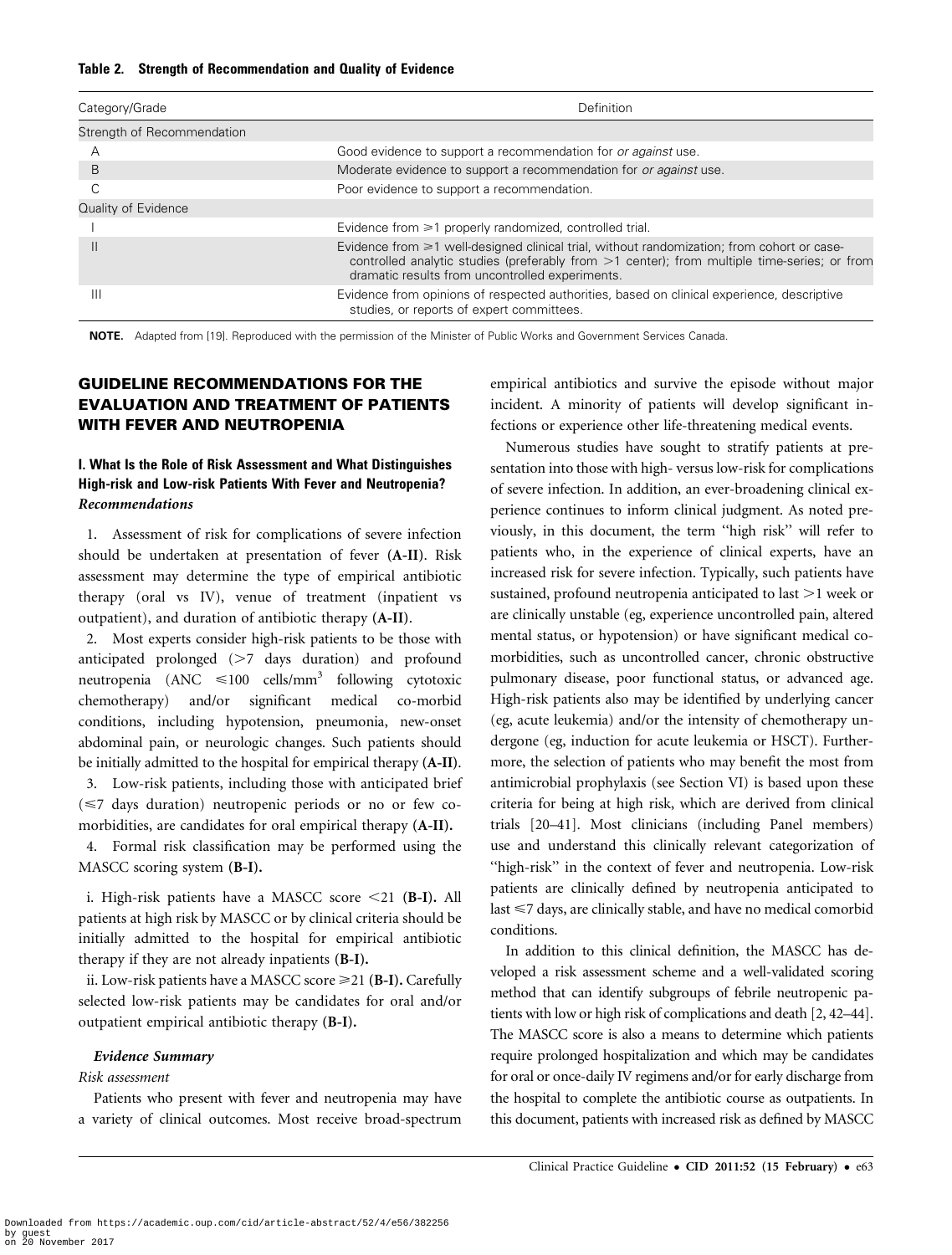| Category/Grade             | Definition                                                                                                                                                                                                                                         |
|----------------------------|----------------------------------------------------------------------------------------------------------------------------------------------------------------------------------------------------------------------------------------------------|
| Strength of Recommendation |                                                                                                                                                                                                                                                    |
| А                          | Good evidence to support a recommendation for or against use.                                                                                                                                                                                      |
| B                          | Moderate evidence to support a recommendation for <i>or against</i> use.                                                                                                                                                                           |
|                            | Poor evidence to support a recommendation.                                                                                                                                                                                                         |
| Quality of Evidence        |                                                                                                                                                                                                                                                    |
|                            | Evidence from $\geq 1$ properly randomized, controlled trial.                                                                                                                                                                                      |
|                            | Evidence from $\geq 1$ well-designed clinical trial, without randomization; from cohort or case-<br>controlled analytic studies (preferably from >1 center); from multiple time-series; or from<br>dramatic results from uncontrolled experiments. |
| Ш                          | Evidence from opinions of respected authorities, based on clinical experience, descriptive<br>studies, or reports of expert committees.                                                                                                            |

NOTE. Adapted from [19]. Reproduced with the permission of the Minister of Public Works and Government Services Canada.

## GUIDELINE RECOMMENDATIONS FOR THE EVALUATION AND TREATMENT OF PATIENTS WITH FEVER AND NEUTROPENIA

## I. What Is the Role of Risk Assessment and What Distinguishes High-risk and Low-risk Patients With Fever and Neutropenia? Recommendations

1. Assessment of risk for complications of severe infection should be undertaken at presentation of fever (A-II). Risk assessment may determine the type of empirical antibiotic therapy (oral vs IV), venue of treatment (inpatient vs outpatient), and duration of antibiotic therapy (A-II).

2. Most experts consider high-risk patients to be those with anticipated prolonged  $(>7$  days duration) and profound neutropenia (ANC  $\leq 100$  cells/mm<sup>3</sup> following cytotoxic chemotherapy) and/or significant medical co-morbid conditions, including hypotension, pneumonia, new-onset abdominal pain, or neurologic changes. Such patients should be initially admitted to the hospital for empirical therapy (A-II). 3. Low-risk patients, including those with anticipated brief  $(\leq 7$  days duration) neutropenic periods or no or few comorbidities, are candidates for oral empirical therapy (A-II).

4. Formal risk classification may be performed using the MASCC scoring system (B-I).

i. High-risk patients have a MASCC score  $\leq$  21 (B-I). All patients at high risk by MASCC or by clinical criteria should be initially admitted to the hospital for empirical antibiotic therapy if they are not already inpatients (B-I).

ii. Low-risk patients have a MASCC score  $\geq 21$  (B-I). Carefully selected low-risk patients may be candidates for oral and/or outpatient empirical antibiotic therapy (B-I).

#### Evidence Summary

## Risk assessment

Patients who present with fever and neutropenia may have a variety of clinical outcomes. Most receive broad-spectrum

empirical antibiotics and survive the episode without major incident. A minority of patients will develop significant infections or experience other life-threatening medical events.

Numerous studies have sought to stratify patients at presentation into those with high- versus low-risk for complications of severe infection. In addition, an ever-broadening clinical experience continues to inform clinical judgment. As noted previously, in this document, the term ''high risk'' will refer to patients who, in the experience of clinical experts, have an increased risk for severe infection. Typically, such patients have sustained, profound neutropenia anticipated to last  $>1$  week or are clinically unstable (eg, experience uncontrolled pain, altered mental status, or hypotension) or have significant medical comorbidities, such as uncontrolled cancer, chronic obstructive pulmonary disease, poor functional status, or advanced age. High-risk patients also may be identified by underlying cancer (eg, acute leukemia) and/or the intensity of chemotherapy undergone (eg, induction for acute leukemia or HSCT). Furthermore, the selection of patients who may benefit the most from antimicrobial prophylaxis (see Section VI) is based upon these criteria for being at high risk, which are derived from clinical trials [20–41]. Most clinicians (including Panel members) use and understand this clinically relevant categorization of "high-risk" in the context of fever and neutropenia. Low-risk patients are clinically defined by neutropenia anticipated to last <7 days, are clinically stable, and have no medical comorbid conditions.

In addition to this clinical definition, the MASCC has developed a risk assessment scheme and a well-validated scoring method that can identify subgroups of febrile neutropenic patients with low or high risk of complications and death [2, 42–44]. The MASCC score is also a means to determine which patients require prolonged hospitalization and which may be candidates for oral or once-daily IV regimens and/or for early discharge from the hospital to complete the antibiotic course as outpatients. In this document, patients with increased risk as defined by MASCC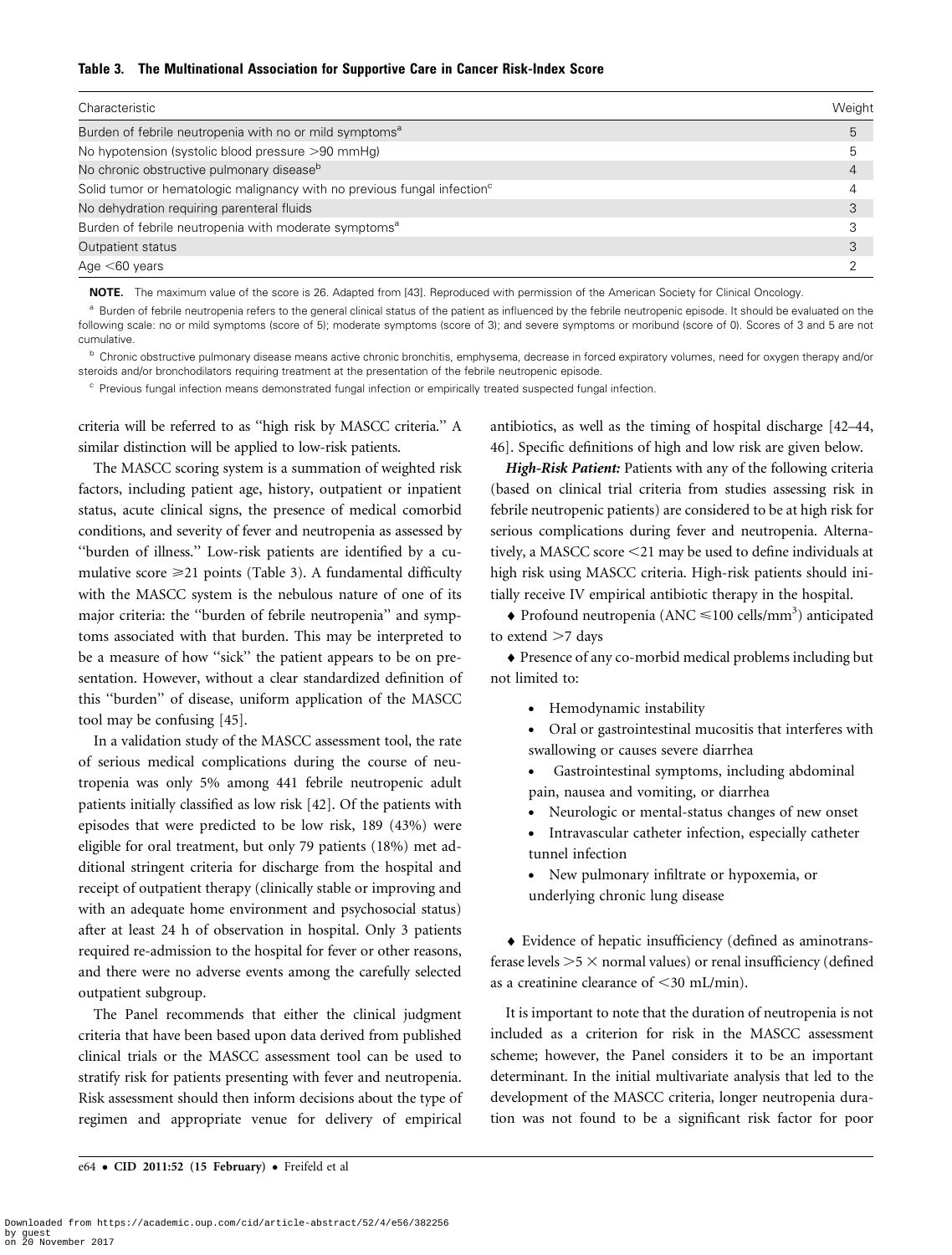Table 3. The Multinational Association for Supportive Care in Cancer Risk-Index Score

| Characteristic                                                                       | Weight |
|--------------------------------------------------------------------------------------|--------|
| Burden of febrile neutropenia with no or mild symptoms <sup>a</sup>                  |        |
| No hypotension (systolic blood pressure >90 mmHg)                                    |        |
| No chronic obstructive pulmonary disease <sup>b</sup>                                |        |
| Solid tumor or hematologic malignancy with no previous fungal infection <sup>c</sup> |        |
| No dehydration requiring parenteral fluids                                           |        |
| Burden of febrile neutropenia with moderate symptoms <sup>a</sup>                    |        |
| Outpatient status                                                                    |        |
| Age $<$ 60 years                                                                     |        |

NOTE. The maximum value of the score is 26. Adapted from [43]. Reproduced with permission of the American Society for Clinical Oncology.

Burden of febrile neutropenia refers to the general clinical status of the patient as influenced by the febrile neutropenic episode. It should be evaluated on the following scale: no or mild symptoms (score of 5); moderate symptoms (score of 3); and severe symptoms or moribund (score of 0). Scores of 3 and 5 are not cumulative.

<sup>b</sup> Chronic obstructive pulmonary disease means active chronic bronchitis, emphysema, decrease in forced expiratory volumes, need for oxygen therapy and/or steroids and/or bronchodilators requiring treatment at the presentation of the febrile neutropenic episode.

<sup>c</sup> Previous fungal infection means demonstrated fungal infection or empirically treated suspected fungal infection.

criteria will be referred to as ''high risk by MASCC criteria.'' A similar distinction will be applied to low-risk patients.

The MASCC scoring system is a summation of weighted risk factors, including patient age, history, outpatient or inpatient status, acute clinical signs, the presence of medical comorbid conditions, and severity of fever and neutropenia as assessed by ''burden of illness.'' Low-risk patients are identified by a cumulative score  $\geq$  21 points (Table 3). A fundamental difficulty with the MASCC system is the nebulous nature of one of its major criteria: the ''burden of febrile neutropenia'' and symptoms associated with that burden. This may be interpreted to be a measure of how ''sick'' the patient appears to be on presentation. However, without a clear standardized definition of this ''burden'' of disease, uniform application of the MASCC tool may be confusing [45].

In a validation study of the MASCC assessment tool, the rate of serious medical complications during the course of neutropenia was only 5% among 441 febrile neutropenic adult patients initially classified as low risk [42]. Of the patients with episodes that were predicted to be low risk, 189 (43%) were eligible for oral treatment, but only 79 patients (18%) met additional stringent criteria for discharge from the hospital and receipt of outpatient therapy (clinically stable or improving and with an adequate home environment and psychosocial status) after at least 24 h of observation in hospital. Only 3 patients required re-admission to the hospital for fever or other reasons, and there were no adverse events among the carefully selected outpatient subgroup.

The Panel recommends that either the clinical judgment criteria that have been based upon data derived from published clinical trials or the MASCC assessment tool can be used to stratify risk for patients presenting with fever and neutropenia. Risk assessment should then inform decisions about the type of regimen and appropriate venue for delivery of empirical

antibiotics, as well as the timing of hospital discharge [42–44, 46]. Specific definitions of high and low risk are given below.

High-Risk Patient: Patients with any of the following criteria (based on clinical trial criteria from studies assessing risk in febrile neutropenic patients) are considered to be at high risk for serious complications during fever and neutropenia. Alternatively, a MASCC score <21 may be used to define individuals at high risk using MASCC criteria. High-risk patients should initially receive IV empirical antibiotic therapy in the hospital.

◆ Profound neutropenia (ANC ≤100 cells/mm<sup>3</sup>) anticipated to extend  $>7$  days

¤ Presence of any co-morbid medical problems including but not limited to:

- Hemodynamic instability
- Oral or gastrointestinal mucositis that interferes with swallowing or causes severe diarrhea
- Gastrointestinal symptoms, including abdominal pain, nausea and vomiting, or diarrhea
- Neurologic or mental-status changes of new onset
- Intravascular catheter infection, especially catheter tunnel infection
- New pulmonary infiltrate or hypoxemia, or underlying chronic lung disease

¤ Evidence of hepatic insufficiency (defined as aminotransferase levels  $>5 \times$  normal values) or renal insufficiency (defined as a creatinine clearance of  $<$ 30 mL/min).

It is important to note that the duration of neutropenia is not included as a criterion for risk in the MASCC assessment scheme; however, the Panel considers it to be an important determinant. In the initial multivariate analysis that led to the development of the MASCC criteria, longer neutropenia duration was not found to be a significant risk factor for poor

e64 · CID 2011:52 (15 February) · Freifeld et al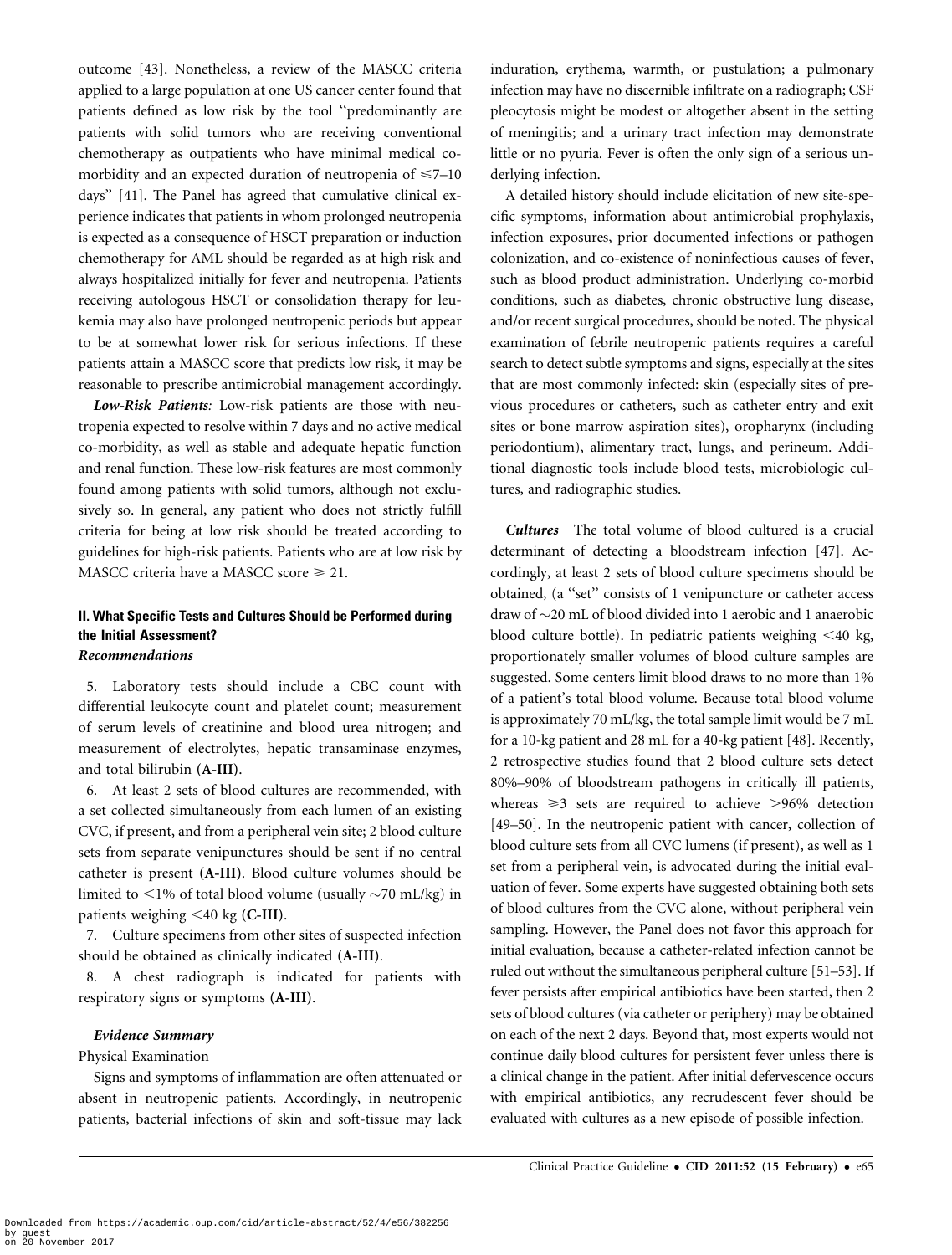outcome [43]. Nonetheless, a review of the MASCC criteria applied to a large population at one US cancer center found that patients defined as low risk by the tool ''predominantly are patients with solid tumors who are receiving conventional chemotherapy as outpatients who have minimal medical comorbidity and an expected duration of neutropenia of  $\leq 7-10$ days'' [41]. The Panel has agreed that cumulative clinical experience indicates that patients in whom prolonged neutropenia is expected as a consequence of HSCT preparation or induction chemotherapy for AML should be regarded as at high risk and always hospitalized initially for fever and neutropenia. Patients receiving autologous HSCT or consolidation therapy for leukemia may also have prolonged neutropenic periods but appear to be at somewhat lower risk for serious infections. If these patients attain a MASCC score that predicts low risk, it may be reasonable to prescribe antimicrobial management accordingly.

Low-Risk Patients: Low-risk patients are those with neutropenia expected to resolve within 7 days and no active medical co-morbidity, as well as stable and adequate hepatic function and renal function. These low-risk features are most commonly found among patients with solid tumors, although not exclusively so. In general, any patient who does not strictly fulfill criteria for being at low risk should be treated according to guidelines for high-risk patients. Patients who are at low risk by MASCC criteria have a MASCC score  $\geq 21$ .

### II. What Specific Tests and Cultures Should be Performed during the Initial Assessment? Recommendations

5. Laboratory tests should include a CBC count with differential leukocyte count and platelet count; measurement of serum levels of creatinine and blood urea nitrogen; and measurement of electrolytes, hepatic transaminase enzymes, and total bilirubin (A-III).

6. At least 2 sets of blood cultures are recommended, with a set collected simultaneously from each lumen of an existing CVC, if present, and from a peripheral vein site; 2 blood culture sets from separate venipunctures should be sent if no central catheter is present (A-III). Blood culture volumes should be limited to  $\leq$ 1% of total blood volume (usually  $\sim$ 70 mL/kg) in patients weighing  $\leq 40$  kg (C-III).

7. Culture specimens from other sites of suspected infection should be obtained as clinically indicated (A-III).

8. A chest radiograph is indicated for patients with respiratory signs or symptoms (A-III).

#### Evidence Summary

Physical Examination

Signs and symptoms of inflammation are often attenuated or absent in neutropenic patients. Accordingly, in neutropenic patients, bacterial infections of skin and soft-tissue may lack

induration, erythema, warmth, or pustulation; a pulmonary infection may have no discernible infiltrate on a radiograph; CSF pleocytosis might be modest or altogether absent in the setting of meningitis; and a urinary tract infection may demonstrate little or no pyuria. Fever is often the only sign of a serious underlying infection.

A detailed history should include elicitation of new site-specific symptoms, information about antimicrobial prophylaxis, infection exposures, prior documented infections or pathogen colonization, and co-existence of noninfectious causes of fever, such as blood product administration. Underlying co-morbid conditions, such as diabetes, chronic obstructive lung disease, and/or recent surgical procedures, should be noted. The physical examination of febrile neutropenic patients requires a careful search to detect subtle symptoms and signs, especially at the sites that are most commonly infected: skin (especially sites of previous procedures or catheters, such as catheter entry and exit sites or bone marrow aspiration sites), oropharynx (including periodontium), alimentary tract, lungs, and perineum. Additional diagnostic tools include blood tests, microbiologic cultures, and radiographic studies.

Cultures The total volume of blood cultured is a crucial determinant of detecting a bloodstream infection [47]. Accordingly, at least 2 sets of blood culture specimens should be obtained, (a ''set'' consists of 1 venipuncture or catheter access draw of 20 mL of blood divided into 1 aerobic and 1 anaerobic blood culture bottle). In pediatric patients weighing  $\leq 40$  kg, proportionately smaller volumes of blood culture samples are suggested. Some centers limit blood draws to no more than 1% of a patient's total blood volume. Because total blood volume is approximately 70 mL/kg, the total sample limit would be 7 mL for a 10-kg patient and 28 mL for a 40-kg patient [48]. Recently, 2 retrospective studies found that 2 blood culture sets detect 80%–90% of bloodstream pathogens in critically ill patients, whereas  $\geq 3$  sets are required to achieve  $> 96\%$  detection [49–50]. In the neutropenic patient with cancer, collection of blood culture sets from all CVC lumens (if present), as well as 1 set from a peripheral vein, is advocated during the initial evaluation of fever. Some experts have suggested obtaining both sets of blood cultures from the CVC alone, without peripheral vein sampling. However, the Panel does not favor this approach for initial evaluation, because a catheter-related infection cannot be ruled out without the simultaneous peripheral culture [51–53]. If fever persists after empirical antibiotics have been started, then 2 sets of blood cultures (via catheter or periphery) may be obtained on each of the next 2 days. Beyond that, most experts would not continue daily blood cultures for persistent fever unless there is a clinical change in the patient. After initial defervescence occurs with empirical antibiotics, any recrudescent fever should be evaluated with cultures as a new episode of possible infection.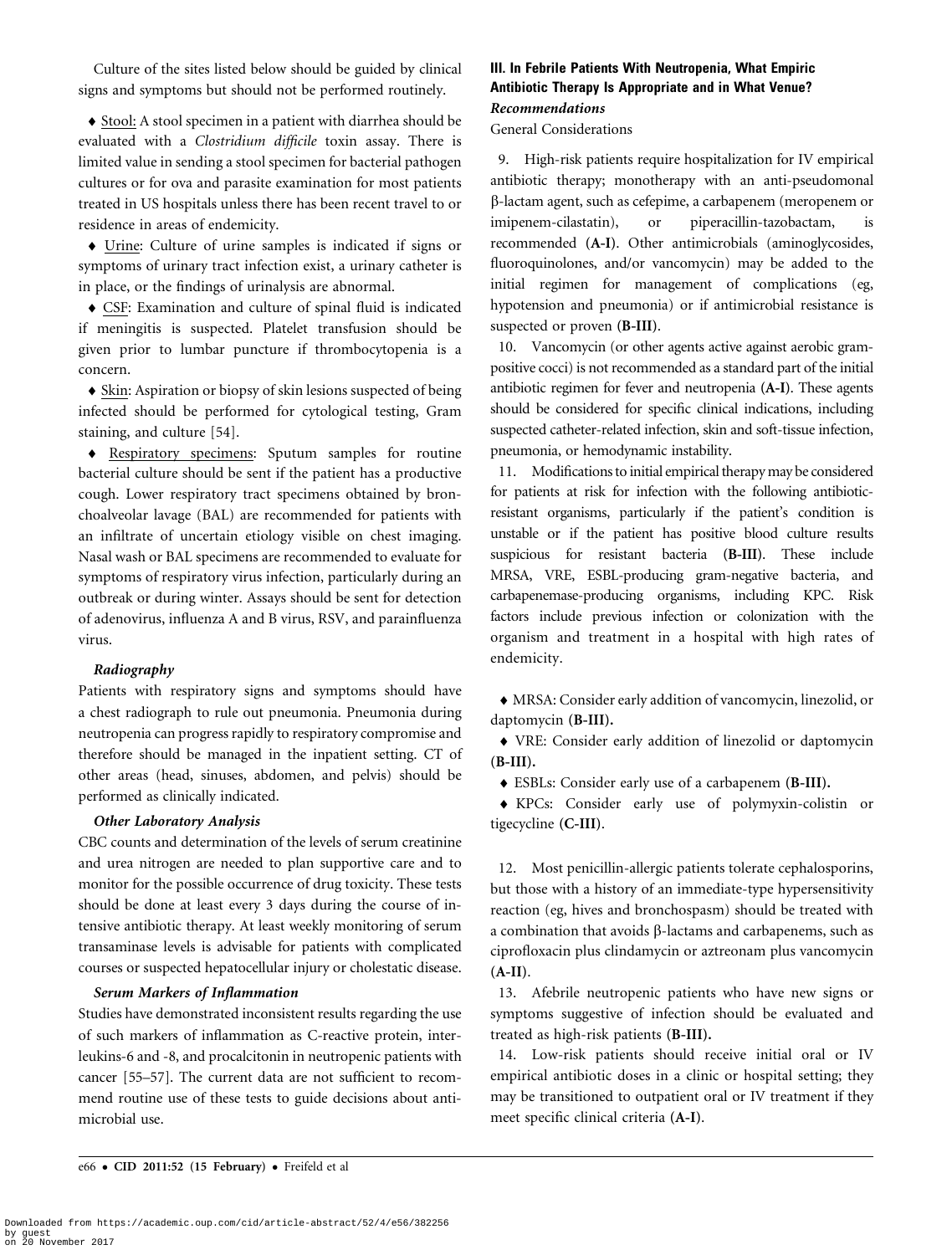Culture of the sites listed below should be guided by clinical signs and symptoms but should not be performed routinely.

¤ Stool: A stool specimen in a patient with diarrhea should be evaluated with a Clostridium difficile toxin assay. There is limited value in sending a stool specimen for bacterial pathogen cultures or for ova and parasite examination for most patients treated in US hospitals unless there has been recent travel to or residence in areas of endemicity.

¤ Urine: Culture of urine samples is indicated if signs or symptoms of urinary tract infection exist, a urinary catheter is in place, or the findings of urinalysis are abnormal.

¤ CSF: Examination and culture of spinal fluid is indicated if meningitis is suspected. Platelet transfusion should be given prior to lumbar puncture if thrombocytopenia is a concern.

¤ Skin: Aspiration or biopsy of skin lesions suspected of being infected should be performed for cytological testing, Gram staining, and culture [54].

¤ Respiratory specimens: Sputum samples for routine bacterial culture should be sent if the patient has a productive cough. Lower respiratory tract specimens obtained by bronchoalveolar lavage (BAL) are recommended for patients with an infiltrate of uncertain etiology visible on chest imaging. Nasal wash or BAL specimens are recommended to evaluate for symptoms of respiratory virus infection, particularly during an outbreak or during winter. Assays should be sent for detection of adenovirus, influenza A and B virus, RSV, and parainfluenza virus.

#### Radiography

Patients with respiratory signs and symptoms should have a chest radiograph to rule out pneumonia. Pneumonia during neutropenia can progress rapidly to respiratory compromise and therefore should be managed in the inpatient setting. CT of other areas (head, sinuses, abdomen, and pelvis) should be performed as clinically indicated.

#### Other Laboratory Analysis

CBC counts and determination of the levels of serum creatinine and urea nitrogen are needed to plan supportive care and to monitor for the possible occurrence of drug toxicity. These tests should be done at least every 3 days during the course of intensive antibiotic therapy. At least weekly monitoring of serum transaminase levels is advisable for patients with complicated courses or suspected hepatocellular injury or cholestatic disease.

#### Serum Markers of Inflammation

Studies have demonstrated inconsistent results regarding the use of such markers of inflammation as C-reactive protein, interleukins-6 and -8, and procalcitonin in neutropenic patients with cancer [55–57]. The current data are not sufficient to recommend routine use of these tests to guide decisions about antimicrobial use.

## III. In Febrile Patients With Neutropenia, What Empiric Antibiotic Therapy Is Appropriate and in What Venue? Recommendations

General Considerations

9. High-risk patients require hospitalization for IV empirical antibiotic therapy; monotherapy with an anti-pseudomonal b-lactam agent, such as cefepime, a carbapenem (meropenem or imipenem-cilastatin), or piperacillin-tazobactam, is recommended (A-I). Other antimicrobials (aminoglycosides, fluoroquinolones, and/or vancomycin) may be added to the initial regimen for management of complications (eg, hypotension and pneumonia) or if antimicrobial resistance is suspected or proven (B-III).

10. Vancomycin (or other agents active against aerobic grampositive cocci) is not recommended as a standard part of the initial antibiotic regimen for fever and neutropenia (A-I). These agents should be considered for specific clinical indications, including suspected catheter-related infection, skin and soft-tissue infection, pneumonia, or hemodynamic instability.

11. Modifications to initial empirical therapy may be considered for patients at risk for infection with the following antibioticresistant organisms, particularly if the patient's condition is unstable or if the patient has positive blood culture results suspicious for resistant bacteria (B-III). These include MRSA, VRE, ESBL-producing gram-negative bacteria, and carbapenemase-producing organisms, including KPC. Risk factors include previous infection or colonization with the organism and treatment in a hospital with high rates of endemicity.

¤ MRSA: Consider early addition of vancomycin, linezolid, or daptomycin (B-III).

¤ VRE: Consider early addition of linezolid or daptomycin  $(B-III).$ 

¤ ESBLs: Consider early use of a carbapenem (B-III).

¤ KPCs: Consider early use of polymyxin-colistin or tigecycline (C-III).

12. Most penicillin-allergic patients tolerate cephalosporins, but those with a history of an immediate-type hypersensitivity reaction (eg, hives and bronchospasm) should be treated with a combination that avoids  $\beta$ -lactams and carbapenems, such as ciprofloxacin plus clindamycin or aztreonam plus vancomycin  $(A-II).$ 

13. Afebrile neutropenic patients who have new signs or symptoms suggestive of infection should be evaluated and treated as high-risk patients (B-III).

14. Low-risk patients should receive initial oral or IV empirical antibiotic doses in a clinic or hospital setting; they may be transitioned to outpatient oral or IV treatment if they meet specific clinical criteria (A-I).

e66 · CID 2011:52 (15 February) · Freifeld et al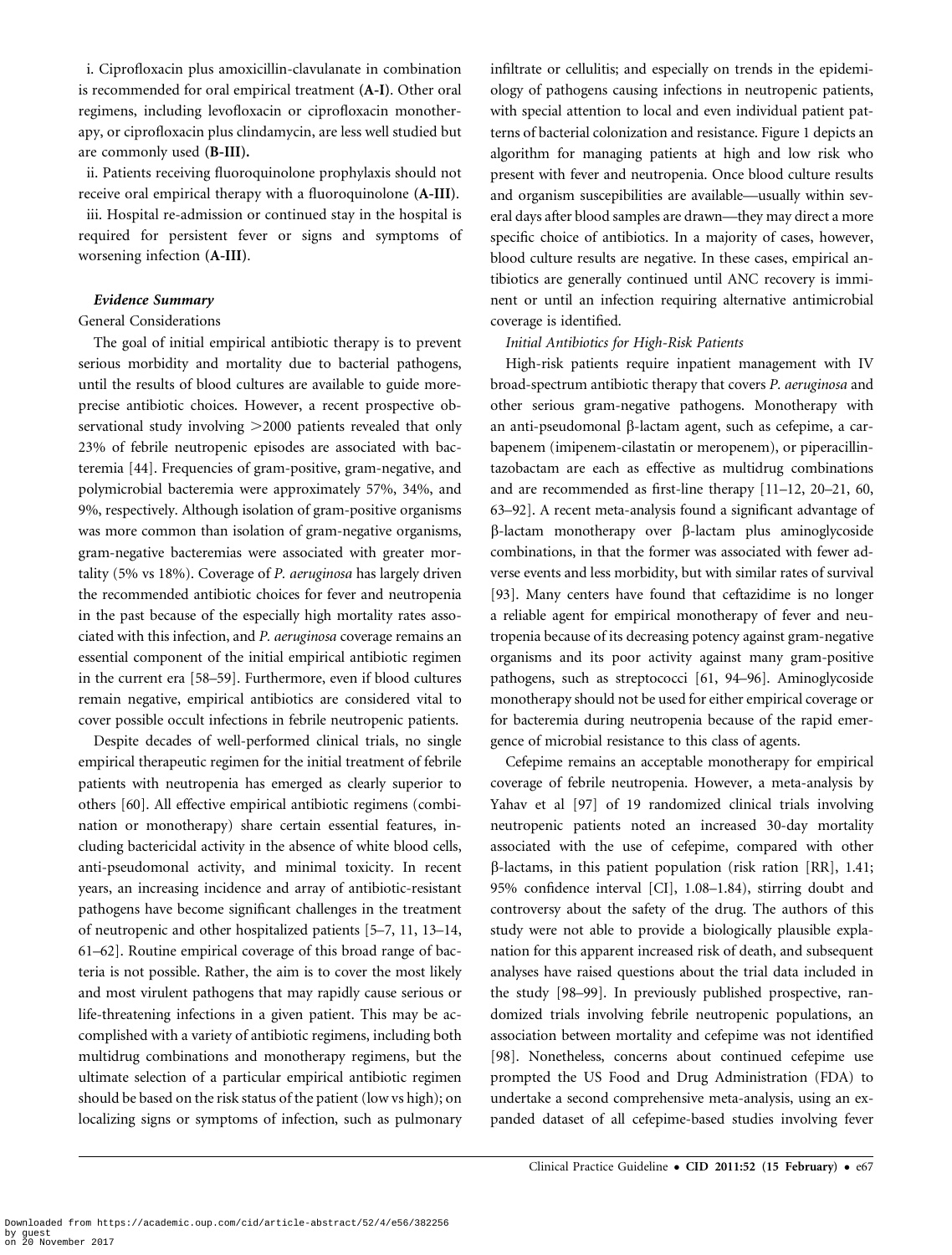i. Ciprofloxacin plus amoxicillin-clavulanate in combination is recommended for oral empirical treatment (A-I). Other oral regimens, including levofloxacin or ciprofloxacin monotherapy, or ciprofloxacin plus clindamycin, are less well studied but are commonly used (B-III).

ii. Patients receiving fluoroquinolone prophylaxis should not receive oral empirical therapy with a fluoroquinolone (A-III).

iii. Hospital re-admission or continued stay in the hospital is required for persistent fever or signs and symptoms of worsening infection (A-III).

#### Evidence Summary

#### General Considerations

The goal of initial empirical antibiotic therapy is to prevent serious morbidity and mortality due to bacterial pathogens, until the results of blood cultures are available to guide moreprecise antibiotic choices. However, a recent prospective observational study involving >2000 patients revealed that only 23% of febrile neutropenic episodes are associated with bacteremia [44]. Frequencies of gram-positive, gram-negative, and polymicrobial bacteremia were approximately 57%, 34%, and 9%, respectively. Although isolation of gram-positive organisms was more common than isolation of gram-negative organisms, gram-negative bacteremias were associated with greater mortality (5% vs 18%). Coverage of P. aeruginosa has largely driven the recommended antibiotic choices for fever and neutropenia in the past because of the especially high mortality rates associated with this infection, and P. aeruginosa coverage remains an essential component of the initial empirical antibiotic regimen in the current era [58–59]. Furthermore, even if blood cultures remain negative, empirical antibiotics are considered vital to cover possible occult infections in febrile neutropenic patients.

Despite decades of well-performed clinical trials, no single empirical therapeutic regimen for the initial treatment of febrile patients with neutropenia has emerged as clearly superior to others [60]. All effective empirical antibiotic regimens (combination or monotherapy) share certain essential features, including bactericidal activity in the absence of white blood cells, anti-pseudomonal activity, and minimal toxicity. In recent years, an increasing incidence and array of antibiotic-resistant pathogens have become significant challenges in the treatment of neutropenic and other hospitalized patients [5–7, 11, 13–14, 61–62]. Routine empirical coverage of this broad range of bacteria is not possible. Rather, the aim is to cover the most likely and most virulent pathogens that may rapidly cause serious or life-threatening infections in a given patient. This may be accomplished with a variety of antibiotic regimens, including both multidrug combinations and monotherapy regimens, but the ultimate selection of a particular empirical antibiotic regimen should be based on the risk status of the patient (low vs high); on localizing signs or symptoms of infection, such as pulmonary infiltrate or cellulitis; and especially on trends in the epidemiology of pathogens causing infections in neutropenic patients, with special attention to local and even individual patient patterns of bacterial colonization and resistance. Figure 1 depicts an algorithm for managing patients at high and low risk who present with fever and neutropenia. Once blood culture results and organism suscepibilities are available—usually within several days after blood samples are drawn—they may direct a more specific choice of antibiotics. In a majority of cases, however, blood culture results are negative. In these cases, empirical antibiotics are generally continued until ANC recovery is imminent or until an infection requiring alternative antimicrobial coverage is identified.

#### Initial Antibiotics for High-Risk Patients

High-risk patients require inpatient management with IV broad-spectrum antibiotic therapy that covers P. aeruginosa and other serious gram-negative pathogens. Monotherapy with an anti-pseudomonal  $\beta$ -lactam agent, such as cefepime, a carbapenem (imipenem-cilastatin or meropenem), or piperacillintazobactam are each as effective as multidrug combinations and are recommended as first-line therapy [11–12, 20–21, 60, 63–92]. A recent meta-analysis found a significant advantage of b-lactam monotherapy over b-lactam plus aminoglycoside combinations, in that the former was associated with fewer adverse events and less morbidity, but with similar rates of survival [93]. Many centers have found that ceftazidime is no longer a reliable agent for empirical monotherapy of fever and neutropenia because of its decreasing potency against gram-negative organisms and its poor activity against many gram-positive pathogens, such as streptococci [61, 94–96]. Aminoglycoside monotherapy should not be used for either empirical coverage or for bacteremia during neutropenia because of the rapid emergence of microbial resistance to this class of agents.

Cefepime remains an acceptable monotherapy for empirical coverage of febrile neutropenia. However, a meta-analysis by Yahav et al [97] of 19 randomized clinical trials involving neutropenic patients noted an increased 30-day mortality associated with the use of cefepime, compared with other  $\beta$ -lactams, in this patient population (risk ration [RR], 1.41; 95% confidence interval [CI], 1.08–1.84), stirring doubt and controversy about the safety of the drug. The authors of this study were not able to provide a biologically plausible explanation for this apparent increased risk of death, and subsequent analyses have raised questions about the trial data included in the study [98–99]. In previously published prospective, randomized trials involving febrile neutropenic populations, an association between mortality and cefepime was not identified [98]. Nonetheless, concerns about continued cefepime use prompted the US Food and Drug Administration (FDA) to undertake a second comprehensive meta-analysis, using an expanded dataset of all cefepime-based studies involving fever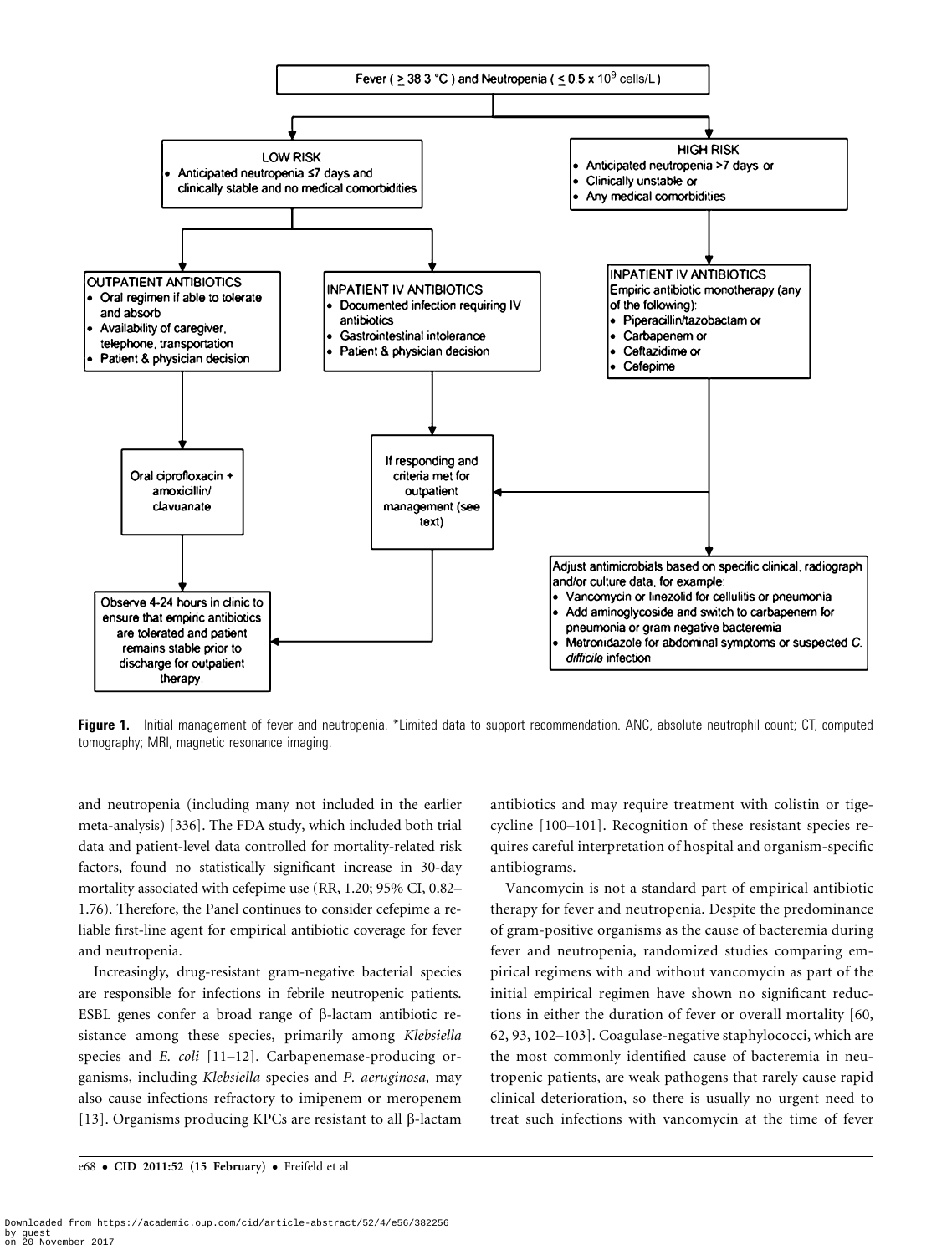

Figure 1. Initial management of fever and neutropenia. \*Limited data to support recommendation. ANC, absolute neutrophil count; CT, computed tomography; MRI, magnetic resonance imaging.

and neutropenia (including many not included in the earlier meta-analysis) [336]. The FDA study, which included both trial data and patient-level data controlled for mortality-related risk factors, found no statistically significant increase in 30-day mortality associated with cefepime use (RR, 1.20; 95% CI, 0.82– 1.76). Therefore, the Panel continues to consider cefepime a reliable first-line agent for empirical antibiotic coverage for fever and neutropenia.

Increasingly, drug-resistant gram-negative bacterial species are responsible for infections in febrile neutropenic patients. ESBL genes confer a broad range of  $\beta$ -lactam antibiotic resistance among these species, primarily among Klebsiella species and *E. coli* [11–12]. Carbapenemase-producing organisms, including Klebsiella species and P. aeruginosa, may also cause infections refractory to imipenem or meropenem [13]. Organisms producing KPCs are resistant to all  $\beta$ -lactam

antibiotics and may require treatment with colistin or tigecycline [100–101]. Recognition of these resistant species requires careful interpretation of hospital and organism-specific antibiograms.

Vancomycin is not a standard part of empirical antibiotic therapy for fever and neutropenia. Despite the predominance of gram-positive organisms as the cause of bacteremia during fever and neutropenia, randomized studies comparing empirical regimens with and without vancomycin as part of the initial empirical regimen have shown no significant reductions in either the duration of fever or overall mortality [60, 62, 93, 102–103]. Coagulase-negative staphylococci, which are the most commonly identified cause of bacteremia in neutropenic patients, are weak pathogens that rarely cause rapid clinical deterioration, so there is usually no urgent need to treat such infections with vancomycin at the time of fever

e68 · CID 2011:52 (15 February) · Freifeld et al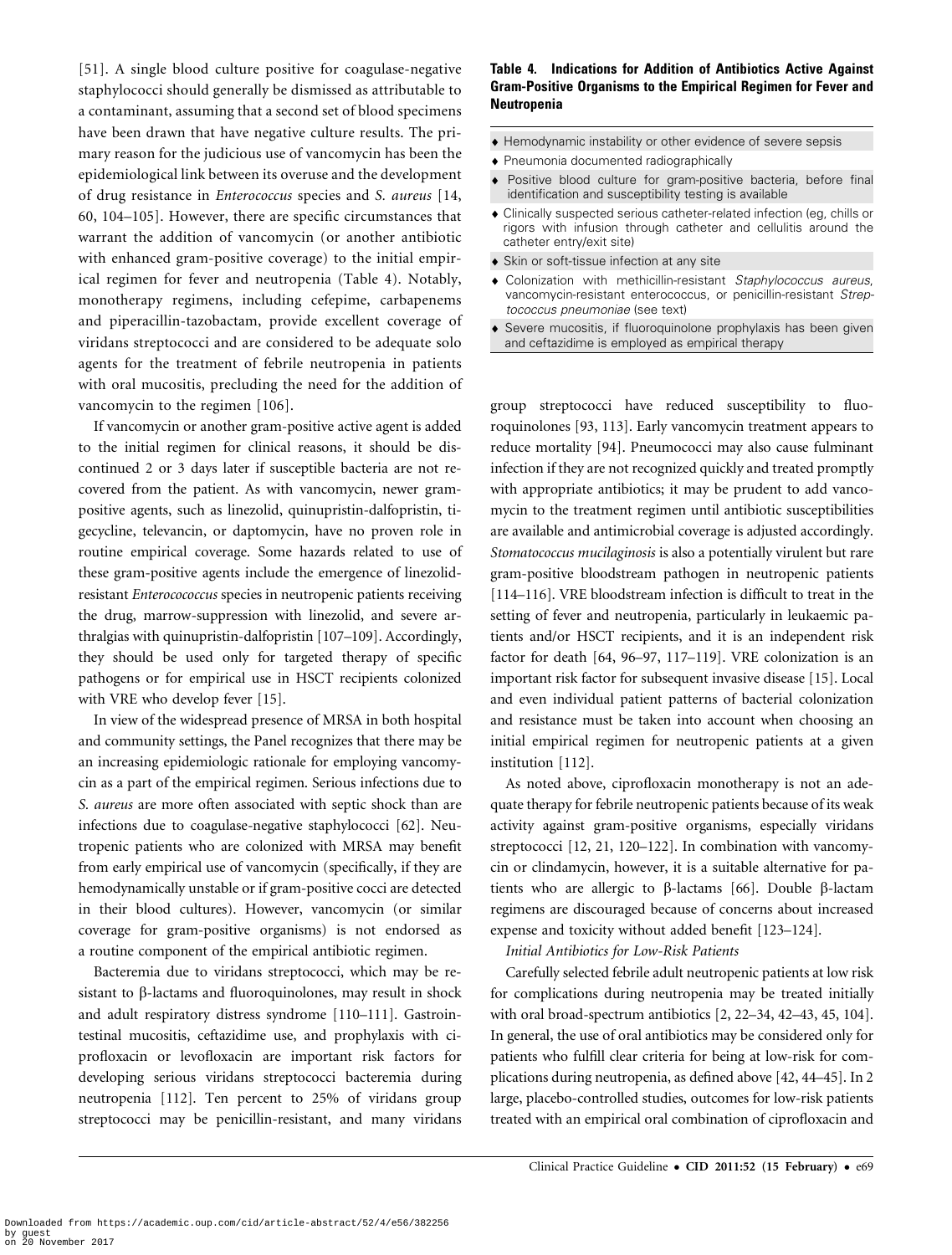[51]. A single blood culture positive for coagulase-negative staphylococci should generally be dismissed as attributable to a contaminant, assuming that a second set of blood specimens have been drawn that have negative culture results. The primary reason for the judicious use of vancomycin has been the epidemiological link between its overuse and the development of drug resistance in Enterococcus species and S. aureus [14, 60, 104–105]. However, there are specific circumstances that warrant the addition of vancomycin (or another antibiotic with enhanced gram-positive coverage) to the initial empirical regimen for fever and neutropenia (Table 4). Notably, monotherapy regimens, including cefepime, carbapenems and piperacillin-tazobactam, provide excellent coverage of viridans streptococci and are considered to be adequate solo agents for the treatment of febrile neutropenia in patients with oral mucositis, precluding the need for the addition of vancomycin to the regimen [106].

If vancomycin or another gram-positive active agent is added to the initial regimen for clinical reasons, it should be discontinued 2 or 3 days later if susceptible bacteria are not recovered from the patient. As with vancomycin, newer grampositive agents, such as linezolid, quinupristin-dalfopristin, tigecycline, televancin, or daptomycin, have no proven role in routine empirical coverage. Some hazards related to use of these gram-positive agents include the emergence of linezolidresistant Enterocococcus species in neutropenic patients receiving the drug, marrow-suppression with linezolid, and severe arthralgias with quinupristin-dalfopristin [107–109]. Accordingly, they should be used only for targeted therapy of specific pathogens or for empirical use in HSCT recipients colonized with VRE who develop fever [15].

In view of the widespread presence of MRSA in both hospital and community settings, the Panel recognizes that there may be an increasing epidemiologic rationale for employing vancomycin as a part of the empirical regimen. Serious infections due to S. aureus are more often associated with septic shock than are infections due to coagulase-negative staphylococci [62]. Neutropenic patients who are colonized with MRSA may benefit from early empirical use of vancomycin (specifically, if they are hemodynamically unstable or if gram-positive cocci are detected in their blood cultures). However, vancomycin (or similar coverage for gram-positive organisms) is not endorsed as a routine component of the empirical antibiotic regimen.

Bacteremia due to viridans streptococci, which may be resistant to  $\beta$ -lactams and fluoroquinolones, may result in shock and adult respiratory distress syndrome [110–111]. Gastrointestinal mucositis, ceftazidime use, and prophylaxis with ciprofloxacin or levofloxacin are important risk factors for developing serious viridans streptococci bacteremia during neutropenia [112]. Ten percent to 25% of viridans group streptococci may be penicillin-resistant, and many viridans

#### Table 4. Indications for Addition of Antibiotics Active Against Gram-Positive Organisms to the Empirical Regimen for Fever and **Neutropenia**

- ¤ Hemodynamic instability or other evidence of severe sepsis
- ¤ Pneumonia documented radiographically
- Positive blood culture for gram-positive bacteria, before final identification and susceptibility testing is available
- ◆ Clinically suspected serious catheter-related infection (eg, chills or rigors with infusion through catheter and cellulitis around the catheter entry/exit site)
- ¤ Skin or soft-tissue infection at any site
- Colonization with methicillin-resistant Staphylococcus aureus, vancomycin-resistant enterococcus, or penicillin-resistant Streptococcus pneumoniae (see text)
- ¤ Severe mucositis, if fluoroquinolone prophylaxis has been given and ceftazidime is employed as empirical therapy

group streptococci have reduced susceptibility to fluoroquinolones [93, 113]. Early vancomycin treatment appears to reduce mortality [94]. Pneumococci may also cause fulminant infection if they are not recognized quickly and treated promptly with appropriate antibiotics; it may be prudent to add vancomycin to the treatment regimen until antibiotic susceptibilities are available and antimicrobial coverage is adjusted accordingly. Stomatococcus mucilaginosis is also a potentially virulent but rare gram-positive bloodstream pathogen in neutropenic patients [114–116]. VRE bloodstream infection is difficult to treat in the setting of fever and neutropenia, particularly in leukaemic patients and/or HSCT recipients, and it is an independent risk factor for death [64, 96–97, 117–119]. VRE colonization is an important risk factor for subsequent invasive disease [15]. Local and even individual patient patterns of bacterial colonization and resistance must be taken into account when choosing an initial empirical regimen for neutropenic patients at a given institution [112].

As noted above, ciprofloxacin monotherapy is not an adequate therapy for febrile neutropenic patients because of its weak activity against gram-positive organisms, especially viridans streptococci [12, 21, 120–122]. In combination with vancomycin or clindamycin, however, it is a suitable alternative for patients who are allergic to  $\beta$ -lactams [66]. Double  $\beta$ -lactam regimens are discouraged because of concerns about increased expense and toxicity without added benefit [123–124].

Initial Antibiotics for Low-Risk Patients

Carefully selected febrile adult neutropenic patients at low risk for complications during neutropenia may be treated initially with oral broad-spectrum antibiotics [2, 22–34, 42–43, 45, 104]. In general, the use of oral antibiotics may be considered only for patients who fulfill clear criteria for being at low-risk for complications during neutropenia, as defined above [42, 44–45]. In 2 large, placebo-controlled studies, outcomes for low-risk patients treated with an empirical oral combination of ciprofloxacin and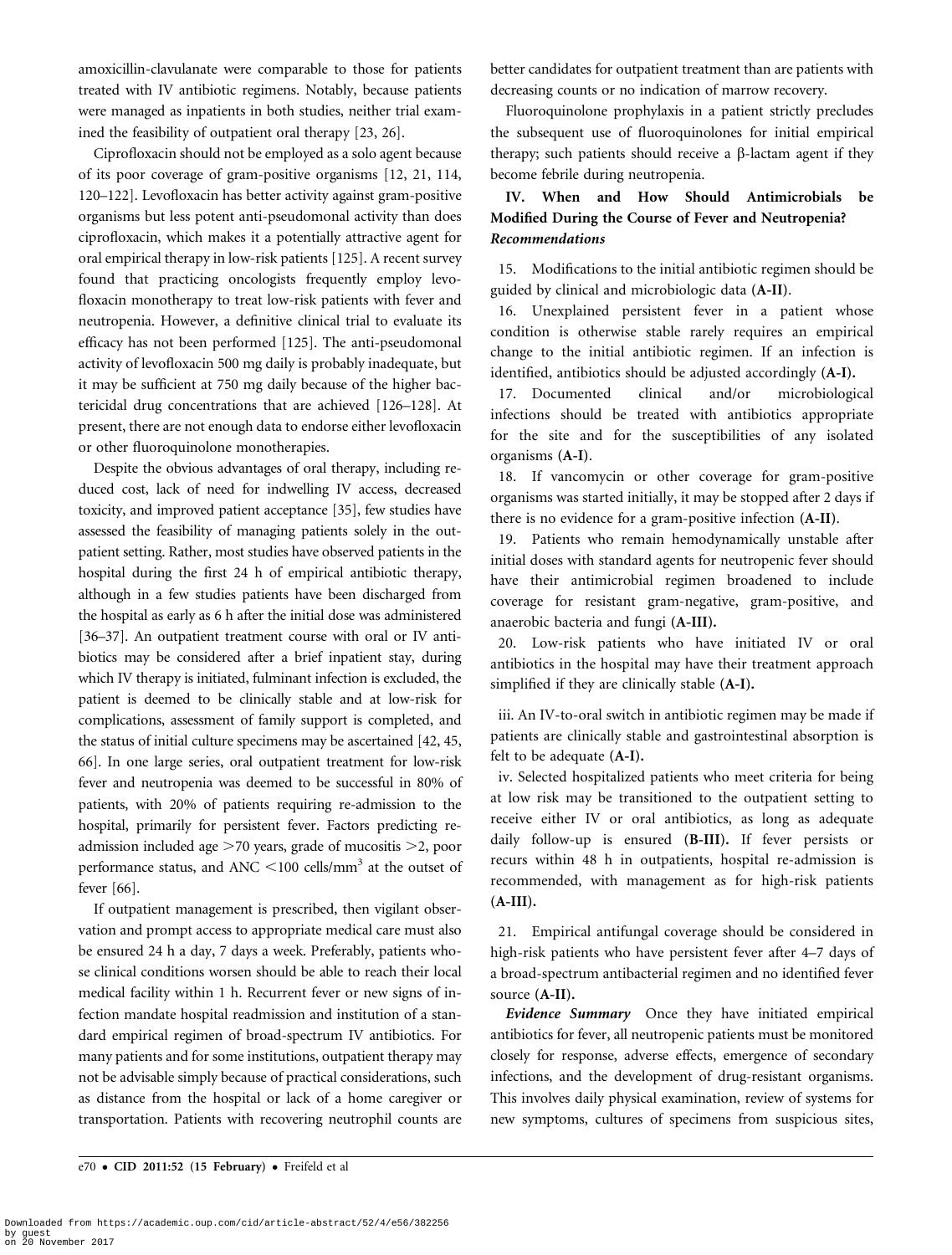amoxicillin-clavulanate were comparable to those for patients treated with IV antibiotic regimens. Notably, because patients were managed as inpatients in both studies, neither trial examined the feasibility of outpatient oral therapy [23, 26].

Ciprofloxacin should not be employed as a solo agent because of its poor coverage of gram-positive organisms [12, 21, 114, 120–122]. Levofloxacin has better activity against gram-positive organisms but less potent anti-pseudomonal activity than does ciprofloxacin, which makes it a potentially attractive agent for oral empirical therapy in low-risk patients [125]. A recent survey found that practicing oncologists frequently employ levofloxacin monotherapy to treat low-risk patients with fever and neutropenia. However, a definitive clinical trial to evaluate its efficacy has not been performed [125]. The anti-pseudomonal activity of levofloxacin 500 mg daily is probably inadequate, but it may be sufficient at 750 mg daily because of the higher bactericidal drug concentrations that are achieved [126–128]. At present, there are not enough data to endorse either levofloxacin or other fluoroquinolone monotherapies.

Despite the obvious advantages of oral therapy, including reduced cost, lack of need for indwelling IV access, decreased toxicity, and improved patient acceptance [35], few studies have assessed the feasibility of managing patients solely in the outpatient setting. Rather, most studies have observed patients in the hospital during the first 24 h of empirical antibiotic therapy, although in a few studies patients have been discharged from the hospital as early as 6 h after the initial dose was administered [36–37]. An outpatient treatment course with oral or IV antibiotics may be considered after a brief inpatient stay, during which IV therapy is initiated, fulminant infection is excluded, the patient is deemed to be clinically stable and at low-risk for complications, assessment of family support is completed, and the status of initial culture specimens may be ascertained [42, 45, 66]. In one large series, oral outpatient treatment for low-risk fever and neutropenia was deemed to be successful in 80% of patients, with 20% of patients requiring re-admission to the hospital, primarily for persistent fever. Factors predicting readmission included age  $>70$  years, grade of mucositis  $>2$ , poor performance status, and ANC <100 cells/mm<sup>3</sup> at the outset of fever [66].

If outpatient management is prescribed, then vigilant observation and prompt access to appropriate medical care must also be ensured 24 h a day, 7 days a week. Preferably, patients whose clinical conditions worsen should be able to reach their local medical facility within 1 h. Recurrent fever or new signs of infection mandate hospital readmission and institution of a standard empirical regimen of broad-spectrum IV antibiotics. For many patients and for some institutions, outpatient therapy may not be advisable simply because of practical considerations, such as distance from the hospital or lack of a home caregiver or transportation. Patients with recovering neutrophil counts are better candidates for outpatient treatment than are patients with decreasing counts or no indication of marrow recovery.

Fluoroquinolone prophylaxis in a patient strictly precludes the subsequent use of fluoroquinolones for initial empirical therapy; such patients should receive a  $\beta$ -lactam agent if they become febrile during neutropenia.

## IV. When and How Should Antimicrobials be Modified During the Course of Fever and Neutropenia? Recommendations

15. Modifications to the initial antibiotic regimen should be guided by clinical and microbiologic data (A-II).

16. Unexplained persistent fever in a patient whose condition is otherwise stable rarely requires an empirical change to the initial antibiotic regimen. If an infection is identified, antibiotics should be adjusted accordingly (A-I).

17. Documented clinical and/or microbiological infections should be treated with antibiotics appropriate for the site and for the susceptibilities of any isolated organisms (A-I).

18. If vancomycin or other coverage for gram-positive organisms was started initially, it may be stopped after 2 days if there is no evidence for a gram-positive infection (A-II).

19. Patients who remain hemodynamically unstable after initial doses with standard agents for neutropenic fever should have their antimicrobial regimen broadened to include coverage for resistant gram-negative, gram-positive, and anaerobic bacteria and fungi (A-III).

20. Low-risk patients who have initiated IV or oral antibiotics in the hospital may have their treatment approach simplified if they are clinically stable (A-I).

iii. An IV-to-oral switch in antibiotic regimen may be made if patients are clinically stable and gastrointestinal absorption is felt to be adequate (A-I).

iv. Selected hospitalized patients who meet criteria for being at low risk may be transitioned to the outpatient setting to receive either IV or oral antibiotics, as long as adequate daily follow-up is ensured (B-III). If fever persists or recurs within 48 h in outpatients, hospital re-admission is recommended, with management as for high-risk patients (A-III).

21. Empirical antifungal coverage should be considered in high-risk patients who have persistent fever after 4–7 days of a broad-spectrum antibacterial regimen and no identified fever source (A-II).

Evidence Summary Once they have initiated empirical antibiotics for fever, all neutropenic patients must be monitored closely for response, adverse effects, emergence of secondary infections, and the development of drug-resistant organisms. This involves daily physical examination, review of systems for new symptoms, cultures of specimens from suspicious sites,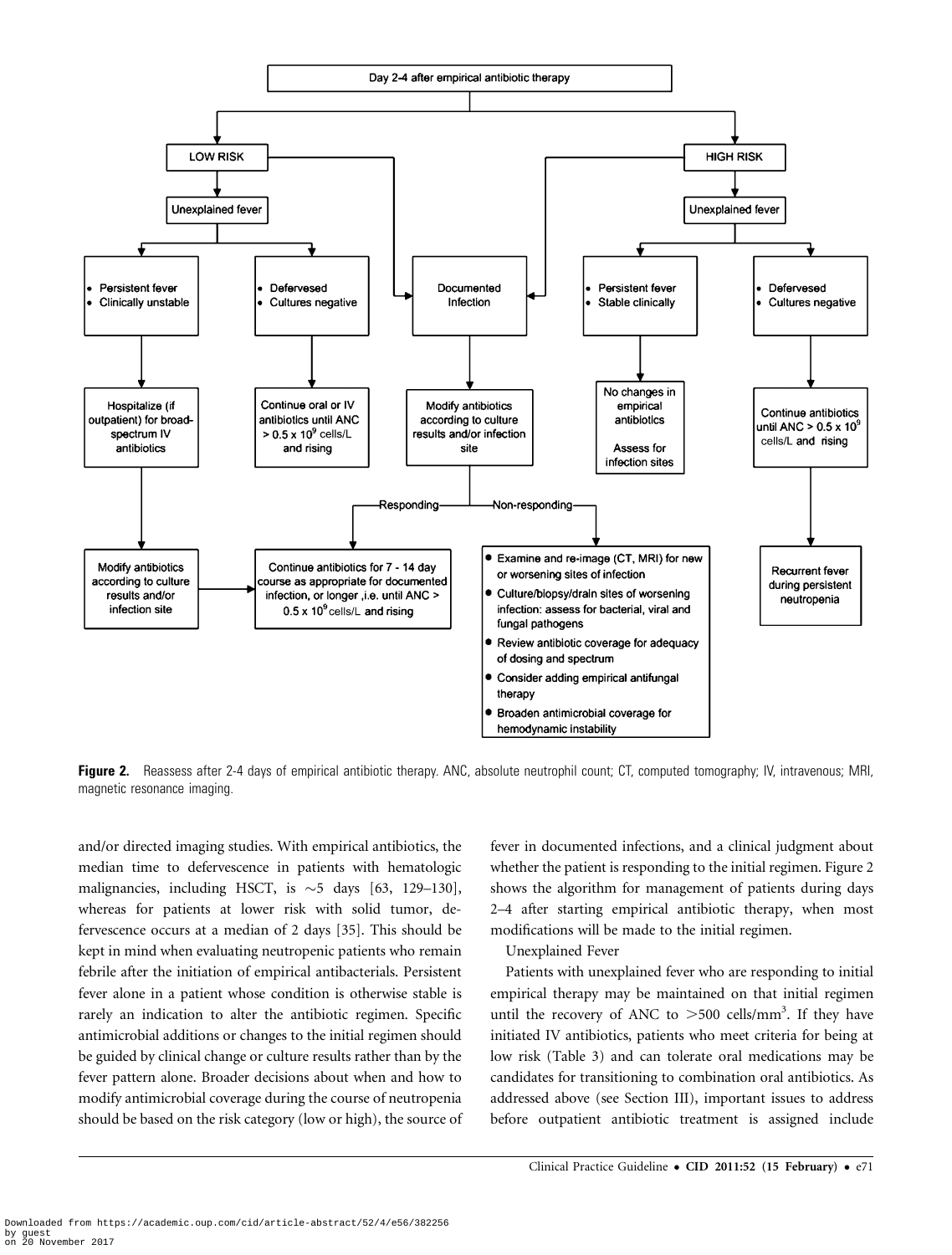

Figure 2. Reassess after 2-4 days of empirical antibiotic therapy. ANC, absolute neutrophil count; CT, computed tomography; IV, intravenous; MRI, magnetic resonance imaging.

and/or directed imaging studies. With empirical antibiotics, the median time to defervescence in patients with hematologic malignancies, including HSCT, is  $\sim$  5 days [63, 129–130], whereas for patients at lower risk with solid tumor, defervescence occurs at a median of 2 days [35]. This should be kept in mind when evaluating neutropenic patients who remain febrile after the initiation of empirical antibacterials. Persistent fever alone in a patient whose condition is otherwise stable is rarely an indication to alter the antibiotic regimen. Specific antimicrobial additions or changes to the initial regimen should be guided by clinical change or culture results rather than by the fever pattern alone. Broader decisions about when and how to modify antimicrobial coverage during the course of neutropenia should be based on the risk category (low or high), the source of fever in documented infections, and a clinical judgment about whether the patient is responding to the initial regimen. Figure 2 shows the algorithm for management of patients during days 2–4 after starting empirical antibiotic therapy, when most modifications will be made to the initial regimen.

Unexplained Fever

Patients with unexplained fever who are responding to initial empirical therapy may be maintained on that initial regimen until the recovery of ANC to  $>$  500 cells/mm<sup>3</sup>. If they have initiated IV antibiotics, patients who meet criteria for being at low risk (Table 3) and can tolerate oral medications may be candidates for transitioning to combination oral antibiotics. As addressed above (see Section III), important issues to address before outpatient antibiotic treatment is assigned include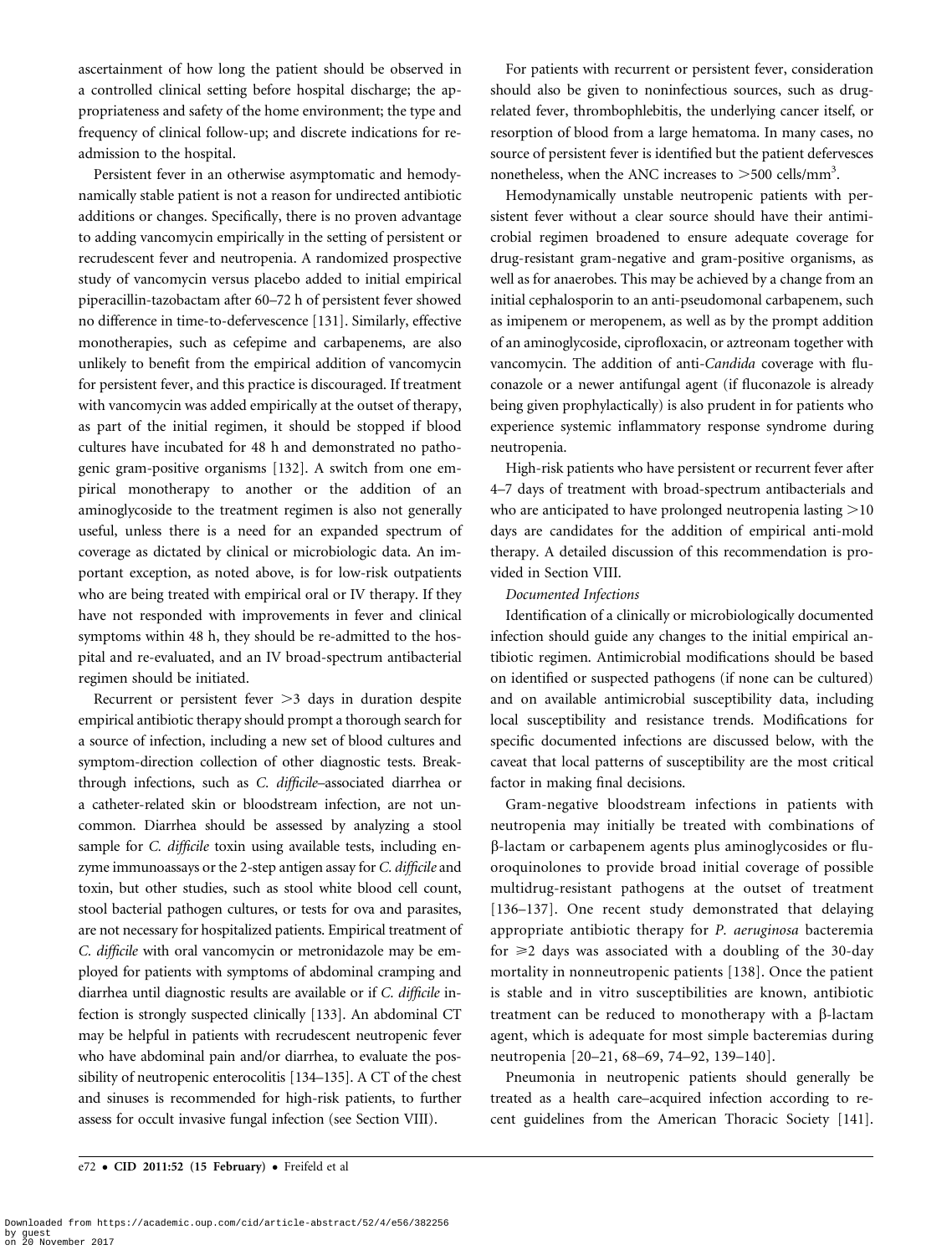ascertainment of how long the patient should be observed in a controlled clinical setting before hospital discharge; the appropriateness and safety of the home environment; the type and frequency of clinical follow-up; and discrete indications for readmission to the hospital.

Persistent fever in an otherwise asymptomatic and hemodynamically stable patient is not a reason for undirected antibiotic additions or changes. Specifically, there is no proven advantage to adding vancomycin empirically in the setting of persistent or recrudescent fever and neutropenia. A randomized prospective study of vancomycin versus placebo added to initial empirical piperacillin-tazobactam after 60–72 h of persistent fever showed no difference in time-to-defervescence [131]. Similarly, effective monotherapies, such as cefepime and carbapenems, are also unlikely to benefit from the empirical addition of vancomycin for persistent fever, and this practice is discouraged. If treatment with vancomycin was added empirically at the outset of therapy, as part of the initial regimen, it should be stopped if blood cultures have incubated for 48 h and demonstrated no pathogenic gram-positive organisms [132]. A switch from one empirical monotherapy to another or the addition of an aminoglycoside to the treatment regimen is also not generally useful, unless there is a need for an expanded spectrum of coverage as dictated by clinical or microbiologic data. An important exception, as noted above, is for low-risk outpatients who are being treated with empirical oral or IV therapy. If they have not responded with improvements in fever and clinical symptoms within 48 h, they should be re-admitted to the hospital and re-evaluated, and an IV broad-spectrum antibacterial regimen should be initiated.

Recurrent or persistent fever  $>3$  days in duration despite empirical antibiotic therapy should prompt a thorough search for a source of infection, including a new set of blood cultures and symptom-direction collection of other diagnostic tests. Breakthrough infections, such as C. difficile–associated diarrhea or a catheter-related skin or bloodstream infection, are not uncommon. Diarrhea should be assessed by analyzing a stool sample for *C. difficile* toxin using available tests, including enzyme immunoassays or the 2-step antigen assay for C. difficile and toxin, but other studies, such as stool white blood cell count, stool bacterial pathogen cultures, or tests for ova and parasites, are not necessary for hospitalized patients. Empirical treatment of C. difficile with oral vancomycin or metronidazole may be employed for patients with symptoms of abdominal cramping and diarrhea until diagnostic results are available or if C. difficile infection is strongly suspected clinically [133]. An abdominal CT may be helpful in patients with recrudescent neutropenic fever who have abdominal pain and/or diarrhea, to evaluate the possibility of neutropenic enterocolitis [134–135]. A CT of the chest and sinuses is recommended for high-risk patients, to further assess for occult invasive fungal infection (see Section VIII).

For patients with recurrent or persistent fever, consideration should also be given to noninfectious sources, such as drugrelated fever, thrombophlebitis, the underlying cancer itself, or resorption of blood from a large hematoma. In many cases, no source of persistent fever is identified but the patient defervesces nonetheless, when the ANC increases to  $>$  500 cells/mm<sup>3</sup>.

Hemodynamically unstable neutropenic patients with persistent fever without a clear source should have their antimicrobial regimen broadened to ensure adequate coverage for drug-resistant gram-negative and gram-positive organisms, as well as for anaerobes. This may be achieved by a change from an initial cephalosporin to an anti-pseudomonal carbapenem, such as imipenem or meropenem, as well as by the prompt addition of an aminoglycoside, ciprofloxacin, or aztreonam together with vancomycin. The addition of anti-Candida coverage with fluconazole or a newer antifungal agent (if fluconazole is already being given prophylactically) is also prudent in for patients who experience systemic inflammatory response syndrome during neutropenia.

High-risk patients who have persistent or recurrent fever after 4–7 days of treatment with broad-spectrum antibacterials and who are anticipated to have prolonged neutropenia lasting  $>10$ days are candidates for the addition of empirical anti-mold therapy. A detailed discussion of this recommendation is provided in Section VIII.

#### Documented Infections

Identification of a clinically or microbiologically documented infection should guide any changes to the initial empirical antibiotic regimen. Antimicrobial modifications should be based on identified or suspected pathogens (if none can be cultured) and on available antimicrobial susceptibility data, including local susceptibility and resistance trends. Modifications for specific documented infections are discussed below, with the caveat that local patterns of susceptibility are the most critical factor in making final decisions.

Gram-negative bloodstream infections in patients with neutropenia may initially be treated with combinations of b-lactam or carbapenem agents plus aminoglycosides or fluoroquinolones to provide broad initial coverage of possible multidrug-resistant pathogens at the outset of treatment [136–137]. One recent study demonstrated that delaying appropriate antibiotic therapy for P. aeruginosa bacteremia for  $\geq 2$  days was associated with a doubling of the 30-day mortality in nonneutropenic patients [138]. Once the patient is stable and in vitro susceptibilities are known, antibiotic treatment can be reduced to monotherapy with a  $\beta$ -lactam agent, which is adequate for most simple bacteremias during neutropenia [20–21, 68–69, 74–92, 139–140].

Pneumonia in neutropenic patients should generally be treated as a health care–acquired infection according to recent guidelines from the American Thoracic Society [141].

e72 · CID 2011:52 (15 February) · Freifeld et al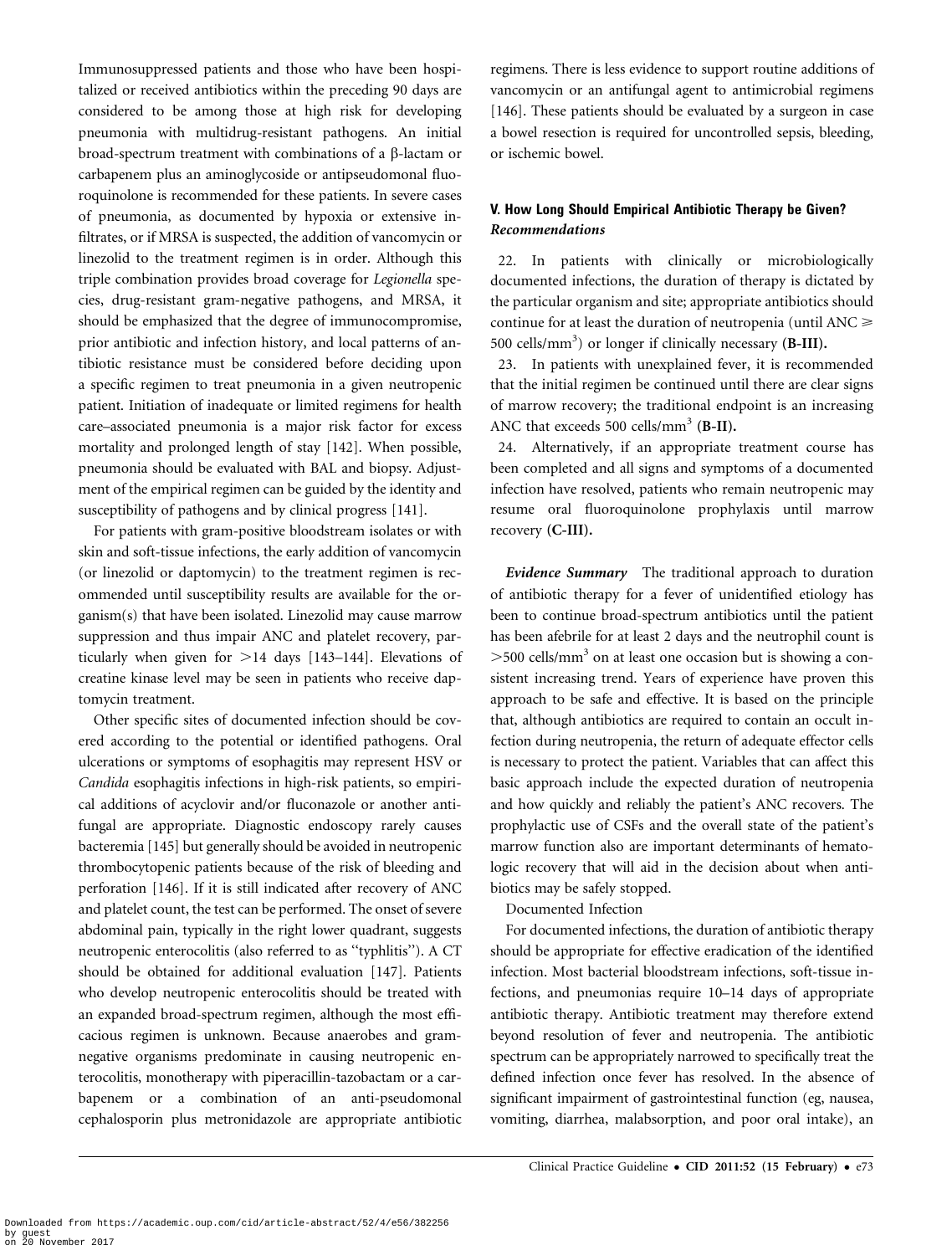Downloaded from https://academic.oup.com/cid/article-abstract/52/4/e56/382256 by guest on 20 November 2017

Immunosuppressed patients and those who have been hospitalized or received antibiotics within the preceding 90 days are considered to be among those at high risk for developing pneumonia with multidrug-resistant pathogens. An initial broad-spectrum treatment with combinations of a  $\beta$ -lactam or carbapenem plus an aminoglycoside or antipseudomonal fluoroquinolone is recommended for these patients. In severe cases of pneumonia, as documented by hypoxia or extensive infiltrates, or if MRSA is suspected, the addition of vancomycin or linezolid to the treatment regimen is in order. Although this triple combination provides broad coverage for Legionella species, drug-resistant gram-negative pathogens, and MRSA, it should be emphasized that the degree of immunocompromise, prior antibiotic and infection history, and local patterns of antibiotic resistance must be considered before deciding upon a specific regimen to treat pneumonia in a given neutropenic patient. Initiation of inadequate or limited regimens for health care–associated pneumonia is a major risk factor for excess mortality and prolonged length of stay [142]. When possible, pneumonia should be evaluated with BAL and biopsy. Adjustment of the empirical regimen can be guided by the identity and susceptibility of pathogens and by clinical progress [141].

For patients with gram-positive bloodstream isolates or with skin and soft-tissue infections, the early addition of vancomycin (or linezolid or daptomycin) to the treatment regimen is recommended until susceptibility results are available for the organism(s) that have been isolated. Linezolid may cause marrow suppression and thus impair ANC and platelet recovery, particularly when given for  $>14$  days [143–144]. Elevations of creatine kinase level may be seen in patients who receive daptomycin treatment.

Other specific sites of documented infection should be covered according to the potential or identified pathogens. Oral ulcerations or symptoms of esophagitis may represent HSV or Candida esophagitis infections in high-risk patients, so empirical additions of acyclovir and/or fluconazole or another antifungal are appropriate. Diagnostic endoscopy rarely causes bacteremia [145] but generally should be avoided in neutropenic thrombocytopenic patients because of the risk of bleeding and perforation [146]. If it is still indicated after recovery of ANC and platelet count, the test can be performed. The onset of severe abdominal pain, typically in the right lower quadrant, suggests neutropenic enterocolitis (also referred to as ''typhlitis''). A CT should be obtained for additional evaluation [147]. Patients who develop neutropenic enterocolitis should be treated with an expanded broad-spectrum regimen, although the most efficacious regimen is unknown. Because anaerobes and gramnegative organisms predominate in causing neutropenic enterocolitis, monotherapy with piperacillin-tazobactam or a carbapenem or a combination of an anti-pseudomonal cephalosporin plus metronidazole are appropriate antibiotic regimens. There is less evidence to support routine additions of vancomycin or an antifungal agent to antimicrobial regimens [146]. These patients should be evaluated by a surgeon in case a bowel resection is required for uncontrolled sepsis, bleeding, or ischemic bowel.

## V. How Long Should Empirical Antibiotic Therapy be Given? Recommendations

22. In patients with clinically or microbiologically documented infections, the duration of therapy is dictated by the particular organism and site; appropriate antibiotics should continue for at least the duration of neutropenia (until  $ANC \ge$ 500 cells/ $\text{mm}^3$ ) or longer if clinically necessary (B-III).

23. In patients with unexplained fever, it is recommended that the initial regimen be continued until there are clear signs of marrow recovery; the traditional endpoint is an increasing ANC that exceeds 500 cells/mm<sup>3</sup> (B-II).

24. Alternatively, if an appropriate treatment course has been completed and all signs and symptoms of a documented infection have resolved, patients who remain neutropenic may resume oral fluoroquinolone prophylaxis until marrow recovery (C-III).

Evidence Summary The traditional approach to duration of antibiotic therapy for a fever of unidentified etiology has been to continue broad-spectrum antibiotics until the patient has been afebrile for at least 2 days and the neutrophil count is  $>500$  cells/mm<sup>3</sup> on at least one occasion but is showing a consistent increasing trend. Years of experience have proven this approach to be safe and effective. It is based on the principle that, although antibiotics are required to contain an occult infection during neutropenia, the return of adequate effector cells is necessary to protect the patient. Variables that can affect this basic approach include the expected duration of neutropenia and how quickly and reliably the patient's ANC recovers. The prophylactic use of CSFs and the overall state of the patient's marrow function also are important determinants of hematologic recovery that will aid in the decision about when antibiotics may be safely stopped.

Documented Infection

For documented infections, the duration of antibiotic therapy should be appropriate for effective eradication of the identified infection. Most bacterial bloodstream infections, soft-tissue infections, and pneumonias require 10–14 days of appropriate antibiotic therapy. Antibiotic treatment may therefore extend beyond resolution of fever and neutropenia. The antibiotic spectrum can be appropriately narrowed to specifically treat the defined infection once fever has resolved. In the absence of significant impairment of gastrointestinal function (eg, nausea, vomiting, diarrhea, malabsorption, and poor oral intake), an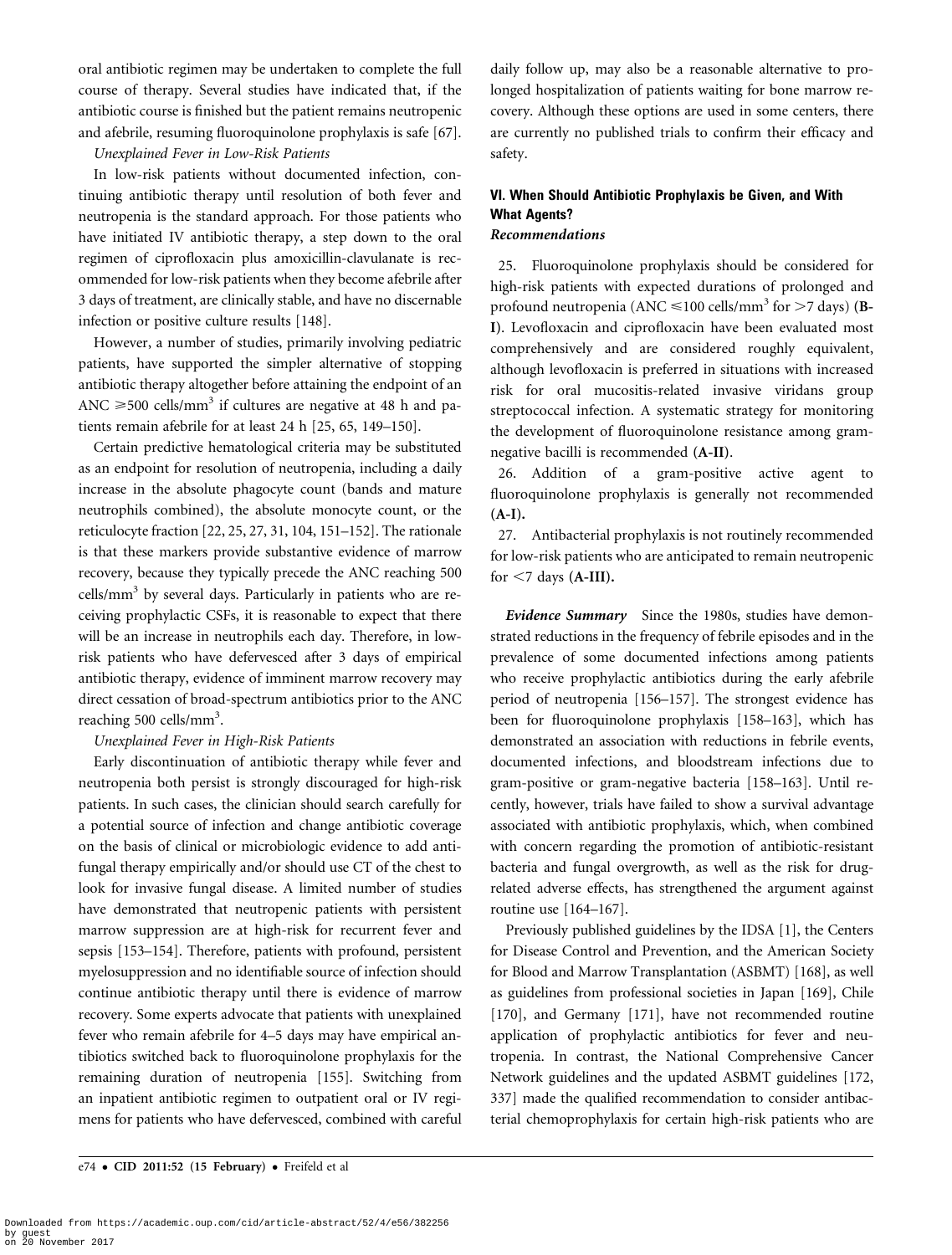oral antibiotic regimen may be undertaken to complete the full course of therapy. Several studies have indicated that, if the antibiotic course is finished but the patient remains neutropenic and afebrile, resuming fluoroquinolone prophylaxis is safe [67].

Unexplained Fever in Low-Risk Patients

In low-risk patients without documented infection, continuing antibiotic therapy until resolution of both fever and neutropenia is the standard approach. For those patients who have initiated IV antibiotic therapy, a step down to the oral regimen of ciprofloxacin plus amoxicillin-clavulanate is recommended for low-risk patients when they become afebrile after 3 days of treatment, are clinically stable, and have no discernable infection or positive culture results [148].

However, a number of studies, primarily involving pediatric patients, have supported the simpler alternative of stopping antibiotic therapy altogether before attaining the endpoint of an ANC  $\geq 500$  cells/mm<sup>3</sup> if cultures are negative at 48 h and patients remain afebrile for at least 24 h [25, 65, 149–150].

Certain predictive hematological criteria may be substituted as an endpoint for resolution of neutropenia, including a daily increase in the absolute phagocyte count (bands and mature neutrophils combined), the absolute monocyte count, or the reticulocyte fraction [22, 25, 27, 31, 104, 151–152]. The rationale is that these markers provide substantive evidence of marrow recovery, because they typically precede the ANC reaching 500  $cells/mm<sup>3</sup>$  by several days. Particularly in patients who are receiving prophylactic CSFs, it is reasonable to expect that there will be an increase in neutrophils each day. Therefore, in lowrisk patients who have defervesced after 3 days of empirical antibiotic therapy, evidence of imminent marrow recovery may direct cessation of broad-spectrum antibiotics prior to the ANC reaching 500 cells/mm<sup>3</sup>.

Unexplained Fever in High-Risk Patients

Early discontinuation of antibiotic therapy while fever and neutropenia both persist is strongly discouraged for high-risk patients. In such cases, the clinician should search carefully for a potential source of infection and change antibiotic coverage on the basis of clinical or microbiologic evidence to add antifungal therapy empirically and/or should use CT of the chest to look for invasive fungal disease. A limited number of studies have demonstrated that neutropenic patients with persistent marrow suppression are at high-risk for recurrent fever and sepsis [153–154]. Therefore, patients with profound, persistent myelosuppression and no identifiable source of infection should continue antibiotic therapy until there is evidence of marrow recovery. Some experts advocate that patients with unexplained fever who remain afebrile for 4–5 days may have empirical antibiotics switched back to fluoroquinolone prophylaxis for the remaining duration of neutropenia [155]. Switching from an inpatient antibiotic regimen to outpatient oral or IV regimens for patients who have defervesced, combined with careful

e74 · CID 2011:52 (15 February) · Freifeld et al

daily follow up, may also be a reasonable alternative to prolonged hospitalization of patients waiting for bone marrow recovery. Although these options are used in some centers, there are currently no published trials to confirm their efficacy and safety.

#### VI. When Should Antibiotic Prophylaxis be Given, and With What Agents? Recommendations

25. Fluoroquinolone prophylaxis should be considered for high-risk patients with expected durations of prolonged and profound neutropenia (ANC  $\leq$  100 cells/mm<sup>3</sup> for >7 days) (**B**-I). Levofloxacin and ciprofloxacin have been evaluated most comprehensively and are considered roughly equivalent, although levofloxacin is preferred in situations with increased risk for oral mucositis-related invasive viridans group streptococcal infection. A systematic strategy for monitoring the development of fluoroquinolone resistance among gramnegative bacilli is recommended (A-II).

26. Addition of a gram-positive active agent to fluoroquinolone prophylaxis is generally not recommended (A-I).

27. Antibacterial prophylaxis is not routinely recommended for low-risk patients who are anticipated to remain neutropenic for  $<$ 7 days (A-III).

Evidence Summary Since the 1980s, studies have demonstrated reductions in the frequency of febrile episodes and in the prevalence of some documented infections among patients who receive prophylactic antibiotics during the early afebrile period of neutropenia [156–157]. The strongest evidence has been for fluoroquinolone prophylaxis [158–163], which has demonstrated an association with reductions in febrile events, documented infections, and bloodstream infections due to gram-positive or gram-negative bacteria [158–163]. Until recently, however, trials have failed to show a survival advantage associated with antibiotic prophylaxis, which, when combined with concern regarding the promotion of antibiotic-resistant bacteria and fungal overgrowth, as well as the risk for drugrelated adverse effects, has strengthened the argument against routine use [164–167].

Previously published guidelines by the IDSA [1], the Centers for Disease Control and Prevention, and the American Society for Blood and Marrow Transplantation (ASBMT) [168], as well as guidelines from professional societies in Japan [169], Chile [170], and Germany [171], have not recommended routine application of prophylactic antibiotics for fever and neutropenia. In contrast, the National Comprehensive Cancer Network guidelines and the updated ASBMT guidelines [172, 337] made the qualified recommendation to consider antibacterial chemoprophylaxis for certain high-risk patients who are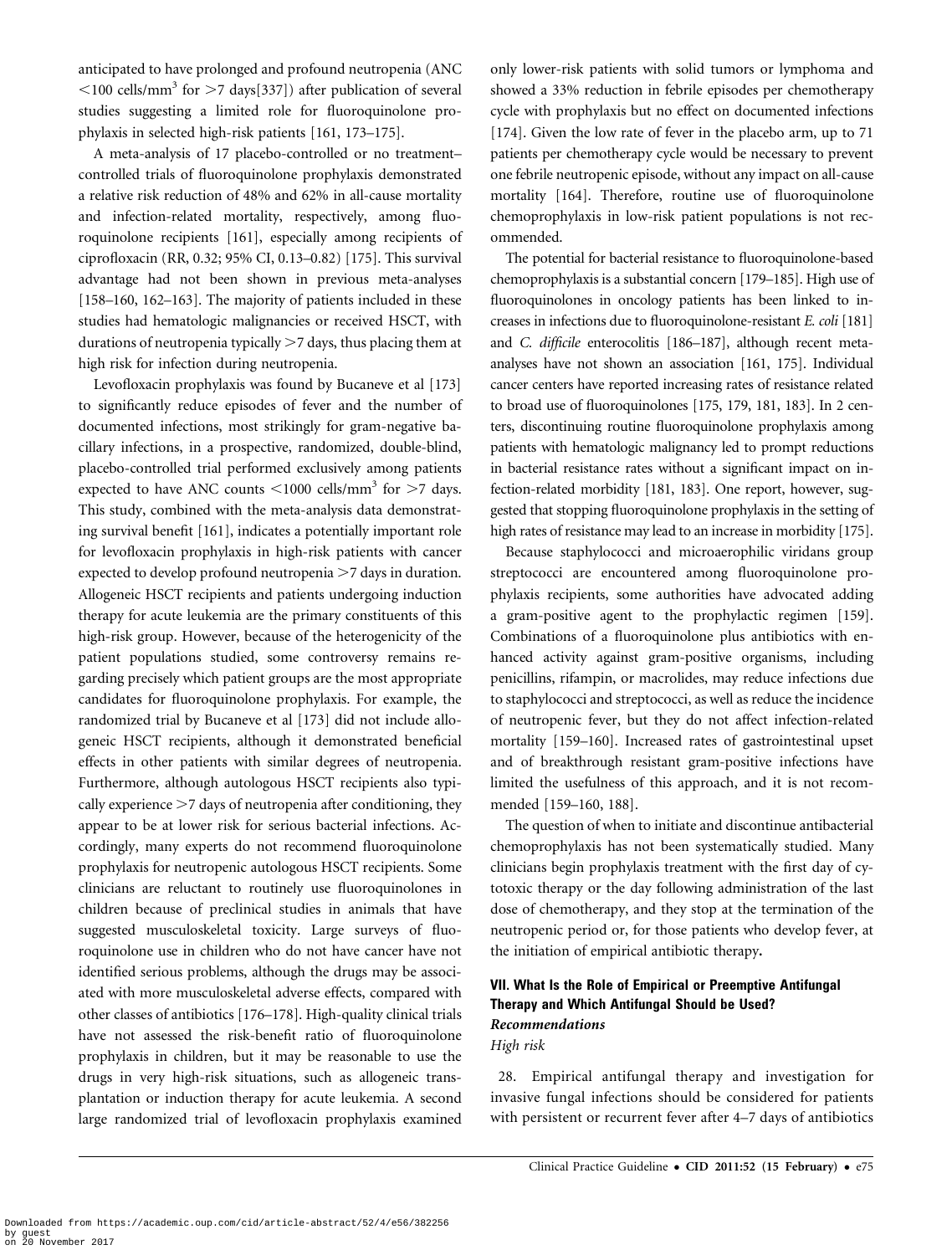anticipated to have prolonged and profound neutropenia (ANC  $\leq$ 100 cells/mm<sup>3</sup> for  $\geq$ 7 days[337]) after publication of several studies suggesting a limited role for fluoroquinolone prophylaxis in selected high-risk patients [161, 173–175].

A meta-analysis of 17 placebo-controlled or no treatment– controlled trials of fluoroquinolone prophylaxis demonstrated a relative risk reduction of 48% and 62% in all-cause mortality and infection-related mortality, respectively, among fluoroquinolone recipients [161], especially among recipients of ciprofloxacin (RR, 0.32; 95% CI, 0.13–0.82) [175]. This survival advantage had not been shown in previous meta-analyses [158–160, 162–163]. The majority of patients included in these studies had hematologic malignancies or received HSCT, with durations of neutropenia typically  $>7$  days, thus placing them at high risk for infection during neutropenia.

Levofloxacin prophylaxis was found by Bucaneve et al [173] to significantly reduce episodes of fever and the number of documented infections, most strikingly for gram-negative bacillary infections, in a prospective, randomized, double-blind, placebo-controlled trial performed exclusively among patients expected to have ANC counts  $\leq 1000$  cells/mm<sup>3</sup> for  $\geq 7$  days. This study, combined with the meta-analysis data demonstrating survival benefit [161], indicates a potentially important role for levofloxacin prophylaxis in high-risk patients with cancer expected to develop profound neutropenia  $\geq$  7 days in duration. Allogeneic HSCT recipients and patients undergoing induction therapy for acute leukemia are the primary constituents of this high-risk group. However, because of the heterogenicity of the patient populations studied, some controversy remains regarding precisely which patient groups are the most appropriate candidates for fluoroquinolone prophylaxis. For example, the randomized trial by Bucaneve et al [173] did not include allogeneic HSCT recipients, although it demonstrated beneficial effects in other patients with similar degrees of neutropenia. Furthermore, although autologous HSCT recipients also typically experience  $>7$  days of neutropenia after conditioning, they appear to be at lower risk for serious bacterial infections. Accordingly, many experts do not recommend fluoroquinolone prophylaxis for neutropenic autologous HSCT recipients. Some clinicians are reluctant to routinely use fluoroquinolones in children because of preclinical studies in animals that have suggested musculoskeletal toxicity. Large surveys of fluoroquinolone use in children who do not have cancer have not identified serious problems, although the drugs may be associated with more musculoskeletal adverse effects, compared with other classes of antibiotics [176–178]. High-quality clinical trials have not assessed the risk-benefit ratio of fluoroquinolone prophylaxis in children, but it may be reasonable to use the drugs in very high-risk situations, such as allogeneic transplantation or induction therapy for acute leukemia. A second large randomized trial of levofloxacin prophylaxis examined

only lower-risk patients with solid tumors or lymphoma and showed a 33% reduction in febrile episodes per chemotherapy cycle with prophylaxis but no effect on documented infections [174]. Given the low rate of fever in the placebo arm, up to 71 patients per chemotherapy cycle would be necessary to prevent one febrile neutropenic episode, without any impact on all-cause mortality [164]. Therefore, routine use of fluoroquinolone chemoprophylaxis in low-risk patient populations is not recommended.

The potential for bacterial resistance to fluoroquinolone-based chemoprophylaxis is a substantial concern [179–185]. High use of fluoroquinolones in oncology patients has been linked to increases in infections due to fluoroquinolone-resistant E. coli [181] and C. difficile enterocolitis [186–187], although recent metaanalyses have not shown an association [161, 175]. Individual cancer centers have reported increasing rates of resistance related to broad use of fluoroquinolones [175, 179, 181, 183]. In 2 centers, discontinuing routine fluoroquinolone prophylaxis among patients with hematologic malignancy led to prompt reductions in bacterial resistance rates without a significant impact on infection-related morbidity [181, 183]. One report, however, suggested that stopping fluoroquinolone prophylaxis in the setting of high rates of resistance may lead to an increase in morbidity [175].

Because staphylococci and microaerophilic viridans group streptococci are encountered among fluoroquinolone prophylaxis recipients, some authorities have advocated adding a gram-positive agent to the prophylactic regimen [159]. Combinations of a fluoroquinolone plus antibiotics with enhanced activity against gram-positive organisms, including penicillins, rifampin, or macrolides, may reduce infections due to staphylococci and streptococci, as well as reduce the incidence of neutropenic fever, but they do not affect infection-related mortality [159–160]. Increased rates of gastrointestinal upset and of breakthrough resistant gram-positive infections have limited the usefulness of this approach, and it is not recommended [159–160, 188].

The question of when to initiate and discontinue antibacterial chemoprophylaxis has not been systematically studied. Many clinicians begin prophylaxis treatment with the first day of cytotoxic therapy or the day following administration of the last dose of chemotherapy, and they stop at the termination of the neutropenic period or, for those patients who develop fever, at the initiation of empirical antibiotic therapy.

## VII. What Is the Role of Empirical or Preemptive Antifungal Therapy and Which Antifungal Should be Used? Recommendations High risk

28. Empirical antifungal therapy and investigation for invasive fungal infections should be considered for patients with persistent or recurrent fever after 4–7 days of antibiotics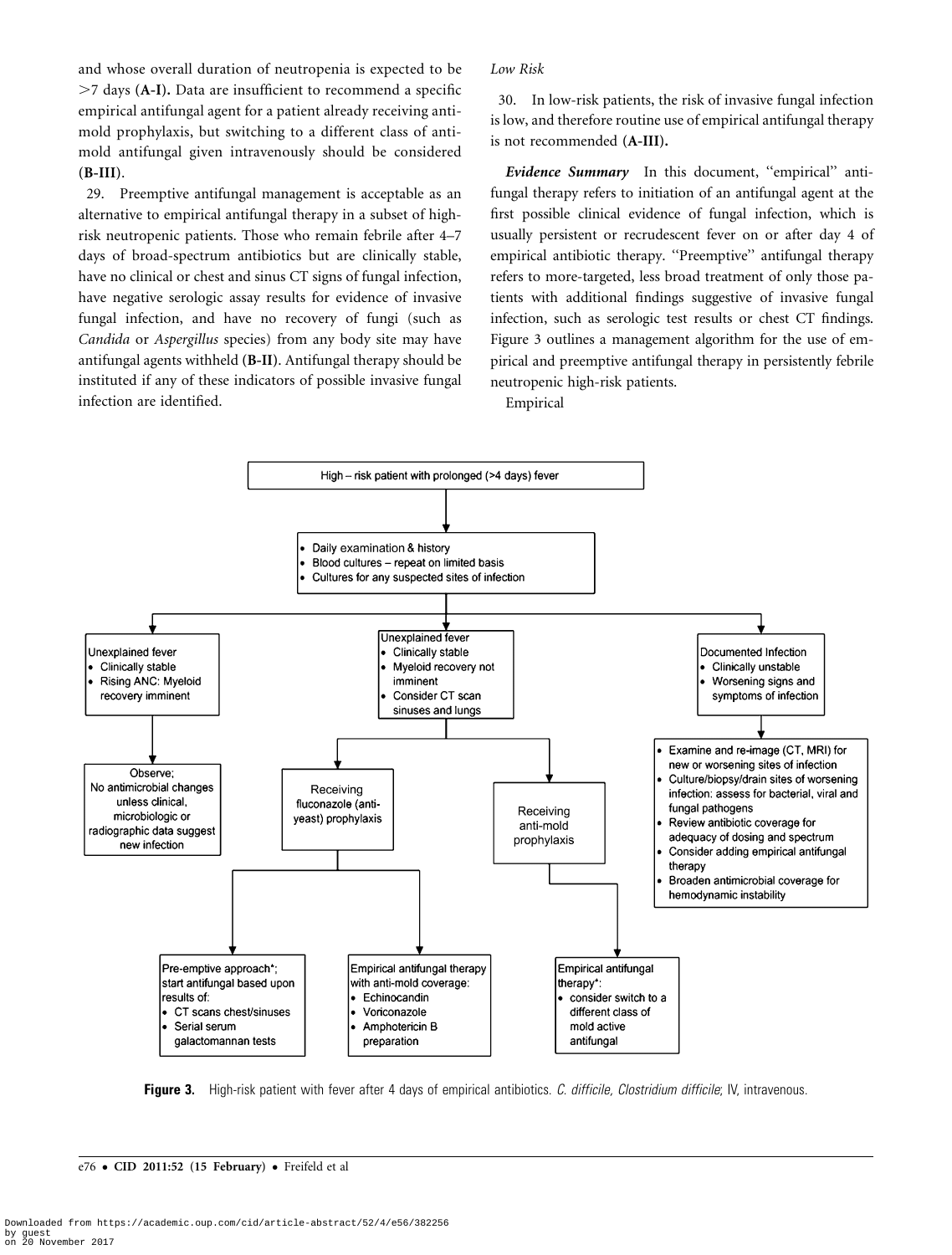and whose overall duration of neutropenia is expected to be  $>7$  days (A-I). Data are insufficient to recommend a specific empirical antifungal agent for a patient already receiving antimold prophylaxis, but switching to a different class of antimold antifungal given intravenously should be considered  $(B-III).$ 

29. Preemptive antifungal management is acceptable as an alternative to empirical antifungal therapy in a subset of highrisk neutropenic patients. Those who remain febrile after 4–7 days of broad-spectrum antibiotics but are clinically stable, have no clinical or chest and sinus CT signs of fungal infection, have negative serologic assay results for evidence of invasive fungal infection, and have no recovery of fungi (such as Candida or Aspergillus species) from any body site may have antifungal agents withheld (B-II). Antifungal therapy should be instituted if any of these indicators of possible invasive fungal infection are identified.

#### Low Risk

30. In low-risk patients, the risk of invasive fungal infection is low, and therefore routine use of empirical antifungal therapy is not recommended (A-III).

Evidence Summary In this document, "empirical" antifungal therapy refers to initiation of an antifungal agent at the first possible clinical evidence of fungal infection, which is usually persistent or recrudescent fever on or after day 4 of empirical antibiotic therapy. ''Preemptive'' antifungal therapy refers to more-targeted, less broad treatment of only those patients with additional findings suggestive of invasive fungal infection, such as serologic test results or chest CT findings. Figure 3 outlines a management algorithm for the use of empirical and preemptive antifungal therapy in persistently febrile neutropenic high-risk patients.

Empirical



Figure 3. High-risk patient with fever after 4 days of empirical antibiotics. C. difficile, Clostridium difficile; IV, intravenous.

e76 · CID 2011:52 (15 February) · Freifeld et al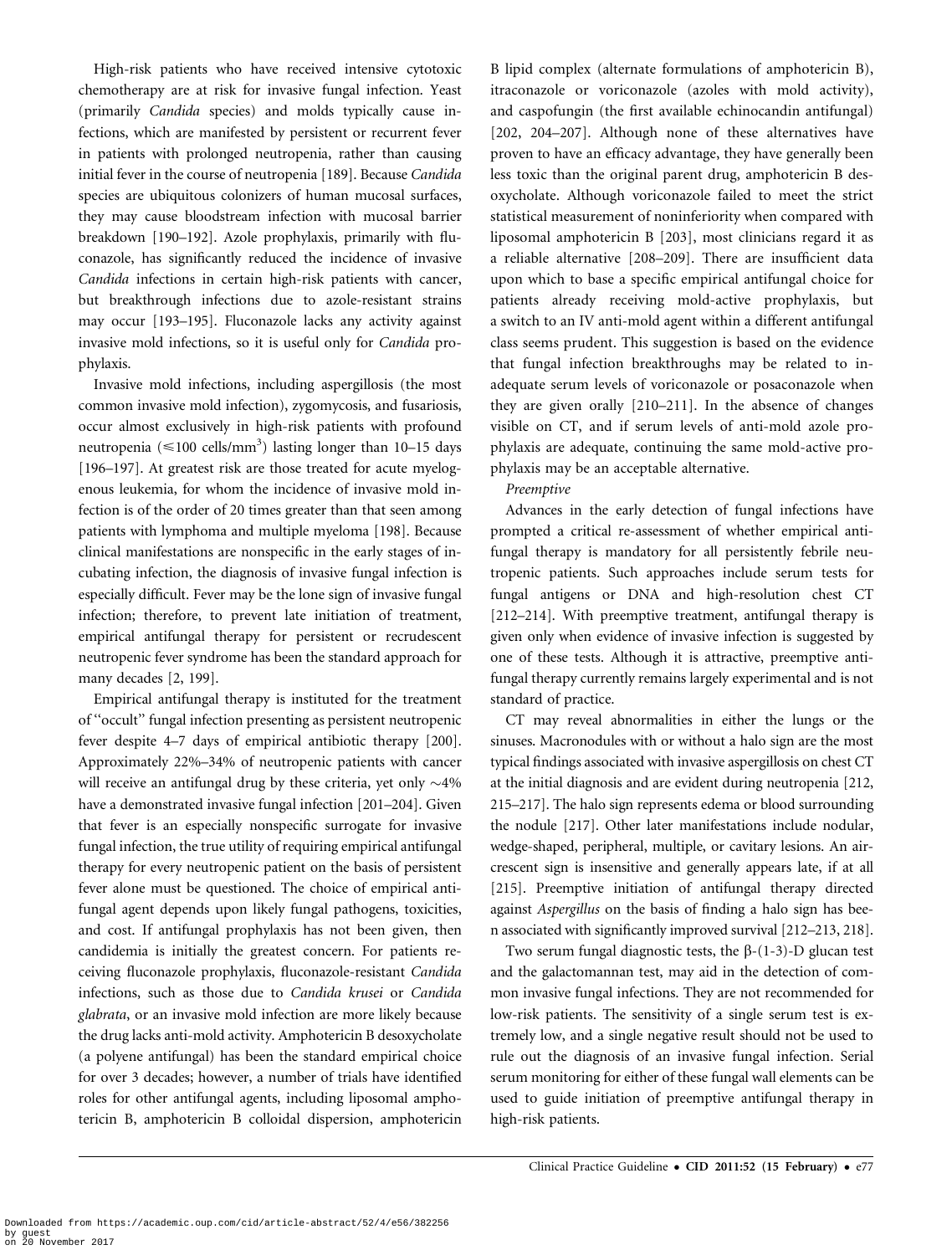High-risk patients who have received intensive cytotoxic chemotherapy are at risk for invasive fungal infection. Yeast (primarily Candida species) and molds typically cause infections, which are manifested by persistent or recurrent fever in patients with prolonged neutropenia, rather than causing initial fever in the course of neutropenia [189]. Because Candida species are ubiquitous colonizers of human mucosal surfaces, they may cause bloodstream infection with mucosal barrier breakdown [190–192]. Azole prophylaxis, primarily with fluconazole, has significantly reduced the incidence of invasive Candida infections in certain high-risk patients with cancer, but breakthrough infections due to azole-resistant strains may occur [193–195]. Fluconazole lacks any activity against invasive mold infections, so it is useful only for Candida prophylaxis.

Invasive mold infections, including aspergillosis (the most common invasive mold infection), zygomycosis, and fusariosis, occur almost exclusively in high-risk patients with profound neutropenia ( $\leq 100$  cells/mm<sup>3</sup>) lasting longer than 10–15 days [196–197]. At greatest risk are those treated for acute myelogenous leukemia, for whom the incidence of invasive mold infection is of the order of 20 times greater than that seen among patients with lymphoma and multiple myeloma [198]. Because clinical manifestations are nonspecific in the early stages of incubating infection, the diagnosis of invasive fungal infection is especially difficult. Fever may be the lone sign of invasive fungal infection; therefore, to prevent late initiation of treatment, empirical antifungal therapy for persistent or recrudescent neutropenic fever syndrome has been the standard approach for many decades [2, 199].

Empirical antifungal therapy is instituted for the treatment of ''occult'' fungal infection presenting as persistent neutropenic fever despite 4–7 days of empirical antibiotic therapy [200]. Approximately 22%–34% of neutropenic patients with cancer will receive an antifungal drug by these criteria, yet only  $\sim$ 4% have a demonstrated invasive fungal infection [201–204]. Given that fever is an especially nonspecific surrogate for invasive fungal infection, the true utility of requiring empirical antifungal therapy for every neutropenic patient on the basis of persistent fever alone must be questioned. The choice of empirical antifungal agent depends upon likely fungal pathogens, toxicities, and cost. If antifungal prophylaxis has not been given, then candidemia is initially the greatest concern. For patients receiving fluconazole prophylaxis, fluconazole-resistant Candida infections, such as those due to Candida krusei or Candida glabrata, or an invasive mold infection are more likely because the drug lacks anti-mold activity. Amphotericin B desoxycholate (a polyene antifungal) has been the standard empirical choice for over 3 decades; however, a number of trials have identified roles for other antifungal agents, including liposomal amphotericin B, amphotericin B colloidal dispersion, amphotericin

B lipid complex (alternate formulations of amphotericin B), itraconazole or voriconazole (azoles with mold activity), and caspofungin (the first available echinocandin antifungal) [202, 204–207]. Although none of these alternatives have proven to have an efficacy advantage, they have generally been less toxic than the original parent drug, amphotericin B desoxycholate. Although voriconazole failed to meet the strict statistical measurement of noninferiority when compared with liposomal amphotericin B [203], most clinicians regard it as a reliable alternative [208–209]. There are insufficient data upon which to base a specific empirical antifungal choice for patients already receiving mold-active prophylaxis, but a switch to an IV anti-mold agent within a different antifungal class seems prudent. This suggestion is based on the evidence that fungal infection breakthroughs may be related to inadequate serum levels of voriconazole or posaconazole when they are given orally [210–211]. In the absence of changes visible on CT, and if serum levels of anti-mold azole prophylaxis are adequate, continuing the same mold-active prophylaxis may be an acceptable alternative.

Preemptive

Advances in the early detection of fungal infections have prompted a critical re-assessment of whether empirical antifungal therapy is mandatory for all persistently febrile neutropenic patients. Such approaches include serum tests for fungal antigens or DNA and high-resolution chest CT [212–214]. With preemptive treatment, antifungal therapy is given only when evidence of invasive infection is suggested by one of these tests. Although it is attractive, preemptive antifungal therapy currently remains largely experimental and is not standard of practice.

CT may reveal abnormalities in either the lungs or the sinuses. Macronodules with or without a halo sign are the most typical findings associated with invasive aspergillosis on chest CT at the initial diagnosis and are evident during neutropenia [212, 215–217]. The halo sign represents edema or blood surrounding the nodule [217]. Other later manifestations include nodular, wedge-shaped, peripheral, multiple, or cavitary lesions. An aircrescent sign is insensitive and generally appears late, if at all [215]. Preemptive initiation of antifungal therapy directed against Aspergillus on the basis of finding a halo sign has been associated with significantly improved survival [212–213, 218].

Two serum fungal diagnostic tests, the  $\beta$ -(1-3)-D glucan test and the galactomannan test, may aid in the detection of common invasive fungal infections. They are not recommended for low-risk patients. The sensitivity of a single serum test is extremely low, and a single negative result should not be used to rule out the diagnosis of an invasive fungal infection. Serial serum monitoring for either of these fungal wall elements can be used to guide initiation of preemptive antifungal therapy in high-risk patients.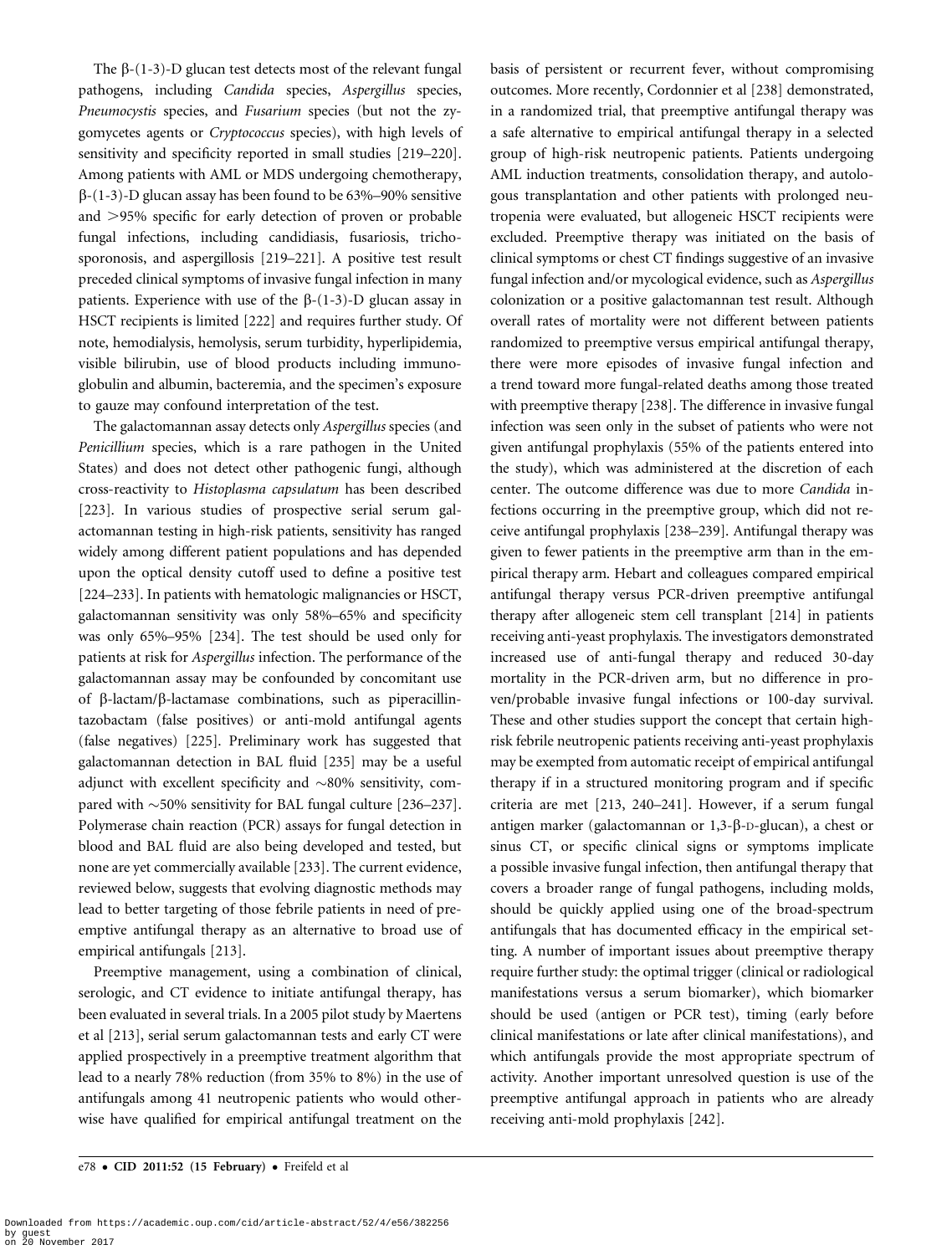The  $\beta$ -(1-3)-D glucan test detects most of the relevant fungal pathogens, including Candida species, Aspergillus species, Pneumocystis species, and Fusarium species (but not the zygomycetes agents or Cryptococcus species), with high levels of sensitivity and specificity reported in small studies [219–220]. Among patients with AML or MDS undergoing chemotherapy,  $\beta$ -(1-3)-D glucan assay has been found to be 63%–90% sensitive and  $>95\%$  specific for early detection of proven or probable fungal infections, including candidiasis, fusariosis, trichosporonosis, and aspergillosis [219–221]. A positive test result preceded clinical symptoms of invasive fungal infection in many patients. Experience with use of the  $\beta$ -(1-3)-D glucan assay in HSCT recipients is limited [222] and requires further study. Of note, hemodialysis, hemolysis, serum turbidity, hyperlipidemia, visible bilirubin, use of blood products including immunoglobulin and albumin, bacteremia, and the specimen's exposure to gauze may confound interpretation of the test.

The galactomannan assay detects only Aspergillus species (and Penicillium species, which is a rare pathogen in the United States) and does not detect other pathogenic fungi, although cross-reactivity to Histoplasma capsulatum has been described [223]. In various studies of prospective serial serum galactomannan testing in high-risk patients, sensitivity has ranged widely among different patient populations and has depended upon the optical density cutoff used to define a positive test [224–233]. In patients with hematologic malignancies or HSCT, galactomannan sensitivity was only 58%–65% and specificity was only 65%–95% [234]. The test should be used only for patients at risk for Aspergillus infection. The performance of the galactomannan assay may be confounded by concomitant use of  $\beta$ -lactam/ $\beta$ -lactamase combinations, such as piperacillintazobactam (false positives) or anti-mold antifungal agents (false negatives) [225]. Preliminary work has suggested that galactomannan detection in BAL fluid [235] may be a useful adjunct with excellent specificity and  $\sim80\%$  sensitivity, compared with  $\sim$ 50% sensitivity for BAL fungal culture [236–237]. Polymerase chain reaction (PCR) assays for fungal detection in blood and BAL fluid are also being developed and tested, but none are yet commercially available [233]. The current evidence, reviewed below, suggests that evolving diagnostic methods may lead to better targeting of those febrile patients in need of preemptive antifungal therapy as an alternative to broad use of empirical antifungals [213].

Preemptive management, using a combination of clinical, serologic, and CT evidence to initiate antifungal therapy, has been evaluated in several trials. In a 2005 pilot study by Maertens et al [213], serial serum galactomannan tests and early CT were applied prospectively in a preemptive treatment algorithm that lead to a nearly 78% reduction (from 35% to 8%) in the use of antifungals among 41 neutropenic patients who would otherwise have qualified for empirical antifungal treatment on the

basis of persistent or recurrent fever, without compromising outcomes. More recently, Cordonnier et al [238] demonstrated, in a randomized trial, that preemptive antifungal therapy was a safe alternative to empirical antifungal therapy in a selected group of high-risk neutropenic patients. Patients undergoing AML induction treatments, consolidation therapy, and autologous transplantation and other patients with prolonged neutropenia were evaluated, but allogeneic HSCT recipients were excluded. Preemptive therapy was initiated on the basis of clinical symptoms or chest CT findings suggestive of an invasive fungal infection and/or mycological evidence, such as Aspergillus colonization or a positive galactomannan test result. Although overall rates of mortality were not different between patients randomized to preemptive versus empirical antifungal therapy, there were more episodes of invasive fungal infection and a trend toward more fungal-related deaths among those treated with preemptive therapy [238]. The difference in invasive fungal infection was seen only in the subset of patients who were not given antifungal prophylaxis (55% of the patients entered into the study), which was administered at the discretion of each center. The outcome difference was due to more Candida infections occurring in the preemptive group, which did not receive antifungal prophylaxis [238–239]. Antifungal therapy was given to fewer patients in the preemptive arm than in the empirical therapy arm. Hebart and colleagues compared empirical antifungal therapy versus PCR-driven preemptive antifungal therapy after allogeneic stem cell transplant [214] in patients receiving anti-yeast prophylaxis. The investigators demonstrated increased use of anti-fungal therapy and reduced 30-day mortality in the PCR-driven arm, but no difference in proven/probable invasive fungal infections or 100-day survival. These and other studies support the concept that certain highrisk febrile neutropenic patients receiving anti-yeast prophylaxis may be exempted from automatic receipt of empirical antifungal therapy if in a structured monitoring program and if specific criteria are met [213, 240–241]. However, if a serum fungal antigen marker (galactomannan or  $1,3$ - $\beta$ -D-glucan), a chest or sinus CT, or specific clinical signs or symptoms implicate a possible invasive fungal infection, then antifungal therapy that covers a broader range of fungal pathogens, including molds, should be quickly applied using one of the broad-spectrum antifungals that has documented efficacy in the empirical setting. A number of important issues about preemptive therapy require further study: the optimal trigger (clinical or radiological manifestations versus a serum biomarker), which biomarker should be used (antigen or PCR test), timing (early before clinical manifestations or late after clinical manifestations), and which antifungals provide the most appropriate spectrum of activity. Another important unresolved question is use of the preemptive antifungal approach in patients who are already receiving anti-mold prophylaxis [242].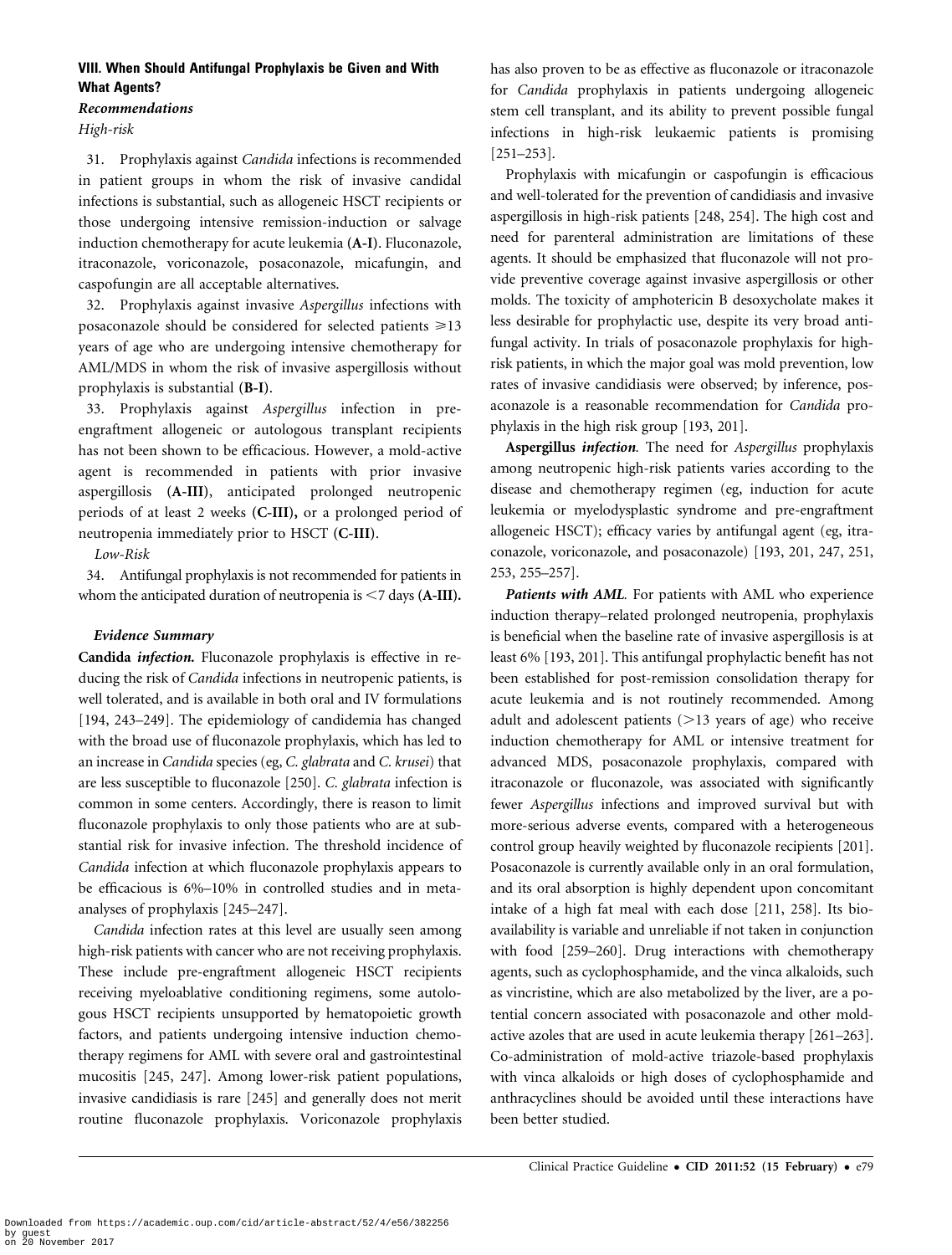## VIII. When Should Antifungal Prophylaxis be Given and With What Agents?

#### Recommendations

## High-risk

31. Prophylaxis against Candida infections is recommended in patient groups in whom the risk of invasive candidal infections is substantial, such as allogeneic HSCT recipients or those undergoing intensive remission-induction or salvage induction chemotherapy for acute leukemia (A-I). Fluconazole, itraconazole, voriconazole, posaconazole, micafungin, and caspofungin are all acceptable alternatives.

32. Prophylaxis against invasive Aspergillus infections with posaconazole should be considered for selected patients  $\geq 13$ years of age who are undergoing intensive chemotherapy for AML/MDS in whom the risk of invasive aspergillosis without prophylaxis is substantial (B-I).

33. Prophylaxis against Aspergillus infection in preengraftment allogeneic or autologous transplant recipients has not been shown to be efficacious. However, a mold-active agent is recommended in patients with prior invasive aspergillosis (A-III), anticipated prolonged neutropenic periods of at least 2 weeks (C-III), or a prolonged period of neutropenia immediately prior to HSCT (C-III).

## Low-Risk

34. Antifungal prophylaxis is not recommended for patients in whom the anticipated duration of neutropenia is  $\leq$  7 days (A-III).

## Evidence Summary

Candida infection. Fluconazole prophylaxis is effective in reducing the risk of Candida infections in neutropenic patients, is well tolerated, and is available in both oral and IV formulations [194, 243–249]. The epidemiology of candidemia has changed with the broad use of fluconazole prophylaxis, which has led to an increase in Candida species (eg, C. glabrata and C. krusei) that are less susceptible to fluconazole [250]. C. glabrata infection is common in some centers. Accordingly, there is reason to limit fluconazole prophylaxis to only those patients who are at substantial risk for invasive infection. The threshold incidence of Candida infection at which fluconazole prophylaxis appears to be efficacious is 6%–10% in controlled studies and in metaanalyses of prophylaxis [245–247].

Candida infection rates at this level are usually seen among high-risk patients with cancer who are not receiving prophylaxis. These include pre-engraftment allogeneic HSCT recipients receiving myeloablative conditioning regimens, some autologous HSCT recipients unsupported by hematopoietic growth factors, and patients undergoing intensive induction chemotherapy regimens for AML with severe oral and gastrointestinal mucositis [245, 247]. Among lower-risk patient populations, invasive candidiasis is rare [245] and generally does not merit routine fluconazole prophylaxis. Voriconazole prophylaxis has also proven to be as effective as fluconazole or itraconazole for Candida prophylaxis in patients undergoing allogeneic stem cell transplant, and its ability to prevent possible fungal infections in high-risk leukaemic patients is promising [251–253].

Prophylaxis with micafungin or caspofungin is efficacious and well-tolerated for the prevention of candidiasis and invasive aspergillosis in high-risk patients [248, 254]. The high cost and need for parenteral administration are limitations of these agents. It should be emphasized that fluconazole will not provide preventive coverage against invasive aspergillosis or other molds. The toxicity of amphotericin B desoxycholate makes it less desirable for prophylactic use, despite its very broad antifungal activity. In trials of posaconazole prophylaxis for highrisk patients, in which the major goal was mold prevention, low rates of invasive candidiasis were observed; by inference, posaconazole is a reasonable recommendation for Candida prophylaxis in the high risk group [193, 201].

Aspergillus *infection*. The need for *Aspergillus* prophylaxis among neutropenic high-risk patients varies according to the disease and chemotherapy regimen (eg, induction for acute leukemia or myelodysplastic syndrome and pre-engraftment allogeneic HSCT); efficacy varies by antifungal agent (eg, itraconazole, voriconazole, and posaconazole) [193, 201, 247, 251, 253, 255–257].

Patients with AML. For patients with AML who experience induction therapy–related prolonged neutropenia, prophylaxis is beneficial when the baseline rate of invasive aspergillosis is at least 6% [193, 201]. This antifungal prophylactic benefit has not been established for post-remission consolidation therapy for acute leukemia and is not routinely recommended. Among adult and adolescent patients  $(>13$  years of age) who receive induction chemotherapy for AML or intensive treatment for advanced MDS, posaconazole prophylaxis, compared with itraconazole or fluconazole, was associated with significantly fewer Aspergillus infections and improved survival but with more-serious adverse events, compared with a heterogeneous control group heavily weighted by fluconazole recipients [201]. Posaconazole is currently available only in an oral formulation, and its oral absorption is highly dependent upon concomitant intake of a high fat meal with each dose [211, 258]. Its bioavailability is variable and unreliable if not taken in conjunction with food [259–260]. Drug interactions with chemotherapy agents, such as cyclophosphamide, and the vinca alkaloids, such as vincristine, which are also metabolized by the liver, are a potential concern associated with posaconazole and other moldactive azoles that are used in acute leukemia therapy [261–263]. Co-administration of mold-active triazole-based prophylaxis with vinca alkaloids or high doses of cyclophosphamide and anthracyclines should be avoided until these interactions have been better studied.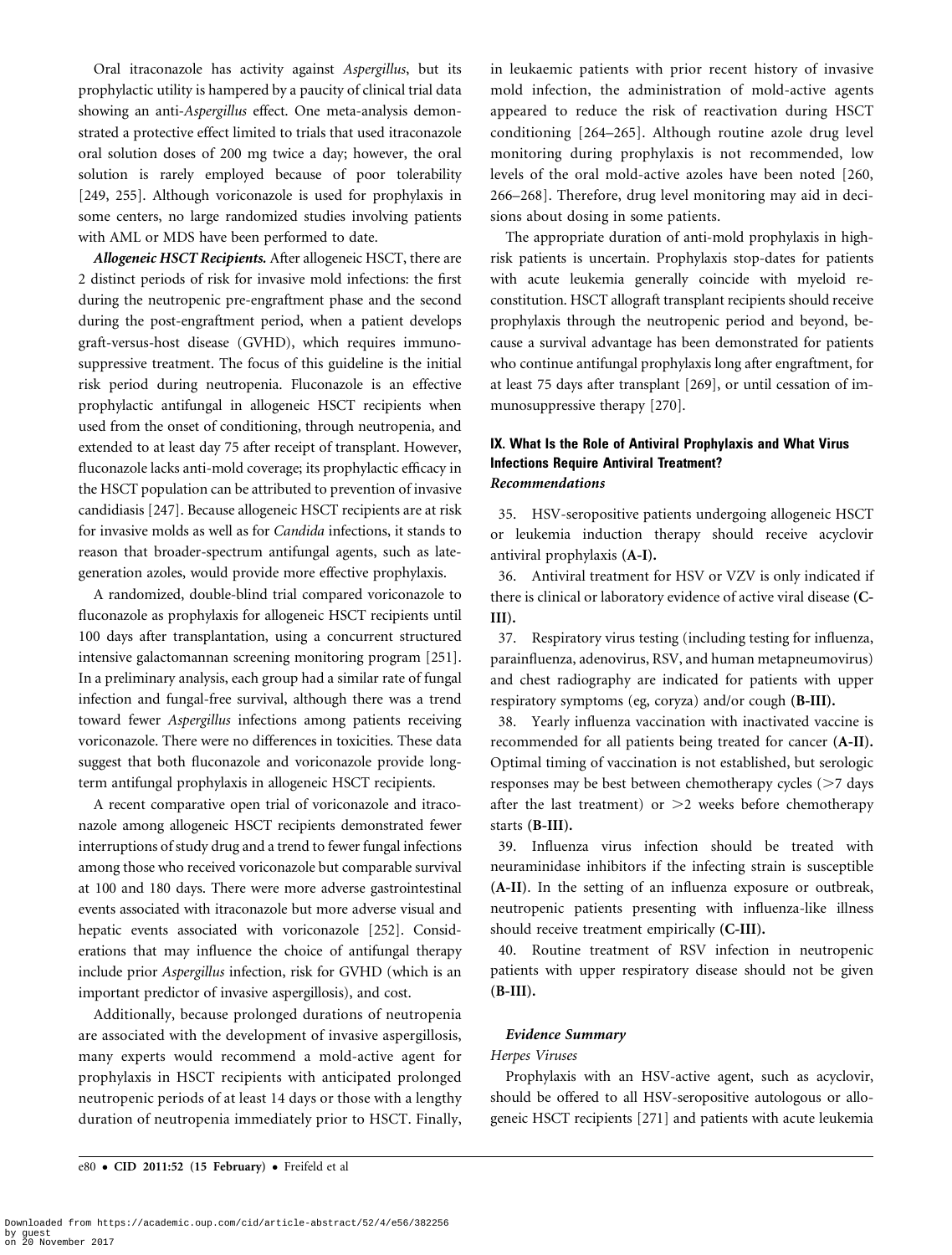Oral itraconazole has activity against Aspergillus, but its prophylactic utility is hampered by a paucity of clinical trial data showing an anti-Aspergillus effect. One meta-analysis demonstrated a protective effect limited to trials that used itraconazole oral solution doses of 200 mg twice a day; however, the oral solution is rarely employed because of poor tolerability [249, 255]. Although voriconazole is used for prophylaxis in some centers, no large randomized studies involving patients with AML or MDS have been performed to date.

Allogeneic HSCT Recipients. After allogeneic HSCT, there are 2 distinct periods of risk for invasive mold infections: the first during the neutropenic pre-engraftment phase and the second during the post-engraftment period, when a patient develops graft-versus-host disease (GVHD), which requires immunosuppressive treatment. The focus of this guideline is the initial risk period during neutropenia. Fluconazole is an effective prophylactic antifungal in allogeneic HSCT recipients when used from the onset of conditioning, through neutropenia, and extended to at least day 75 after receipt of transplant. However, fluconazole lacks anti-mold coverage; its prophylactic efficacy in the HSCT population can be attributed to prevention of invasive candidiasis [247]. Because allogeneic HSCT recipients are at risk for invasive molds as well as for Candida infections, it stands to reason that broader-spectrum antifungal agents, such as lategeneration azoles, would provide more effective prophylaxis.

A randomized, double-blind trial compared voriconazole to fluconazole as prophylaxis for allogeneic HSCT recipients until 100 days after transplantation, using a concurrent structured intensive galactomannan screening monitoring program [251]. In a preliminary analysis, each group had a similar rate of fungal infection and fungal-free survival, although there was a trend toward fewer Aspergillus infections among patients receiving voriconazole. There were no differences in toxicities. These data suggest that both fluconazole and voriconazole provide longterm antifungal prophylaxis in allogeneic HSCT recipients.

A recent comparative open trial of voriconazole and itraconazole among allogeneic HSCT recipients demonstrated fewer interruptions of study drug and a trend to fewer fungal infections among those who received voriconazole but comparable survival at 100 and 180 days. There were more adverse gastrointestinal events associated with itraconazole but more adverse visual and hepatic events associated with voriconazole [252]. Considerations that may influence the choice of antifungal therapy include prior Aspergillus infection, risk for GVHD (which is an important predictor of invasive aspergillosis), and cost.

Additionally, because prolonged durations of neutropenia are associated with the development of invasive aspergillosis, many experts would recommend a mold-active agent for prophylaxis in HSCT recipients with anticipated prolonged neutropenic periods of at least 14 days or those with a lengthy duration of neutropenia immediately prior to HSCT. Finally,

in leukaemic patients with prior recent history of invasive mold infection, the administration of mold-active agents appeared to reduce the risk of reactivation during HSCT conditioning [264–265]. Although routine azole drug level monitoring during prophylaxis is not recommended, low levels of the oral mold-active azoles have been noted [260, 266–268]. Therefore, drug level monitoring may aid in decisions about dosing in some patients.

The appropriate duration of anti-mold prophylaxis in highrisk patients is uncertain. Prophylaxis stop-dates for patients with acute leukemia generally coincide with myeloid reconstitution. HSCT allograft transplant recipients should receive prophylaxis through the neutropenic period and beyond, because a survival advantage has been demonstrated for patients who continue antifungal prophylaxis long after engraftment, for at least 75 days after transplant [269], or until cessation of immunosuppressive therapy [270].

## IX. What Is the Role of Antiviral Prophylaxis and What Virus Infections Require Antiviral Treatment? Recommendations

35. HSV-seropositive patients undergoing allogeneic HSCT or leukemia induction therapy should receive acyclovir antiviral prophylaxis (A-I).

36. Antiviral treatment for HSV or VZV is only indicated if there is clinical or laboratory evidence of active viral disease (C-III).

37. Respiratory virus testing (including testing for influenza, parainfluenza, adenovirus, RSV, and human metapneumovirus) and chest radiography are indicated for patients with upper respiratory symptoms (eg, coryza) and/or cough (B-III).

38. Yearly influenza vaccination with inactivated vaccine is recommended for all patients being treated for cancer (A-II). Optimal timing of vaccination is not established, but serologic responses may be best between chemotherapy cycles  $($  >7 days after the last treatment) or  $>2$  weeks before chemotherapy starts (B-III).

39. Influenza virus infection should be treated with neuraminidase inhibitors if the infecting strain is susceptible (A-II). In the setting of an influenza exposure or outbreak, neutropenic patients presenting with influenza-like illness should receive treatment empirically (C-III).

40. Routine treatment of RSV infection in neutropenic patients with upper respiratory disease should not be given  $(B-III)$ .

## Evidence Summary

### Herpes Viruses

Prophylaxis with an HSV-active agent, such as acyclovir, should be offered to all HSV-seropositive autologous or allogeneic HSCT recipients [271] and patients with acute leukemia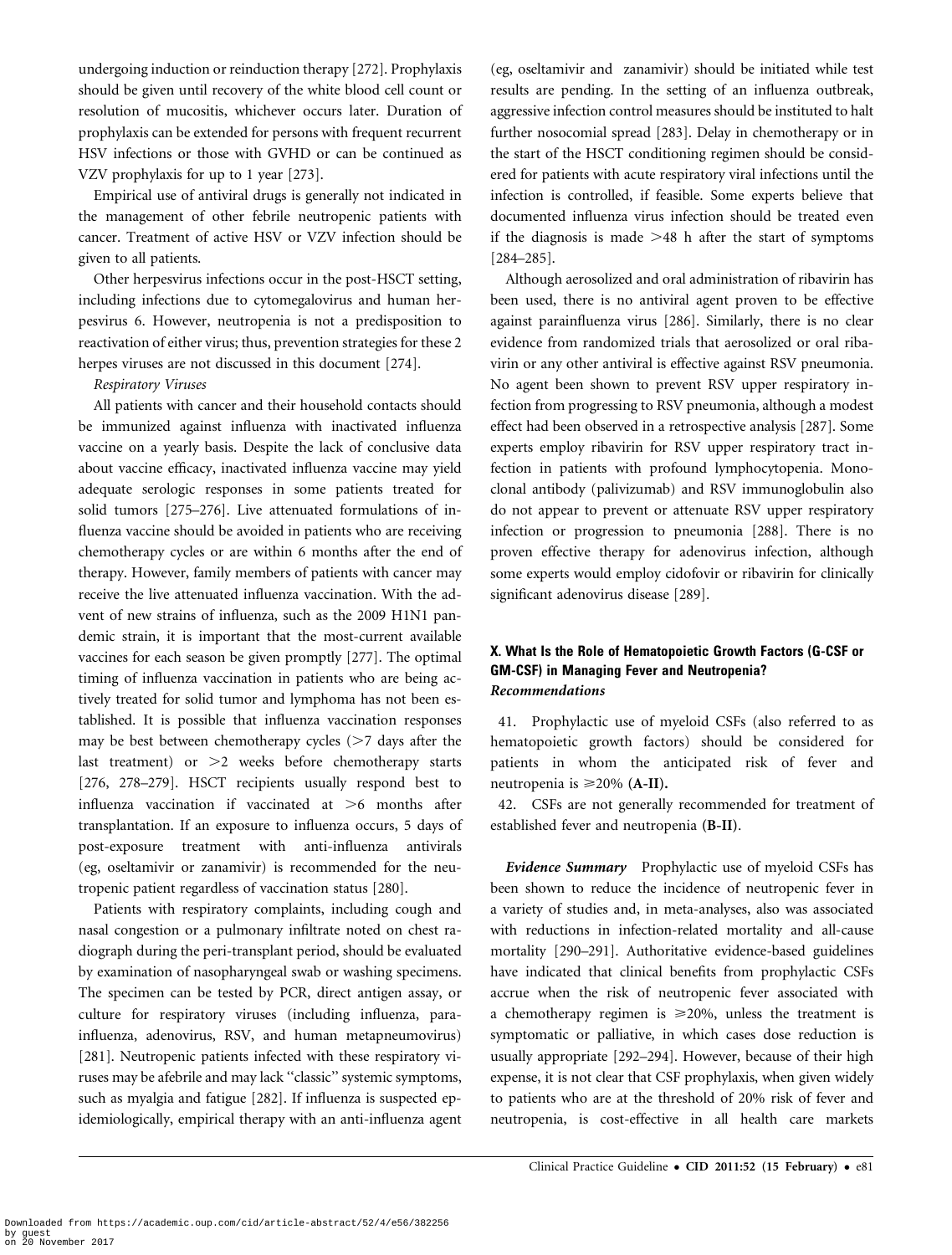undergoing induction or reinduction therapy [272]. Prophylaxis should be given until recovery of the white blood cell count or resolution of mucositis, whichever occurs later. Duration of prophylaxis can be extended for persons with frequent recurrent HSV infections or those with GVHD or can be continued as VZV prophylaxis for up to 1 year [273].

Empirical use of antiviral drugs is generally not indicated in the management of other febrile neutropenic patients with cancer. Treatment of active HSV or VZV infection should be given to all patients.

Other herpesvirus infections occur in the post-HSCT setting, including infections due to cytomegalovirus and human herpesvirus 6. However, neutropenia is not a predisposition to reactivation of either virus; thus, prevention strategies for these 2 herpes viruses are not discussed in this document [274].

#### Respiratory Viruses

All patients with cancer and their household contacts should be immunized against influenza with inactivated influenza vaccine on a yearly basis. Despite the lack of conclusive data about vaccine efficacy, inactivated influenza vaccine may yield adequate serologic responses in some patients treated for solid tumors [275–276]. Live attenuated formulations of influenza vaccine should be avoided in patients who are receiving chemotherapy cycles or are within 6 months after the end of therapy. However, family members of patients with cancer may receive the live attenuated influenza vaccination. With the advent of new strains of influenza, such as the 2009 H1N1 pandemic strain, it is important that the most-current available vaccines for each season be given promptly [277]. The optimal timing of influenza vaccination in patients who are being actively treated for solid tumor and lymphoma has not been established. It is possible that influenza vaccination responses may be best between chemotherapy cycles  $($ >7 days after the last treatment) or  $>2$  weeks before chemotherapy starts [276, 278–279]. HSCT recipients usually respond best to influenza vaccination if vaccinated at  $>6$  months after transplantation. If an exposure to influenza occurs, 5 days of post-exposure treatment with anti-influenza antivirals (eg, oseltamivir or zanamivir) is recommended for the neutropenic patient regardless of vaccination status [280].

Patients with respiratory complaints, including cough and nasal congestion or a pulmonary infiltrate noted on chest radiograph during the peri-transplant period, should be evaluated by examination of nasopharyngeal swab or washing specimens. The specimen can be tested by PCR, direct antigen assay, or culture for respiratory viruses (including influenza, parainfluenza, adenovirus, RSV, and human metapneumovirus) [281]. Neutropenic patients infected with these respiratory viruses may be afebrile and may lack ''classic'' systemic symptoms, such as myalgia and fatigue [282]. If influenza is suspected epidemiologically, empirical therapy with an anti-influenza agent

(eg, oseltamivir and zanamivir) should be initiated while test results are pending. In the setting of an influenza outbreak, aggressive infection control measures should be instituted to halt further nosocomial spread [283]. Delay in chemotherapy or in the start of the HSCT conditioning regimen should be considered for patients with acute respiratory viral infections until the infection is controlled, if feasible. Some experts believe that documented influenza virus infection should be treated even if the diagnosis is made  $>48$  h after the start of symptoms [284–285].

Although aerosolized and oral administration of ribavirin has been used, there is no antiviral agent proven to be effective against parainfluenza virus [286]. Similarly, there is no clear evidence from randomized trials that aerosolized or oral ribavirin or any other antiviral is effective against RSV pneumonia. No agent been shown to prevent RSV upper respiratory infection from progressing to RSV pneumonia, although a modest effect had been observed in a retrospective analysis [287]. Some experts employ ribavirin for RSV upper respiratory tract infection in patients with profound lymphocytopenia. Monoclonal antibody (palivizumab) and RSV immunoglobulin also do not appear to prevent or attenuate RSV upper respiratory infection or progression to pneumonia [288]. There is no proven effective therapy for adenovirus infection, although some experts would employ cidofovir or ribavirin for clinically significant adenovirus disease [289].

## X. What Is the Role of Hematopoietic Growth Factors (G-CSF or GM-CSF) in Managing Fever and Neutropenia? Recommendations

41. Prophylactic use of myeloid CSFs (also referred to as hematopoietic growth factors) should be considered for patients in whom the anticipated risk of fever and neutropenia is  $\geq 20\%$  (A-II).

42. CSFs are not generally recommended for treatment of established fever and neutropenia (B-II).

Evidence Summary Prophylactic use of myeloid CSFs has been shown to reduce the incidence of neutropenic fever in a variety of studies and, in meta-analyses, also was associated with reductions in infection-related mortality and all-cause mortality [290–291]. Authoritative evidence-based guidelines have indicated that clinical benefits from prophylactic CSFs accrue when the risk of neutropenic fever associated with a chemotherapy regimen is  $\geq 20\%$ , unless the treatment is symptomatic or palliative, in which cases dose reduction is usually appropriate [292–294]. However, because of their high expense, it is not clear that CSF prophylaxis, when given widely to patients who are at the threshold of 20% risk of fever and neutropenia, is cost-effective in all health care markets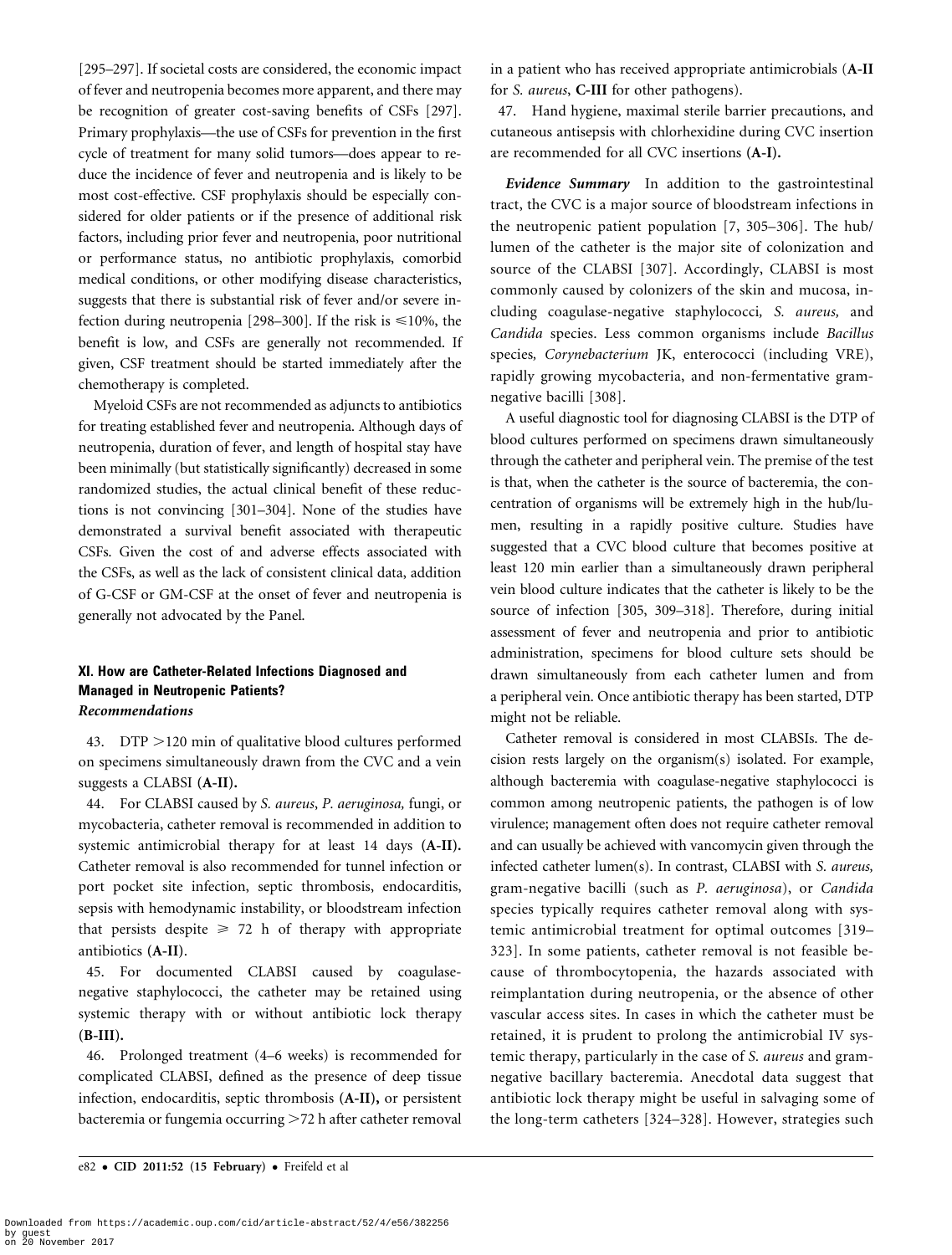[295–297]. If societal costs are considered, the economic impact of fever and neutropenia becomes more apparent, and there may be recognition of greater cost-saving benefits of CSFs [297]. Primary prophylaxis—the use of CSFs for prevention in the first cycle of treatment for many solid tumors—does appear to reduce the incidence of fever and neutropenia and is likely to be most cost-effective. CSF prophylaxis should be especially considered for older patients or if the presence of additional risk factors, including prior fever and neutropenia, poor nutritional or performance status, no antibiotic prophylaxis, comorbid medical conditions, or other modifying disease characteristics, suggests that there is substantial risk of fever and/or severe infection during neutropenia [298–300]. If the risk is  $\leq 10\%$ , the benefit is low, and CSFs are generally not recommended. If given, CSF treatment should be started immediately after the chemotherapy is completed.

Myeloid CSFs are not recommended as adjuncts to antibiotics for treating established fever and neutropenia. Although days of neutropenia, duration of fever, and length of hospital stay have been minimally (but statistically significantly) decreased in some randomized studies, the actual clinical benefit of these reductions is not convincing [301–304]. None of the studies have demonstrated a survival benefit associated with therapeutic CSFs. Given the cost of and adverse effects associated with the CSFs, as well as the lack of consistent clinical data, addition of G-CSF or GM-CSF at the onset of fever and neutropenia is generally not advocated by the Panel.

## XI. How are Catheter-Related Infections Diagnosed and Managed in Neutropenic Patients? Recommendations

43. DTP  $>120$  min of qualitative blood cultures performed on specimens simultaneously drawn from the CVC and a vein suggests a CLABSI (A-II).

44. For CLABSI caused by S. aureus, P. aeruginosa, fungi, or mycobacteria, catheter removal is recommended in addition to systemic antimicrobial therapy for at least 14 days (A-II). Catheter removal is also recommended for tunnel infection or port pocket site infection, septic thrombosis, endocarditis, sepsis with hemodynamic instability, or bloodstream infection that persists despite  $\geq 72$  h of therapy with appropriate antibiotics (A-II).

45. For documented CLABSI caused by coagulasenegative staphylococci, the catheter may be retained using systemic therapy with or without antibiotic lock therapy  $(B-III).$ 

46. Prolonged treatment (4–6 weeks) is recommended for complicated CLABSI, defined as the presence of deep tissue infection, endocarditis, septic thrombosis (A-II), or persistent bacteremia or fungemia occurring  $>72$  h after catheter removal

e82 · CID 2011:52 (15 February) · Freifeld et al

in a patient who has received appropriate antimicrobials (A-II for S. aureus, C-III for other pathogens).

47. Hand hygiene, maximal sterile barrier precautions, and cutaneous antisepsis with chlorhexidine during CVC insertion are recommended for all CVC insertions (A-I).

Evidence Summary In addition to the gastrointestinal tract, the CVC is a major source of bloodstream infections in the neutropenic patient population [7, 305–306]. The hub/ lumen of the catheter is the major site of colonization and source of the CLABSI [307]. Accordingly, CLABSI is most commonly caused by colonizers of the skin and mucosa, including coagulase-negative staphylococci, S. aureus, and Candida species. Less common organisms include Bacillus species, Corynebacterium JK, enterococci (including VRE), rapidly growing mycobacteria, and non-fermentative gramnegative bacilli [308].

A useful diagnostic tool for diagnosing CLABSI is the DTP of blood cultures performed on specimens drawn simultaneously through the catheter and peripheral vein. The premise of the test is that, when the catheter is the source of bacteremia, the concentration of organisms will be extremely high in the hub/lumen, resulting in a rapidly positive culture. Studies have suggested that a CVC blood culture that becomes positive at least 120 min earlier than a simultaneously drawn peripheral vein blood culture indicates that the catheter is likely to be the source of infection [305, 309–318]. Therefore, during initial assessment of fever and neutropenia and prior to antibiotic administration, specimens for blood culture sets should be drawn simultaneously from each catheter lumen and from a peripheral vein. Once antibiotic therapy has been started, DTP might not be reliable.

Catheter removal is considered in most CLABSIs. The decision rests largely on the organism(s) isolated. For example, although bacteremia with coagulase-negative staphylococci is common among neutropenic patients, the pathogen is of low virulence; management often does not require catheter removal and can usually be achieved with vancomycin given through the infected catheter lumen(s). In contrast, CLABSI with S. aureus, gram-negative bacilli (such as P. aeruginosa), or Candida species typically requires catheter removal along with systemic antimicrobial treatment for optimal outcomes [319– 323]. In some patients, catheter removal is not feasible because of thrombocytopenia, the hazards associated with reimplantation during neutropenia, or the absence of other vascular access sites. In cases in which the catheter must be retained, it is prudent to prolong the antimicrobial IV systemic therapy, particularly in the case of S. aureus and gramnegative bacillary bacteremia. Anecdotal data suggest that antibiotic lock therapy might be useful in salvaging some of the long-term catheters [324–328]. However, strategies such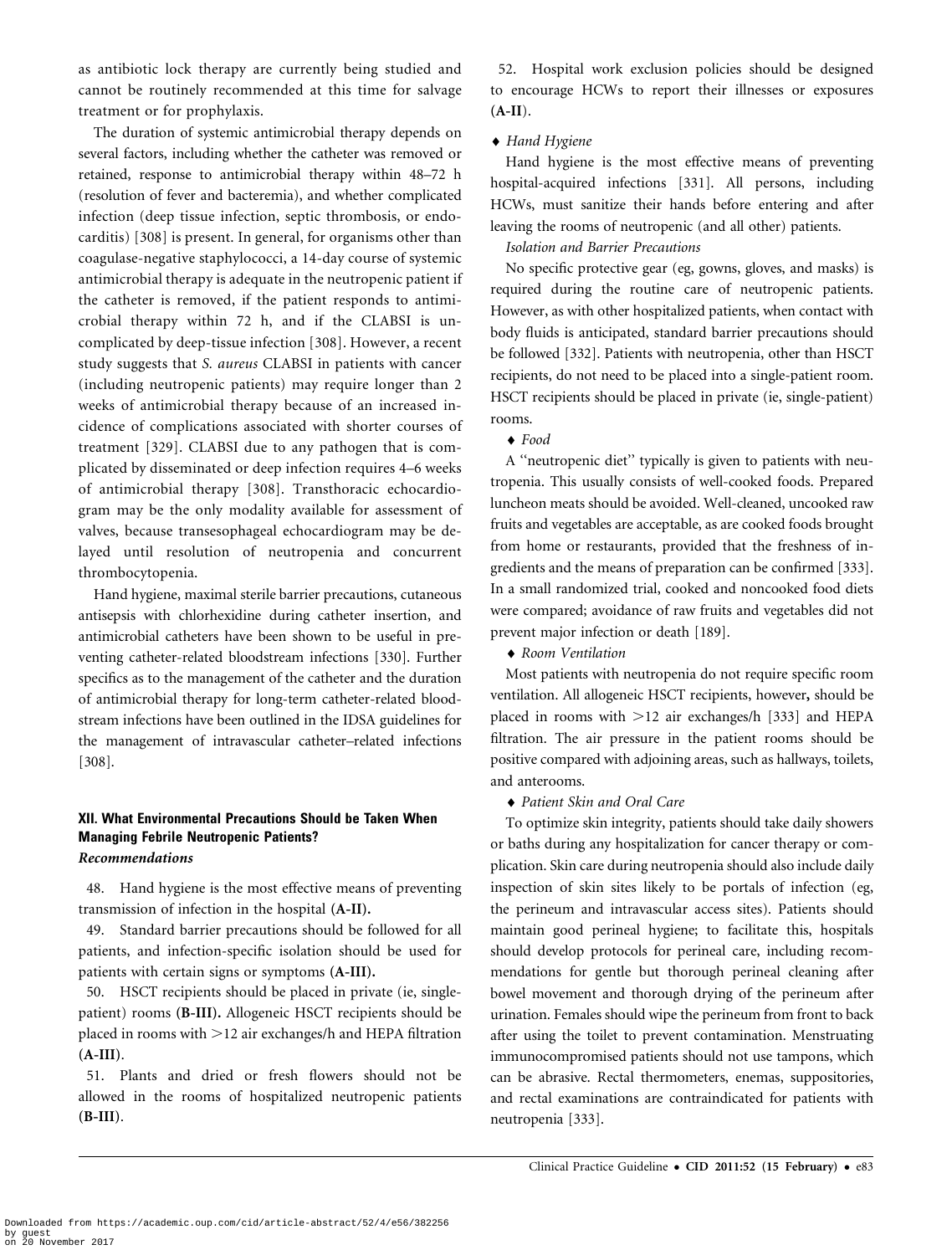as antibiotic lock therapy are currently being studied and cannot be routinely recommended at this time for salvage treatment or for prophylaxis.

The duration of systemic antimicrobial therapy depends on several factors, including whether the catheter was removed or retained, response to antimicrobial therapy within 48–72 h (resolution of fever and bacteremia), and whether complicated infection (deep tissue infection, septic thrombosis, or endocarditis) [308] is present. In general, for organisms other than coagulase-negative staphylococci, a 14-day course of systemic antimicrobial therapy is adequate in the neutropenic patient if the catheter is removed, if the patient responds to antimicrobial therapy within 72 h, and if the CLABSI is uncomplicated by deep-tissue infection [308]. However, a recent study suggests that S. aureus CLABSI in patients with cancer (including neutropenic patients) may require longer than 2 weeks of antimicrobial therapy because of an increased incidence of complications associated with shorter courses of treatment [329]. CLABSI due to any pathogen that is complicated by disseminated or deep infection requires 4–6 weeks of antimicrobial therapy [308]. Transthoracic echocardiogram may be the only modality available for assessment of valves, because transesophageal echocardiogram may be delayed until resolution of neutropenia and concurrent thrombocytopenia.

Hand hygiene, maximal sterile barrier precautions, cutaneous antisepsis with chlorhexidine during catheter insertion, and antimicrobial catheters have been shown to be useful in preventing catheter-related bloodstream infections [330]. Further specifics as to the management of the catheter and the duration of antimicrobial therapy for long-term catheter-related bloodstream infections have been outlined in the IDSA guidelines for the management of intravascular catheter–related infections [308].

## XII. What Environmental Precautions Should be Taken When Managing Febrile Neutropenic Patients? Recommendations

48. Hand hygiene is the most effective means of preventing transmission of infection in the hospital (A-II).

49. Standard barrier precautions should be followed for all patients, and infection-specific isolation should be used for patients with certain signs or symptoms (A-III).

50. HSCT recipients should be placed in private (ie, singlepatient) rooms (B-III). Allogeneic HSCT recipients should be placed in rooms with  $>12$  air exchanges/h and HEPA filtration (A-III).

51. Plants and dried or fresh flowers should not be allowed in the rooms of hospitalized neutropenic patients (B-III).

52. Hospital work exclusion policies should be designed to encourage HCWs to report their illnesses or exposures  $(A-II).$ 

## ◆ Hand Hygiene

Hand hygiene is the most effective means of preventing hospital-acquired infections [331]. All persons, including HCWs, must sanitize their hands before entering and after leaving the rooms of neutropenic (and all other) patients.

## Isolation and Barrier Precautions

No specific protective gear (eg, gowns, gloves, and masks) is required during the routine care of neutropenic patients. However, as with other hospitalized patients, when contact with body fluids is anticipated, standard barrier precautions should be followed [332]. Patients with neutropenia, other than HSCT recipients, do not need to be placed into a single-patient room. HSCT recipients should be placed in private (ie, single-patient) rooms.

## $\bullet$  Food

A ''neutropenic diet'' typically is given to patients with neutropenia. This usually consists of well-cooked foods. Prepared luncheon meats should be avoided. Well-cleaned, uncooked raw fruits and vegetables are acceptable, as are cooked foods brought from home or restaurants, provided that the freshness of ingredients and the means of preparation can be confirmed [333]. In a small randomized trial, cooked and noncooked food diets were compared; avoidance of raw fruits and vegetables did not prevent major infection or death [189].

¤ Room Ventilation

Most patients with neutropenia do not require specific room ventilation. All allogeneic HSCT recipients, however, should be placed in rooms with  $>12$  air exchanges/h [333] and HEPA filtration. The air pressure in the patient rooms should be positive compared with adjoining areas, such as hallways, toilets, and anterooms.

¤ Patient Skin and Oral Care

To optimize skin integrity, patients should take daily showers or baths during any hospitalization for cancer therapy or complication. Skin care during neutropenia should also include daily inspection of skin sites likely to be portals of infection (eg, the perineum and intravascular access sites). Patients should maintain good perineal hygiene; to facilitate this, hospitals should develop protocols for perineal care, including recommendations for gentle but thorough perineal cleaning after bowel movement and thorough drying of the perineum after urination. Females should wipe the perineum from front to back after using the toilet to prevent contamination. Menstruating immunocompromised patients should not use tampons, which can be abrasive. Rectal thermometers, enemas, suppositories, and rectal examinations are contraindicated for patients with neutropenia [333].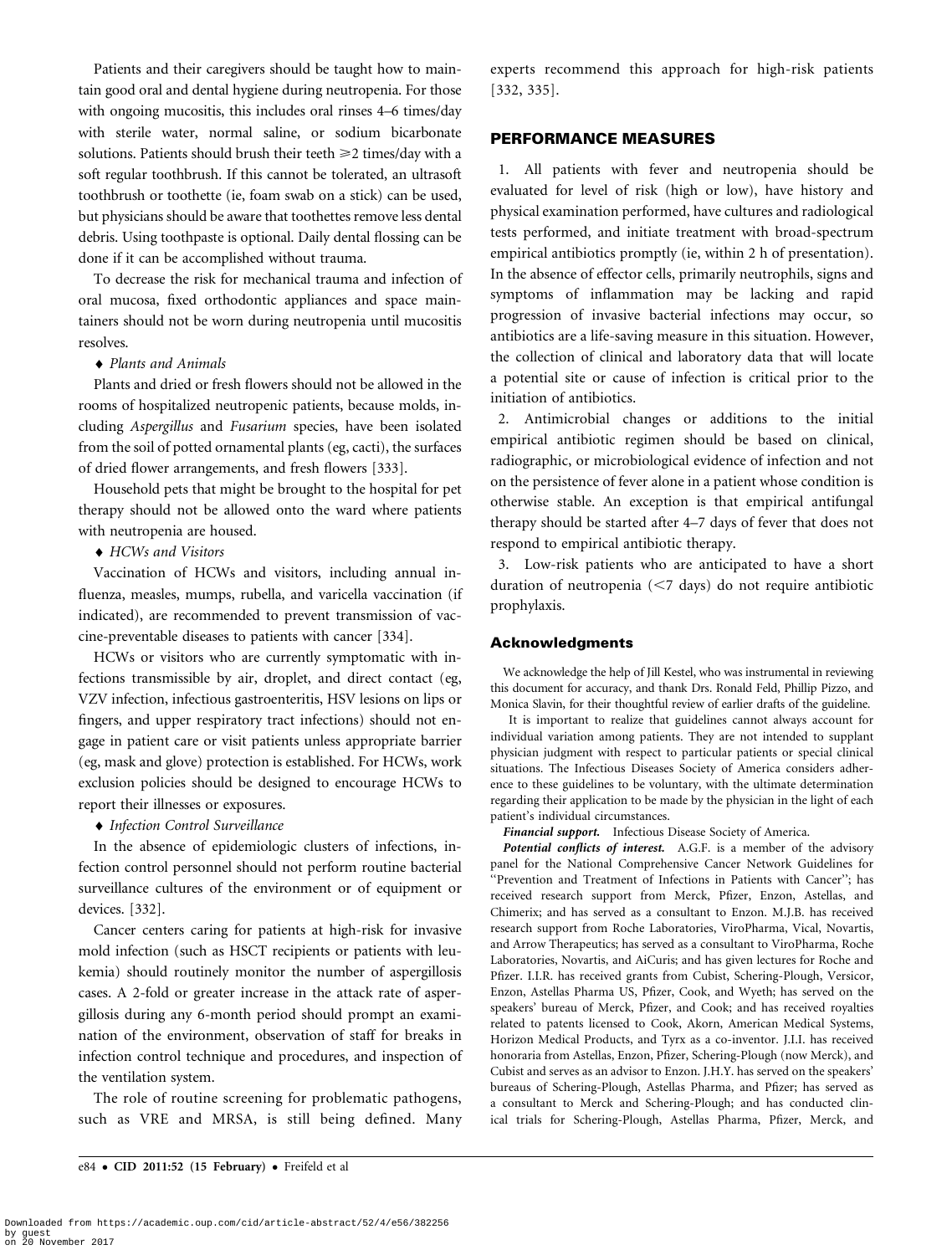Patients and their caregivers should be taught how to maintain good oral and dental hygiene during neutropenia. For those with ongoing mucositis, this includes oral rinses 4–6 times/day with sterile water, normal saline, or sodium bicarbonate solutions. Patients should brush their teeth  $\geq 2$  times/day with a soft regular toothbrush. If this cannot be tolerated, an ultrasoft toothbrush or toothette (ie, foam swab on a stick) can be used, but physicians should be aware that toothettes remove less dental debris. Using toothpaste is optional. Daily dental flossing can be done if it can be accomplished without trauma.

To decrease the risk for mechanical trauma and infection of oral mucosa, fixed orthodontic appliances and space maintainers should not be worn during neutropenia until mucositis resolves.

#### ¤ Plants and Animals

Plants and dried or fresh flowers should not be allowed in the rooms of hospitalized neutropenic patients, because molds, including Aspergillus and Fusarium species, have been isolated from the soil of potted ornamental plants (eg, cacti), the surfaces of dried flower arrangements, and fresh flowers [333].

Household pets that might be brought to the hospital for pet therapy should not be allowed onto the ward where patients with neutropenia are housed.

## ¤ HCWs and Visitors

Vaccination of HCWs and visitors, including annual influenza, measles, mumps, rubella, and varicella vaccination (if indicated), are recommended to prevent transmission of vaccine-preventable diseases to patients with cancer [334].

HCWs or visitors who are currently symptomatic with infections transmissible by air, droplet, and direct contact (eg, VZV infection, infectious gastroenteritis, HSV lesions on lips or fingers, and upper respiratory tract infections) should not engage in patient care or visit patients unless appropriate barrier (eg, mask and glove) protection is established. For HCWs, work exclusion policies should be designed to encourage HCWs to report their illnesses or exposures.

## ¤ Infection Control Surveillance

In the absence of epidemiologic clusters of infections, infection control personnel should not perform routine bacterial surveillance cultures of the environment or of equipment or devices. [332].

Cancer centers caring for patients at high-risk for invasive mold infection (such as HSCT recipients or patients with leukemia) should routinely monitor the number of aspergillosis cases. A 2-fold or greater increase in the attack rate of aspergillosis during any 6-month period should prompt an examination of the environment, observation of staff for breaks in infection control technique and procedures, and inspection of the ventilation system.

The role of routine screening for problematic pathogens, such as VRE and MRSA, is still being defined. Many experts recommend this approach for high-risk patients [332, 335].

#### PERFORMANCE MEASURES

1. All patients with fever and neutropenia should be evaluated for level of risk (high or low), have history and physical examination performed, have cultures and radiological tests performed, and initiate treatment with broad-spectrum empirical antibiotics promptly (ie, within 2 h of presentation). In the absence of effector cells, primarily neutrophils, signs and symptoms of inflammation may be lacking and rapid progression of invasive bacterial infections may occur, so antibiotics are a life-saving measure in this situation. However, the collection of clinical and laboratory data that will locate a potential site or cause of infection is critical prior to the initiation of antibiotics.

2. Antimicrobial changes or additions to the initial empirical antibiotic regimen should be based on clinical, radiographic, or microbiological evidence of infection and not on the persistence of fever alone in a patient whose condition is otherwise stable. An exception is that empirical antifungal therapy should be started after 4–7 days of fever that does not respond to empirical antibiotic therapy.

3. Low-risk patients who are anticipated to have a short duration of neutropenia  $(< 7$  days) do not require antibiotic prophylaxis.

#### Acknowledgments

We acknowledge the help of Jill Kestel, who was instrumental in reviewing this document for accuracy, and thank Drs. Ronald Feld, Phillip Pizzo, and Monica Slavin, for their thoughtful review of earlier drafts of the guideline.

It is important to realize that guidelines cannot always account for individual variation among patients. They are not intended to supplant physician judgment with respect to particular patients or special clinical situations. The Infectious Diseases Society of America considers adherence to these guidelines to be voluntary, with the ultimate determination regarding their application to be made by the physician in the light of each patient's individual circumstances.

Financial support. Infectious Disease Society of America.

Potential conflicts of interest. A.G.F. is a member of the advisory panel for the National Comprehensive Cancer Network Guidelines for "Prevention and Treatment of Infections in Patients with Cancer"; has received research support from Merck, Pfizer, Enzon, Astellas, and Chimerix; and has served as a consultant to Enzon. M.J.B. has received research support from Roche Laboratories, ViroPharma, Vical, Novartis, and Arrow Therapeutics; has served as a consultant to ViroPharma, Roche Laboratories, Novartis, and AiCuris; and has given lectures for Roche and Pfizer. I.I.R. has received grants from Cubist, Schering-Plough, Versicor, Enzon, Astellas Pharma US, Pfizer, Cook, and Wyeth; has served on the speakers' bureau of Merck, Pfizer, and Cook; and has received royalties related to patents licensed to Cook, Akorn, American Medical Systems, Horizon Medical Products, and Tyrx as a co-inventor. J.I.I. has received honoraria from Astellas, Enzon, Pfizer, Schering-Plough (now Merck), and Cubist and serves as an advisor to Enzon. J.H.Y. has served on the speakers' bureaus of Schering-Plough, Astellas Pharma, and Pfizer; has served as a consultant to Merck and Schering-Plough; and has conducted clinical trials for Schering-Plough, Astellas Pharma, Pfizer, Merck, and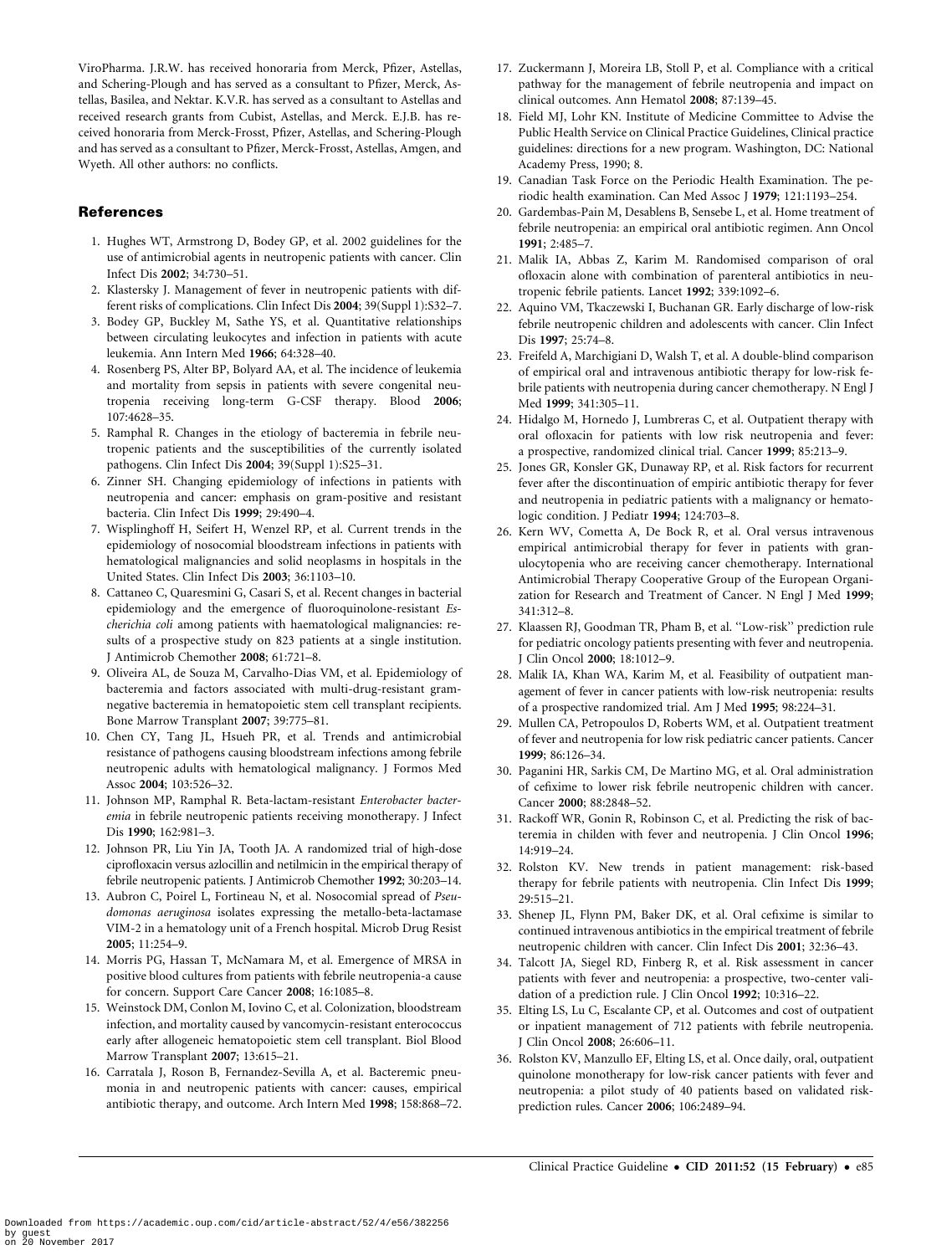ViroPharma. J.R.W. has received honoraria from Merck, Pfizer, Astellas, and Schering-Plough and has served as a consultant to Pfizer, Merck, Astellas, Basilea, and Nektar. K.V.R. has served as a consultant to Astellas and received research grants from Cubist, Astellas, and Merck. E.J.B. has received honoraria from Merck-Frosst, Pfizer, Astellas, and Schering-Plough and has served as a consultant to Pfizer, Merck-Frosst, Astellas, Amgen, and Wyeth. All other authors: no conflicts.

#### References

- 1. Hughes WT, Armstrong D, Bodey GP, et al. 2002 guidelines for the use of antimicrobial agents in neutropenic patients with cancer. Clin Infect Dis 2002; 34:730–51.
- 2. Klastersky J. Management of fever in neutropenic patients with different risks of complications. Clin Infect Dis 2004; 39(Suppl 1):S32–7.
- 3. Bodey GP, Buckley M, Sathe YS, et al. Quantitative relationships between circulating leukocytes and infection in patients with acute leukemia. Ann Intern Med 1966; 64:328–40.
- 4. Rosenberg PS, Alter BP, Bolyard AA, et al. The incidence of leukemia and mortality from sepsis in patients with severe congenital neutropenia receiving long-term G-CSF therapy. Blood 2006; 107:4628–35.
- 5. Ramphal R. Changes in the etiology of bacteremia in febrile neutropenic patients and the susceptibilities of the currently isolated pathogens. Clin Infect Dis 2004; 39(Suppl 1):S25–31.
- 6. Zinner SH. Changing epidemiology of infections in patients with neutropenia and cancer: emphasis on gram-positive and resistant bacteria. Clin Infect Dis 1999; 29:490–4.
- 7. Wisplinghoff H, Seifert H, Wenzel RP, et al. Current trends in the epidemiology of nosocomial bloodstream infections in patients with hematological malignancies and solid neoplasms in hospitals in the United States. Clin Infect Dis 2003; 36:1103–10.
- 8. Cattaneo C, Quaresmini G, Casari S, et al. Recent changes in bacterial epidemiology and the emergence of fluoroquinolone-resistant Escherichia coli among patients with haematological malignancies: results of a prospective study on 823 patients at a single institution. J Antimicrob Chemother 2008; 61:721–8.
- 9. Oliveira AL, de Souza M, Carvalho-Dias VM, et al. Epidemiology of bacteremia and factors associated with multi-drug-resistant gramnegative bacteremia in hematopoietic stem cell transplant recipients. Bone Marrow Transplant 2007; 39:775–81.
- 10. Chen CY, Tang JL, Hsueh PR, et al. Trends and antimicrobial resistance of pathogens causing bloodstream infections among febrile neutropenic adults with hematological malignancy. J Formos Med Assoc 2004; 103:526–32.
- 11. Johnson MP, Ramphal R. Beta-lactam-resistant Enterobacter bacteremia in febrile neutropenic patients receiving monotherapy. J Infect Dis 1990; 162:981–3.
- 12. Johnson PR, Liu Yin JA, Tooth JA. A randomized trial of high-dose ciprofloxacin versus azlocillin and netilmicin in the empirical therapy of febrile neutropenic patients. J Antimicrob Chemother 1992; 30:203–14.
- 13. Aubron C, Poirel L, Fortineau N, et al. Nosocomial spread of Pseudomonas aeruginosa isolates expressing the metallo-beta-lactamase VIM-2 in a hematology unit of a French hospital. Microb Drug Resist 2005; 11:254–9.
- 14. Morris PG, Hassan T, McNamara M, et al. Emergence of MRSA in positive blood cultures from patients with febrile neutropenia-a cause for concern. Support Care Cancer 2008; 16:1085–8.
- 15. Weinstock DM, Conlon M, Iovino C, et al. Colonization, bloodstream infection, and mortality caused by vancomycin-resistant enterococcus early after allogeneic hematopoietic stem cell transplant. Biol Blood Marrow Transplant 2007; 13:615–21.
- 16. Carratala J, Roson B, Fernandez-Sevilla A, et al. Bacteremic pneumonia in and neutropenic patients with cancer: causes, empirical antibiotic therapy, and outcome. Arch Intern Med 1998; 158:868–72.
- 17. Zuckermann J, Moreira LB, Stoll P, et al. Compliance with a critical pathway for the management of febrile neutropenia and impact on clinical outcomes. Ann Hematol 2008; 87:139–45.
- 18. Field MJ, Lohr KN. Institute of Medicine Committee to Advise the Public Health Service on Clinical Practice Guidelines, Clinical practice guidelines: directions for a new program. Washington, DC: National Academy Press, 1990; 8.
- 19. Canadian Task Force on the Periodic Health Examination. The periodic health examination. Can Med Assoc J 1979; 121:1193–254.
- 20. Gardembas-Pain M, Desablens B, Sensebe L, et al. Home treatment of febrile neutropenia: an empirical oral antibiotic regimen. Ann Oncol 1991; 2:485–7.
- 21. Malik IA, Abbas Z, Karim M. Randomised comparison of oral ofloxacin alone with combination of parenteral antibiotics in neutropenic febrile patients. Lancet 1992; 339:1092–6.
- 22. Aquino VM, Tkaczewski I, Buchanan GR. Early discharge of low-risk febrile neutropenic children and adolescents with cancer. Clin Infect Dis 1997; 25:74–8.
- 23. Freifeld A, Marchigiani D, Walsh T, et al. A double-blind comparison of empirical oral and intravenous antibiotic therapy for low-risk febrile patients with neutropenia during cancer chemotherapy. N Engl J Med 1999; 341:305–11.
- 24. Hidalgo M, Hornedo J, Lumbreras C, et al. Outpatient therapy with oral ofloxacin for patients with low risk neutropenia and fever: a prospective, randomized clinical trial. Cancer 1999; 85:213–9.
- 25. Jones GR, Konsler GK, Dunaway RP, et al. Risk factors for recurrent fever after the discontinuation of empiric antibiotic therapy for fever and neutropenia in pediatric patients with a malignancy or hematologic condition. J Pediatr 1994; 124:703–8.
- 26. Kern WV, Cometta A, De Bock R, et al. Oral versus intravenous empirical antimicrobial therapy for fever in patients with granulocytopenia who are receiving cancer chemotherapy. International Antimicrobial Therapy Cooperative Group of the European Organization for Research and Treatment of Cancer. N Engl J Med 1999; 341:312–8.
- 27. Klaassen RJ, Goodman TR, Pham B, et al. ''Low-risk'' prediction rule for pediatric oncology patients presenting with fever and neutropenia. J Clin Oncol 2000; 18:1012–9.
- 28. Malik IA, Khan WA, Karim M, et al. Feasibility of outpatient management of fever in cancer patients with low-risk neutropenia: results of a prospective randomized trial. Am J Med 1995; 98:224–31.
- 29. Mullen CA, Petropoulos D, Roberts WM, et al. Outpatient treatment of fever and neutropenia for low risk pediatric cancer patients. Cancer 1999; 86:126–34.
- 30. Paganini HR, Sarkis CM, De Martino MG, et al. Oral administration of cefixime to lower risk febrile neutropenic children with cancer. Cancer 2000; 88:2848–52.
- 31. Rackoff WR, Gonin R, Robinson C, et al. Predicting the risk of bacteremia in childen with fever and neutropenia. J Clin Oncol 1996; 14:919–24.
- 32. Rolston KV. New trends in patient management: risk-based therapy for febrile patients with neutropenia. Clin Infect Dis 1999; 29:515–21.
- 33. Shenep JL, Flynn PM, Baker DK, et al. Oral cefixime is similar to continued intravenous antibiotics in the empirical treatment of febrile neutropenic children with cancer. Clin Infect Dis 2001; 32:36–43.
- 34. Talcott JA, Siegel RD, Finberg R, et al. Risk assessment in cancer patients with fever and neutropenia: a prospective, two-center validation of a prediction rule. J Clin Oncol 1992; 10:316–22.
- 35. Elting LS, Lu C, Escalante CP, et al. Outcomes and cost of outpatient or inpatient management of 712 patients with febrile neutropenia. J Clin Oncol 2008; 26:606–11.
- 36. Rolston KV, Manzullo EF, Elting LS, et al. Once daily, oral, outpatient quinolone monotherapy for low-risk cancer patients with fever and neutropenia: a pilot study of 40 patients based on validated riskprediction rules. Cancer 2006; 106:2489–94.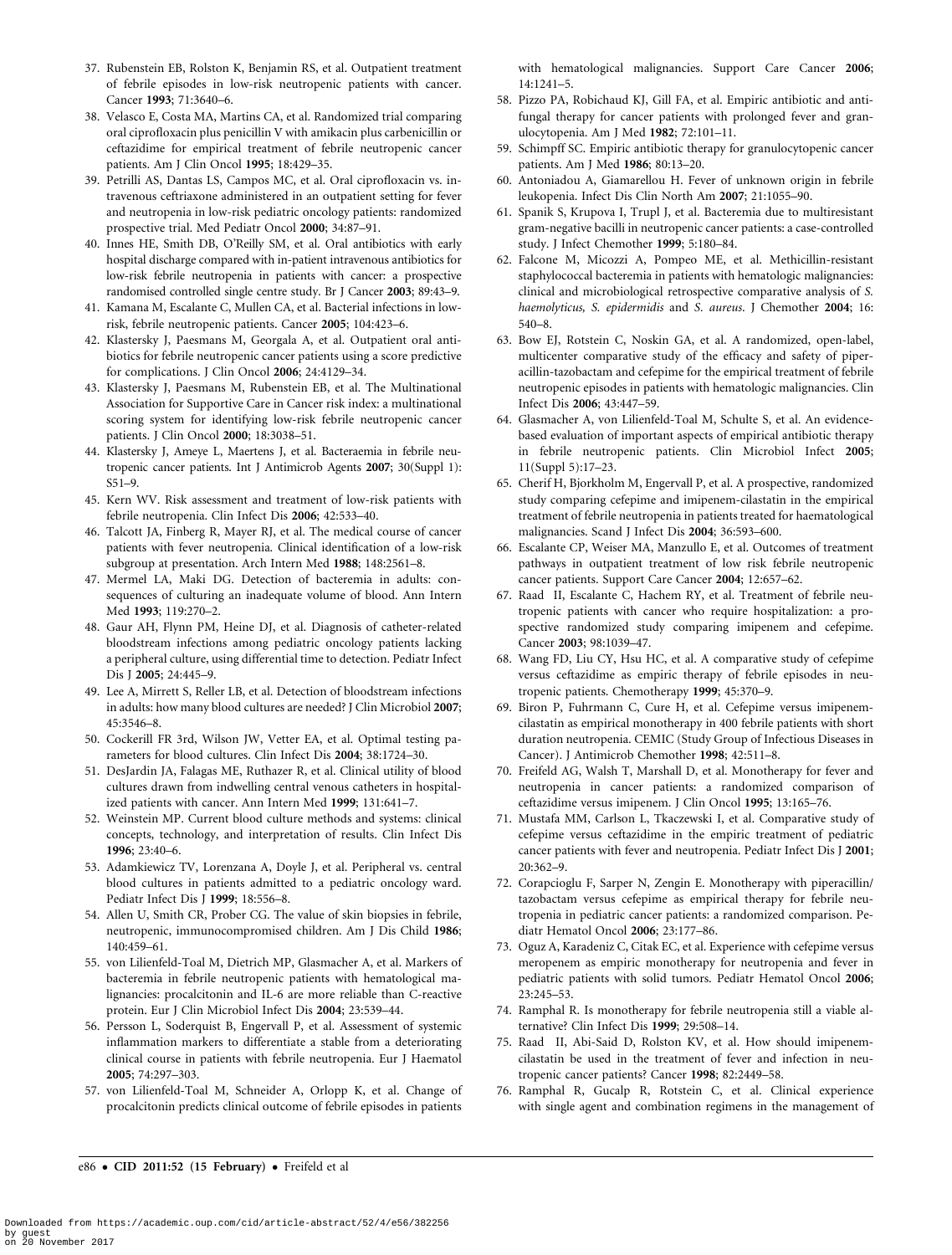- 37. Rubenstein EB, Rolston K, Benjamin RS, et al. Outpatient treatment of febrile episodes in low-risk neutropenic patients with cancer. Cancer 1993; 71:3640–6.
- 38. Velasco E, Costa MA, Martins CA, et al. Randomized trial comparing oral ciprofloxacin plus penicillin V with amikacin plus carbenicillin or ceftazidime for empirical treatment of febrile neutropenic cancer patients. Am J Clin Oncol 1995; 18:429–35.
- 39. Petrilli AS, Dantas LS, Campos MC, et al. Oral ciprofloxacin vs. intravenous ceftriaxone administered in an outpatient setting for fever and neutropenia in low-risk pediatric oncology patients: randomized prospective trial. Med Pediatr Oncol 2000; 34:87–91.
- 40. Innes HE, Smith DB, O'Reilly SM, et al. Oral antibiotics with early hospital discharge compared with in-patient intravenous antibiotics for low-risk febrile neutropenia in patients with cancer: a prospective randomised controlled single centre study. Br J Cancer 2003; 89:43–9.
- 41. Kamana M, Escalante C, Mullen CA, et al. Bacterial infections in lowrisk, febrile neutropenic patients. Cancer 2005; 104:423–6.
- 42. Klastersky J, Paesmans M, Georgala A, et al. Outpatient oral antibiotics for febrile neutropenic cancer patients using a score predictive for complications. J Clin Oncol 2006; 24:4129–34.
- 43. Klastersky J, Paesmans M, Rubenstein EB, et al. The Multinational Association for Supportive Care in Cancer risk index: a multinational scoring system for identifying low-risk febrile neutropenic cancer patients. J Clin Oncol 2000; 18:3038–51.
- 44. Klastersky J, Ameye L, Maertens J, et al. Bacteraemia in febrile neutropenic cancer patients. Int J Antimicrob Agents 2007; 30(Suppl 1): S51–9.
- 45. Kern WV. Risk assessment and treatment of low-risk patients with febrile neutropenia. Clin Infect Dis 2006; 42:533–40.
- 46. Talcott JA, Finberg R, Mayer RJ, et al. The medical course of cancer patients with fever neutropenia. Clinical identification of a low-risk subgroup at presentation. Arch Intern Med 1988; 148:2561–8.
- 47. Mermel LA, Maki DG. Detection of bacteremia in adults: consequences of culturing an inadequate volume of blood. Ann Intern Med 1993; 119:270–2.
- 48. Gaur AH, Flynn PM, Heine DJ, et al. Diagnosis of catheter-related bloodstream infections among pediatric oncology patients lacking a peripheral culture, using differential time to detection. Pediatr Infect Dis J 2005; 24:445–9.
- 49. Lee A, Mirrett S, Reller LB, et al. Detection of bloodstream infections in adults: how many blood cultures are needed? J Clin Microbiol 2007; 45:3546–8.
- 50. Cockerill FR 3rd, Wilson JW, Vetter EA, et al. Optimal testing parameters for blood cultures. Clin Infect Dis 2004; 38:1724–30.
- 51. DesJardin JA, Falagas ME, Ruthazer R, et al. Clinical utility of blood cultures drawn from indwelling central venous catheters in hospitalized patients with cancer. Ann Intern Med 1999; 131:641–7.
- 52. Weinstein MP. Current blood culture methods and systems: clinical concepts, technology, and interpretation of results. Clin Infect Dis 1996; 23:40–6.
- 53. Adamkiewicz TV, Lorenzana A, Doyle J, et al. Peripheral vs. central blood cultures in patients admitted to a pediatric oncology ward. Pediatr Infect Dis J 1999; 18:556–8.
- 54. Allen U, Smith CR, Prober CG. The value of skin biopsies in febrile, neutropenic, immunocompromised children. Am J Dis Child 1986; 140:459–61.
- 55. von Lilienfeld-Toal M, Dietrich MP, Glasmacher A, et al. Markers of bacteremia in febrile neutropenic patients with hematological malignancies: procalcitonin and IL-6 are more reliable than C-reactive protein. Eur J Clin Microbiol Infect Dis 2004; 23:539–44.
- 56. Persson L, Soderquist B, Engervall P, et al. Assessment of systemic inflammation markers to differentiate a stable from a deteriorating clinical course in patients with febrile neutropenia. Eur J Haematol 2005; 74:297–303.
- 57. von Lilienfeld-Toal M, Schneider A, Orlopp K, et al. Change of procalcitonin predicts clinical outcome of febrile episodes in patients

with hematological malignancies. Support Care Cancer 2006; 14:1241–5.

- 58. Pizzo PA, Robichaud KJ, Gill FA, et al. Empiric antibiotic and antifungal therapy for cancer patients with prolonged fever and granulocytopenia. Am J Med 1982; 72:101–11.
- 59. Schimpff SC. Empiric antibiotic therapy for granulocytopenic cancer patients. Am J Med 1986; 80:13–20.
- 60. Antoniadou A, Giamarellou H. Fever of unknown origin in febrile leukopenia. Infect Dis Clin North Am 2007; 21:1055–90.
- 61. Spanik S, Krupova I, Trupl J, et al. Bacteremia due to multiresistant gram-negative bacilli in neutropenic cancer patients: a case-controlled study. J Infect Chemother 1999; 5:180–84.
- 62. Falcone M, Micozzi A, Pompeo ME, et al. Methicillin-resistant staphylococcal bacteremia in patients with hematologic malignancies: clinical and microbiological retrospective comparative analysis of S. haemolyticus, S. epidermidis and S. aureus. J Chemother 2004; 16: 540–8.
- 63. Bow EJ, Rotstein C, Noskin GA, et al. A randomized, open-label, multicenter comparative study of the efficacy and safety of piperacillin-tazobactam and cefepime for the empirical treatment of febrile neutropenic episodes in patients with hematologic malignancies. Clin Infect Dis 2006; 43:447–59.
- 64. Glasmacher A, von Lilienfeld-Toal M, Schulte S, et al. An evidencebased evaluation of important aspects of empirical antibiotic therapy in febrile neutropenic patients. Clin Microbiol Infect 2005; 11(Suppl 5):17–23.
- 65. Cherif H, Bjorkholm M, Engervall P, et al. A prospective, randomized study comparing cefepime and imipenem-cilastatin in the empirical treatment of febrile neutropenia in patients treated for haematological malignancies. Scand J Infect Dis 2004; 36:593–600.
- 66. Escalante CP, Weiser MA, Manzullo E, et al. Outcomes of treatment pathways in outpatient treatment of low risk febrile neutropenic cancer patients. Support Care Cancer 2004; 12:657–62.
- 67. Raad II, Escalante C, Hachem RY, et al. Treatment of febrile neutropenic patients with cancer who require hospitalization: a prospective randomized study comparing imipenem and cefepime. Cancer 2003; 98:1039–47.
- 68. Wang FD, Liu CY, Hsu HC, et al. A comparative study of cefepime versus ceftazidime as empiric therapy of febrile episodes in neutropenic patients. Chemotherapy 1999; 45:370–9.
- 69. Biron P, Fuhrmann C, Cure H, et al. Cefepime versus imipenemcilastatin as empirical monotherapy in 400 febrile patients with short duration neutropenia. CEMIC (Study Group of Infectious Diseases in Cancer). J Antimicrob Chemother 1998; 42:511–8.
- 70. Freifeld AG, Walsh T, Marshall D, et al. Monotherapy for fever and neutropenia in cancer patients: a randomized comparison of ceftazidime versus imipenem. J Clin Oncol 1995; 13:165–76.
- 71. Mustafa MM, Carlson L, Tkaczewski I, et al. Comparative study of cefepime versus ceftazidime in the empiric treatment of pediatric cancer patients with fever and neutropenia. Pediatr Infect Dis J 2001; 20:362–9.
- 72. Corapcioglu F, Sarper N, Zengin E. Monotherapy with piperacillin/ tazobactam versus cefepime as empirical therapy for febrile neutropenia in pediatric cancer patients: a randomized comparison. Pediatr Hematol Oncol 2006; 23:177–86.
- 73. Oguz A, Karadeniz C, Citak EC, et al. Experience with cefepime versus meropenem as empiric monotherapy for neutropenia and fever in pediatric patients with solid tumors. Pediatr Hematol Oncol 2006; 23:245–53.
- 74. Ramphal R. Is monotherapy for febrile neutropenia still a viable alternative? Clin Infect Dis 1999; 29:508–14.
- 75. Raad II, Abi-Said D, Rolston KV, et al. How should imipenemcilastatin be used in the treatment of fever and infection in neutropenic cancer patients? Cancer 1998; 82:2449–58.
- 76. Ramphal R, Gucalp R, Rotstein C, et al. Clinical experience with single agent and combination regimens in the management of

e86 · CID 2011:52 (15 February) · Freifeld et al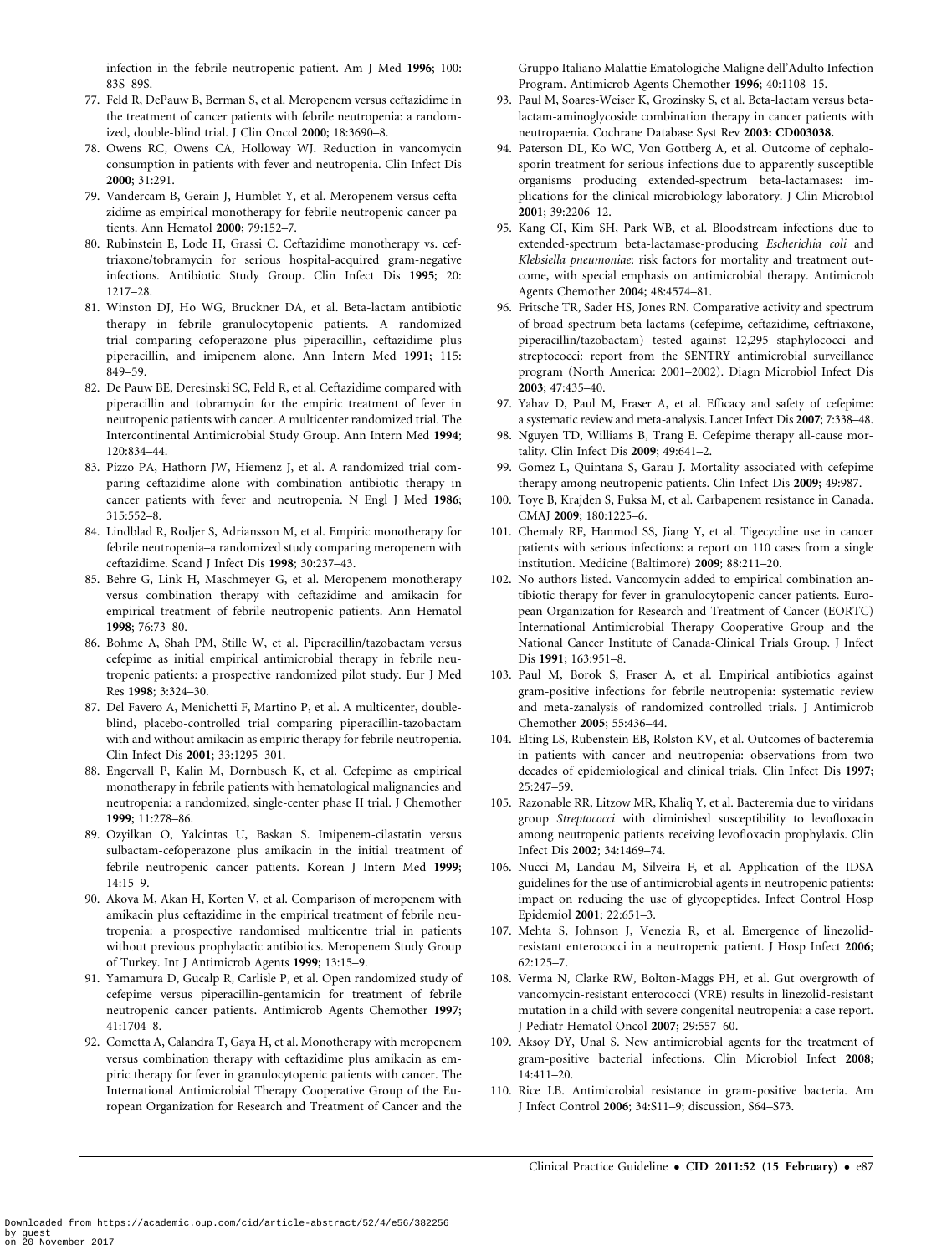infection in the febrile neutropenic patient. Am J Med 1996; 100: 83S–89S.

- 77. Feld R, DePauw B, Berman S, et al. Meropenem versus ceftazidime in the treatment of cancer patients with febrile neutropenia: a randomized, double-blind trial. J Clin Oncol 2000; 18:3690–8.
- 78. Owens RC, Owens CA, Holloway WJ. Reduction in vancomycin consumption in patients with fever and neutropenia. Clin Infect Dis 2000; 31:291.
- 79. Vandercam B, Gerain J, Humblet Y, et al. Meropenem versus ceftazidime as empirical monotherapy for febrile neutropenic cancer patients. Ann Hematol 2000; 79:152–7.
- 80. Rubinstein E, Lode H, Grassi C. Ceftazidime monotherapy vs. ceftriaxone/tobramycin for serious hospital-acquired gram-negative infections. Antibiotic Study Group. Clin Infect Dis 1995; 20: 1217–28.
- 81. Winston DJ, Ho WG, Bruckner DA, et al. Beta-lactam antibiotic therapy in febrile granulocytopenic patients. A randomized trial comparing cefoperazone plus piperacillin, ceftazidime plus piperacillin, and imipenem alone. Ann Intern Med 1991; 115: 849–59.
- 82. De Pauw BE, Deresinski SC, Feld R, et al. Ceftazidime compared with piperacillin and tobramycin for the empiric treatment of fever in neutropenic patients with cancer. A multicenter randomized trial. The Intercontinental Antimicrobial Study Group. Ann Intern Med 1994; 120:834–44.
- 83. Pizzo PA, Hathorn JW, Hiemenz J, et al. A randomized trial comparing ceftazidime alone with combination antibiotic therapy in cancer patients with fever and neutropenia. N Engl J Med 1986; 315:552–8.
- 84. Lindblad R, Rodjer S, Adriansson M, et al. Empiric monotherapy for febrile neutropenia–a randomized study comparing meropenem with ceftazidime. Scand J Infect Dis 1998; 30:237–43.
- 85. Behre G, Link H, Maschmeyer G, et al. Meropenem monotherapy versus combination therapy with ceftazidime and amikacin for empirical treatment of febrile neutropenic patients. Ann Hematol 1998; 76:73–80.
- 86. Bohme A, Shah PM, Stille W, et al. Piperacillin/tazobactam versus cefepime as initial empirical antimicrobial therapy in febrile neutropenic patients: a prospective randomized pilot study. Eur J Med Res 1998; 3:324–30.
- 87. Del Favero A, Menichetti F, Martino P, et al. A multicenter, doubleblind, placebo-controlled trial comparing piperacillin-tazobactam with and without amikacin as empiric therapy for febrile neutropenia. Clin Infect Dis 2001; 33:1295–301.
- 88. Engervall P, Kalin M, Dornbusch K, et al. Cefepime as empirical monotherapy in febrile patients with hematological malignancies and neutropenia: a randomized, single-center phase II trial. J Chemother 1999; 11:278–86.
- 89. Ozyilkan O, Yalcintas U, Baskan S. Imipenem-cilastatin versus sulbactam-cefoperazone plus amikacin in the initial treatment of febrile neutropenic cancer patients. Korean J Intern Med 1999; 14:15–9.
- 90. Akova M, Akan H, Korten V, et al. Comparison of meropenem with amikacin plus ceftazidime in the empirical treatment of febrile neutropenia: a prospective randomised multicentre trial in patients without previous prophylactic antibiotics. Meropenem Study Group of Turkey. Int J Antimicrob Agents 1999; 13:15–9.
- 91. Yamamura D, Gucalp R, Carlisle P, et al. Open randomized study of cefepime versus piperacillin-gentamicin for treatment of febrile neutropenic cancer patients. Antimicrob Agents Chemother 1997;  $41.1704 - 8$
- 92. Cometta A, Calandra T, Gaya H, et al. Monotherapy with meropenem versus combination therapy with ceftazidime plus amikacin as empiric therapy for fever in granulocytopenic patients with cancer. The International Antimicrobial Therapy Cooperative Group of the European Organization for Research and Treatment of Cancer and the

Gruppo Italiano Malattie Ematologiche Maligne dell'Adulto Infection Program. Antimicrob Agents Chemother 1996; 40:1108–15.

- 93. Paul M, Soares-Weiser K, Grozinsky S, et al. Beta-lactam versus betalactam-aminoglycoside combination therapy in cancer patients with neutropaenia. Cochrane Database Syst Rev 2003: CD003038.
- 94. Paterson DL, Ko WC, Von Gottberg A, et al. Outcome of cephalosporin treatment for serious infections due to apparently susceptible organisms producing extended-spectrum beta-lactamases: implications for the clinical microbiology laboratory. J Clin Microbiol 2001; 39:2206–12.
- 95. Kang CI, Kim SH, Park WB, et al. Bloodstream infections due to extended-spectrum beta-lactamase-producing Escherichia coli and Klebsiella pneumoniae: risk factors for mortality and treatment outcome, with special emphasis on antimicrobial therapy. Antimicrob Agents Chemother 2004; 48:4574–81.
- 96. Fritsche TR, Sader HS, Jones RN. Comparative activity and spectrum of broad-spectrum beta-lactams (cefepime, ceftazidime, ceftriaxone, piperacillin/tazobactam) tested against 12,295 staphylococci and streptococci: report from the SENTRY antimicrobial surveillance program (North America: 2001–2002). Diagn Microbiol Infect Dis 2003; 47:435–40.
- 97. Yahav D, Paul M, Fraser A, et al. Efficacy and safety of cefepime: a systematic review and meta-analysis. Lancet Infect Dis 2007; 7:338–48.
- 98. Nguyen TD, Williams B, Trang E. Cefepime therapy all-cause mortality. Clin Infect Dis 2009; 49:641–2.
- 99. Gomez L, Quintana S, Garau J. Mortality associated with cefepime therapy among neutropenic patients. Clin Infect Dis 2009; 49:987.
- 100. Toye B, Krajden S, Fuksa M, et al. Carbapenem resistance in Canada. CMAJ 2009; 180:1225–6.
- 101. Chemaly RF, Hanmod SS, Jiang Y, et al. Tigecycline use in cancer patients with serious infections: a report on 110 cases from a single institution. Medicine (Baltimore) 2009; 88:211–20.
- 102. No authors listed. Vancomycin added to empirical combination antibiotic therapy for fever in granulocytopenic cancer patients. European Organization for Research and Treatment of Cancer (EORTC) International Antimicrobial Therapy Cooperative Group and the National Cancer Institute of Canada-Clinical Trials Group. J Infect Dis 1991; 163:951–8.
- 103. Paul M, Borok S, Fraser A, et al. Empirical antibiotics against gram-positive infections for febrile neutropenia: systematic review and meta-zanalysis of randomized controlled trials. J Antimicrob Chemother 2005; 55:436–44.
- 104. Elting LS, Rubenstein EB, Rolston KV, et al. Outcomes of bacteremia in patients with cancer and neutropenia: observations from two decades of epidemiological and clinical trials. Clin Infect Dis 1997; 25:247–59.
- 105. Razonable RR, Litzow MR, Khaliq Y, et al. Bacteremia due to viridans group Streptococci with diminished susceptibility to levofloxacin among neutropenic patients receiving levofloxacin prophylaxis. Clin Infect Dis 2002; 34:1469–74.
- 106. Nucci M, Landau M, Silveira F, et al. Application of the IDSA guidelines for the use of antimicrobial agents in neutropenic patients: impact on reducing the use of glycopeptides. Infect Control Hosp Epidemiol 2001; 22:651–3.
- 107. Mehta S, Johnson J, Venezia R, et al. Emergence of linezolidresistant enterococci in a neutropenic patient. J Hosp Infect 2006; 62:125–7.
- 108. Verma N, Clarke RW, Bolton-Maggs PH, et al. Gut overgrowth of vancomycin-resistant enterococci (VRE) results in linezolid-resistant mutation in a child with severe congenital neutropenia: a case report. J Pediatr Hematol Oncol 2007; 29:557–60.
- 109. Aksoy DY, Unal S. New antimicrobial agents for the treatment of gram-positive bacterial infections. Clin Microbiol Infect 2008; 14:411–20.
- 110. Rice LB. Antimicrobial resistance in gram-positive bacteria. Am J Infect Control 2006; 34:S11–9; discussion, S64–S73.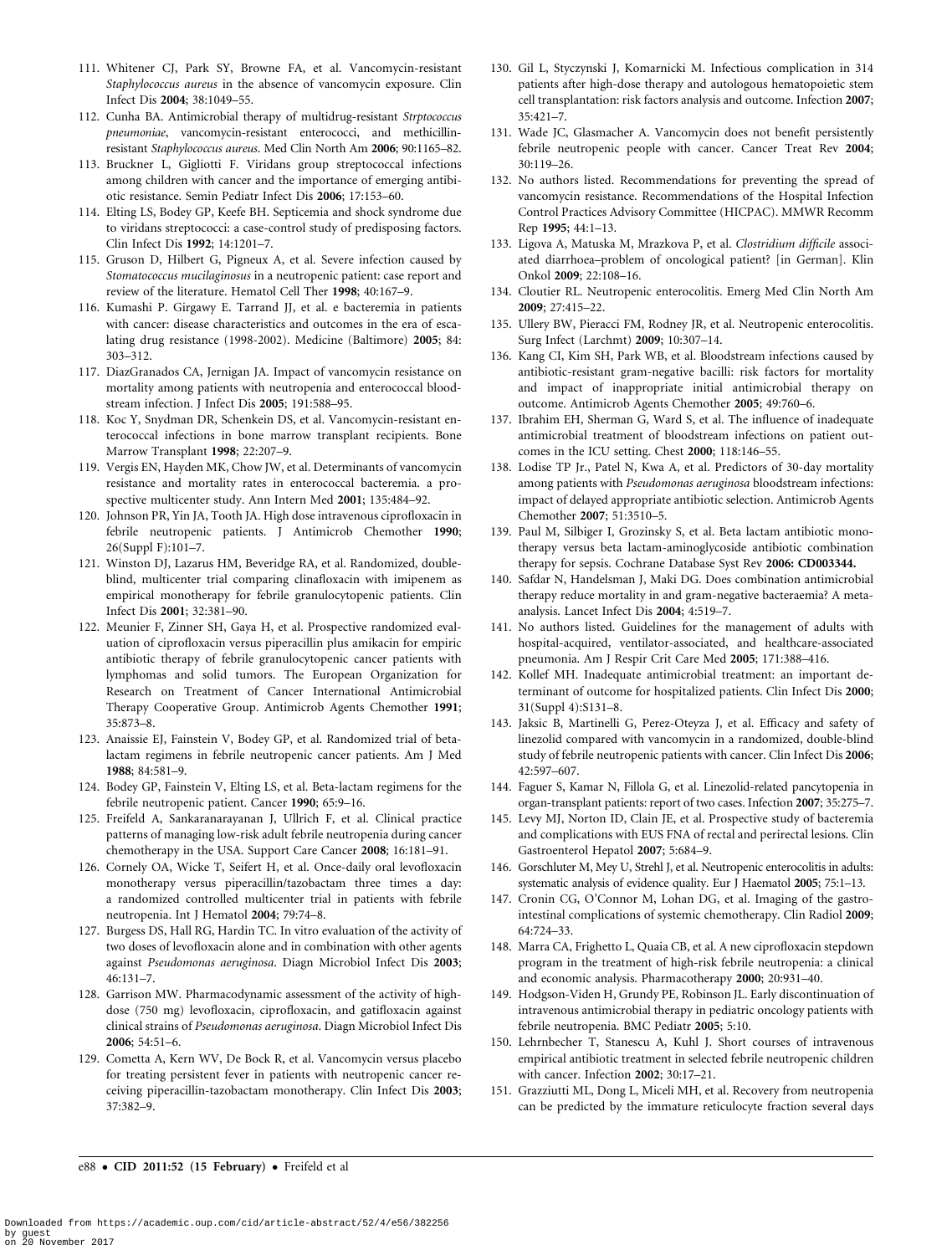- 111. Whitener CJ, Park SY, Browne FA, et al. Vancomycin-resistant Staphylococcus aureus in the absence of vancomycin exposure. Clin Infect Dis 2004; 38:1049–55.
- 112. Cunha BA. Antimicrobial therapy of multidrug-resistant Strptococcus pneumoniae, vancomycin-resistant enterococci, and methicillinresistant Staphylococcus aureus. Med Clin North Am 2006; 90:1165–82.
- 113. Bruckner L, Gigliotti F. Viridans group streptococcal infections among children with cancer and the importance of emerging antibiotic resistance. Semin Pediatr Infect Dis 2006; 17:153–60.
- 114. Elting LS, Bodey GP, Keefe BH. Septicemia and shock syndrome due to viridans streptococci: a case-control study of predisposing factors. Clin Infect Dis 1992; 14:1201–7.
- 115. Gruson D, Hilbert G, Pigneux A, et al. Severe infection caused by Stomatococcus mucilaginosus in a neutropenic patient: case report and review of the literature. Hematol Cell Ther 1998; 40:167–9.
- 116. Kumashi P. Girgawy E. Tarrand JJ, et al. e bacteremia in patients with cancer: disease characteristics and outcomes in the era of escalating drug resistance (1998-2002). Medicine (Baltimore) 2005; 84: 303–312.
- 117. DiazGranados CA, Jernigan JA. Impact of vancomycin resistance on mortality among patients with neutropenia and enterococcal bloodstream infection. J Infect Dis 2005; 191:588–95.
- 118. Koc Y, Snydman DR, Schenkein DS, et al. Vancomycin-resistant enterococcal infections in bone marrow transplant recipients. Bone Marrow Transplant 1998; 22:207–9.
- 119. Vergis EN, Hayden MK, Chow JW, et al. Determinants of vancomycin resistance and mortality rates in enterococcal bacteremia. a prospective multicenter study. Ann Intern Med 2001; 135:484–92.
- 120. Johnson PR, Yin JA, Tooth JA. High dose intravenous ciprofloxacin in febrile neutropenic patients. J Antimicrob Chemother 1990; 26(Suppl F):101–7.
- 121. Winston DJ, Lazarus HM, Beveridge RA, et al. Randomized, doubleblind, multicenter trial comparing clinafloxacin with imipenem as empirical monotherapy for febrile granulocytopenic patients. Clin Infect Dis 2001; 32:381–90.
- 122. Meunier F, Zinner SH, Gaya H, et al. Prospective randomized evaluation of ciprofloxacin versus piperacillin plus amikacin for empiric antibiotic therapy of febrile granulocytopenic cancer patients with lymphomas and solid tumors. The European Organization for Research on Treatment of Cancer International Antimicrobial Therapy Cooperative Group. Antimicrob Agents Chemother 1991; 35:873–8.
- 123. Anaissie EJ, Fainstein V, Bodey GP, et al. Randomized trial of betalactam regimens in febrile neutropenic cancer patients. Am J Med 1988; 84:581–9.
- 124. Bodey GP, Fainstein V, Elting LS, et al. Beta-lactam regimens for the febrile neutropenic patient. Cancer 1990; 65:9–16.
- 125. Freifeld A, Sankaranarayanan J, Ullrich F, et al. Clinical practice patterns of managing low-risk adult febrile neutropenia during cancer chemotherapy in the USA. Support Care Cancer 2008; 16:181–91.
- 126. Cornely OA, Wicke T, Seifert H, et al. Once-daily oral levofloxacin monotherapy versus piperacillin/tazobactam three times a day: a randomized controlled multicenter trial in patients with febrile neutropenia. Int J Hematol 2004; 79:74–8.
- 127. Burgess DS, Hall RG, Hardin TC. In vitro evaluation of the activity of two doses of levofloxacin alone and in combination with other agents against Pseudomonas aeruginosa. Diagn Microbiol Infect Dis 2003; 46:131–7.
- 128. Garrison MW. Pharmacodynamic assessment of the activity of highdose (750 mg) levofloxacin, ciprofloxacin, and gatifloxacin against clinical strains of Pseudomonas aeruginosa. Diagn Microbiol Infect Dis 2006; 54:51–6.
- 129. Cometta A, Kern WV, De Bock R, et al. Vancomycin versus placebo for treating persistent fever in patients with neutropenic cancer receiving piperacillin-tazobactam monotherapy. Clin Infect Dis 2003; 37:382–9.
- 130. Gil L, Styczynski J, Komarnicki M. Infectious complication in 314 patients after high-dose therapy and autologous hematopoietic stem cell transplantation: risk factors analysis and outcome. Infection 2007; 35:421–7.
- 131. Wade JC, Glasmacher A. Vancomycin does not benefit persistently febrile neutropenic people with cancer. Cancer Treat Rev 2004; 30:119–26.
- 132. No authors listed. Recommendations for preventing the spread of vancomycin resistance. Recommendations of the Hospital Infection Control Practices Advisory Committee (HICPAC). MMWR Recomm Rep 1995; 44:1–13.
- 133. Ligova A, Matuska M, Mrazkova P, et al. Clostridium difficile associated diarrhoea–problem of oncological patient? [in German]. Klin Onkol 2009; 22:108–16.
- 134. Cloutier RL. Neutropenic enterocolitis. Emerg Med Clin North Am 2009; 27:415–22.
- 135. Ullery BW, Pieracci FM, Rodney JR, et al. Neutropenic enterocolitis. Surg Infect (Larchmt) 2009; 10:307–14.
- 136. Kang CI, Kim SH, Park WB, et al. Bloodstream infections caused by antibiotic-resistant gram-negative bacilli: risk factors for mortality and impact of inappropriate initial antimicrobial therapy on outcome. Antimicrob Agents Chemother 2005; 49:760–6.
- 137. Ibrahim EH, Sherman G, Ward S, et al. The influence of inadequate antimicrobial treatment of bloodstream infections on patient outcomes in the ICU setting. Chest 2000; 118:146–55.
- 138. Lodise TP Jr., Patel N, Kwa A, et al. Predictors of 30-day mortality among patients with Pseudomonas aeruginosa bloodstream infections: impact of delayed appropriate antibiotic selection. Antimicrob Agents Chemother 2007; 51:3510–5.
- 139. Paul M, Silbiger I, Grozinsky S, et al. Beta lactam antibiotic monotherapy versus beta lactam-aminoglycoside antibiotic combination therapy for sepsis. Cochrane Database Syst Rev 2006: CD003344.
- 140. Safdar N, Handelsman J, Maki DG. Does combination antimicrobial therapy reduce mortality in and gram-negative bacteraemia? A metaanalysis. Lancet Infect Dis 2004; 4:519–7.
- 141. No authors listed. Guidelines for the management of adults with hospital-acquired, ventilator-associated, and healthcare-associated pneumonia. Am J Respir Crit Care Med 2005; 171:388–416.
- 142. Kollef MH. Inadequate antimicrobial treatment: an important determinant of outcome for hospitalized patients. Clin Infect Dis 2000; 31(Suppl 4):S131–8.
- 143. Jaksic B, Martinelli G, Perez-Oteyza J, et al. Efficacy and safety of linezolid compared with vancomycin in a randomized, double-blind study of febrile neutropenic patients with cancer. Clin Infect Dis 2006; 42:597–607.
- 144. Faguer S, Kamar N, Fillola G, et al. Linezolid-related pancytopenia in organ-transplant patients: report of two cases. Infection 2007; 35:275–7.
- 145. Levy MJ, Norton ID, Clain JE, et al. Prospective study of bacteremia and complications with EUS FNA of rectal and perirectal lesions. Clin Gastroenterol Hepatol 2007; 5:684–9.
- 146. Gorschluter M, Mey U, Strehl J, et al. Neutropenic enterocolitis in adults: systematic analysis of evidence quality. Eur J Haematol 2005; 75:1–13.
- 147. Cronin CG, O'Connor M, Lohan DG, et al. Imaging of the gastrointestinal complications of systemic chemotherapy. Clin Radiol 2009; 64:724–33.
- 148. Marra CA, Frighetto L, Quaia CB, et al. A new ciprofloxacin stepdown program in the treatment of high-risk febrile neutropenia: a clinical and economic analysis. Pharmacotherapy 2000; 20:931–40.
- 149. Hodgson-Viden H, Grundy PE, Robinson JL. Early discontinuation of intravenous antimicrobial therapy in pediatric oncology patients with febrile neutropenia. BMC Pediatr 2005; 5:10.
- 150. Lehrnbecher T, Stanescu A, Kuhl J. Short courses of intravenous empirical antibiotic treatment in selected febrile neutropenic children with cancer. Infection 2002; 30:17–21.
- 151. Grazziutti ML, Dong L, Miceli MH, et al. Recovery from neutropenia can be predicted by the immature reticulocyte fraction several days

e88 · CID 2011:52 (15 February) · Freifeld et al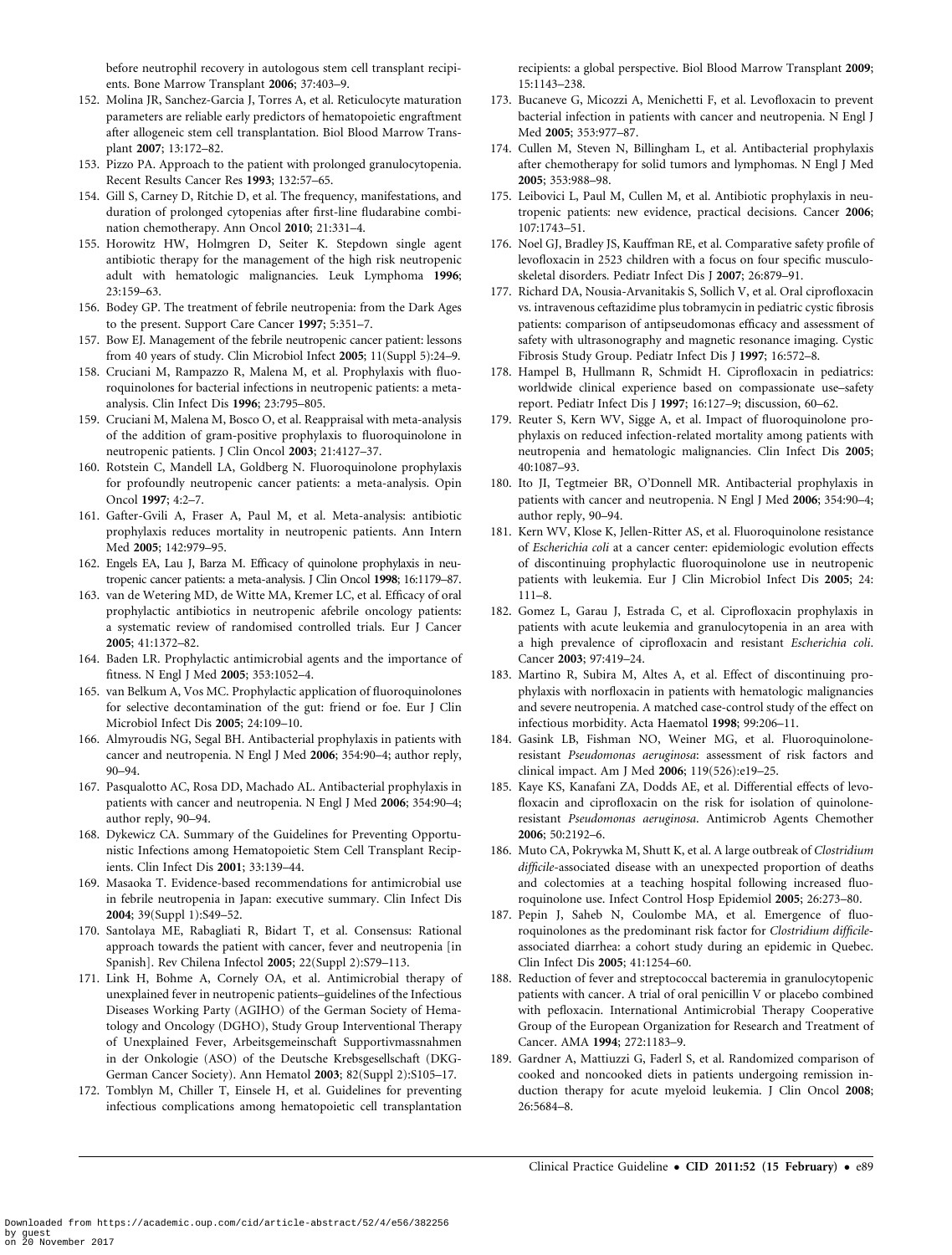before neutrophil recovery in autologous stem cell transplant recipients. Bone Marrow Transplant 2006; 37:403–9.

- 152. Molina JR, Sanchez-Garcia J, Torres A, et al. Reticulocyte maturation parameters are reliable early predictors of hematopoietic engraftment after allogeneic stem cell transplantation. Biol Blood Marrow Transplant 2007; 13:172–82.
- 153. Pizzo PA. Approach to the patient with prolonged granulocytopenia. Recent Results Cancer Res 1993; 132:57–65.
- 154. Gill S, Carney D, Ritchie D, et al. The frequency, manifestations, and duration of prolonged cytopenias after first-line fludarabine combination chemotherapy. Ann Oncol 2010; 21:331–4.
- 155. Horowitz HW, Holmgren D, Seiter K. Stepdown single agent antibiotic therapy for the management of the high risk neutropenic adult with hematologic malignancies. Leuk Lymphoma 1996; 23:159–63.
- 156. Bodey GP. The treatment of febrile neutropenia: from the Dark Ages to the present. Support Care Cancer 1997; 5:351–7.
- 157. Bow EJ. Management of the febrile neutropenic cancer patient: lessons from 40 years of study. Clin Microbiol Infect 2005; 11(Suppl 5):24–9.
- 158. Cruciani M, Rampazzo R, Malena M, et al. Prophylaxis with fluoroquinolones for bacterial infections in neutropenic patients: a metaanalysis. Clin Infect Dis 1996; 23:795–805.
- 159. Cruciani M, Malena M, Bosco O, et al. Reappraisal with meta-analysis of the addition of gram-positive prophylaxis to fluoroquinolone in neutropenic patients. J Clin Oncol 2003; 21:4127–37.
- 160. Rotstein C, Mandell LA, Goldberg N. Fluoroquinolone prophylaxis for profoundly neutropenic cancer patients: a meta-analysis. Opin Oncol 1997; 4:2–7.
- 161. Gafter-Gvili A, Fraser A, Paul M, et al. Meta-analysis: antibiotic prophylaxis reduces mortality in neutropenic patients. Ann Intern Med 2005; 142:979–95.
- 162. Engels EA, Lau J, Barza M. Efficacy of quinolone prophylaxis in neutropenic cancer patients: a meta-analysis. J Clin Oncol 1998; 16:1179–87.
- 163. van de Wetering MD, de Witte MA, Kremer LC, et al. Efficacy of oral prophylactic antibiotics in neutropenic afebrile oncology patients: a systematic review of randomised controlled trials. Eur J Cancer 2005; 41:1372–82.
- 164. Baden LR. Prophylactic antimicrobial agents and the importance of fitness. N Engl J Med 2005; 353:1052–4.
- 165. van Belkum A, Vos MC. Prophylactic application of fluoroquinolones for selective decontamination of the gut: friend or foe. Eur J Clin Microbiol Infect Dis 2005; 24:109–10.
- 166. Almyroudis NG, Segal BH. Antibacterial prophylaxis in patients with cancer and neutropenia. N Engl J Med 2006; 354:90–4; author reply, 90–94.
- 167. Pasqualotto AC, Rosa DD, Machado AL. Antibacterial prophylaxis in patients with cancer and neutropenia. N Engl J Med 2006; 354:90–4; author reply, 90–94.
- 168. Dykewicz CA. Summary of the Guidelines for Preventing Opportunistic Infections among Hematopoietic Stem Cell Transplant Recipients. Clin Infect Dis 2001; 33:139–44.
- 169. Masaoka T. Evidence-based recommendations for antimicrobial use in febrile neutropenia in Japan: executive summary. Clin Infect Dis 2004; 39(Suppl 1):S49–52.
- 170. Santolaya ME, Rabagliati R, Bidart T, et al. Consensus: Rational approach towards the patient with cancer, fever and neutropenia [in Spanish]. Rev Chilena Infectol 2005; 22(Suppl 2):S79–113.
- 171. Link H, Bohme A, Cornely OA, et al. Antimicrobial therapy of unexplained fever in neutropenic patients–guidelines of the Infectious Diseases Working Party (AGIHO) of the German Society of Hematology and Oncology (DGHO), Study Group Interventional Therapy of Unexplained Fever, Arbeitsgemeinschaft Supportivmassnahmen in der Onkologie (ASO) of the Deutsche Krebsgesellschaft (DKG-German Cancer Society). Ann Hematol 2003; 82(Suppl 2):S105–17.
- 172. Tomblyn M, Chiller T, Einsele H, et al. Guidelines for preventing infectious complications among hematopoietic cell transplantation

recipients: a global perspective. Biol Blood Marrow Transplant 2009; 15:1143–238.

- 173. Bucaneve G, Micozzi A, Menichetti F, et al. Levofloxacin to prevent bacterial infection in patients with cancer and neutropenia. N Engl J Med 2005; 353:977–87.
- 174. Cullen M, Steven N, Billingham L, et al. Antibacterial prophylaxis after chemotherapy for solid tumors and lymphomas. N Engl J Med 2005; 353:988–98.
- 175. Leibovici L, Paul M, Cullen M, et al. Antibiotic prophylaxis in neutropenic patients: new evidence, practical decisions. Cancer 2006; 107:1743–51.
- 176. Noel GJ, Bradley JS, Kauffman RE, et al. Comparative safety profile of levofloxacin in 2523 children with a focus on four specific musculoskeletal disorders. Pediatr Infect Dis J 2007; 26:879–91.
- 177. Richard DA, Nousia-Arvanitakis S, Sollich V, et al. Oral ciprofloxacin vs. intravenous ceftazidime plus tobramycin in pediatric cystic fibrosis patients: comparison of antipseudomonas efficacy and assessment of safety with ultrasonography and magnetic resonance imaging. Cystic Fibrosis Study Group. Pediatr Infect Dis J 1997; 16:572–8.
- 178. Hampel B, Hullmann R, Schmidt H. Ciprofloxacin in pediatrics: worldwide clinical experience based on compassionate use–safety report. Pediatr Infect Dis J 1997; 16:127–9; discussion, 60–62.
- 179. Reuter S, Kern WV, Sigge A, et al. Impact of fluoroquinolone prophylaxis on reduced infection-related mortality among patients with neutropenia and hematologic malignancies. Clin Infect Dis 2005; 40:1087–93.
- 180. Ito JI, Tegtmeier BR, O'Donnell MR. Antibacterial prophylaxis in patients with cancer and neutropenia. N Engl J Med 2006; 354:90–4; author reply, 90–94.
- 181. Kern WV, Klose K, Jellen-Ritter AS, et al. Fluoroquinolone resistance of Escherichia coli at a cancer center: epidemiologic evolution effects of discontinuing prophylactic fluoroquinolone use in neutropenic patients with leukemia. Eur J Clin Microbiol Infect Dis 2005; 24: 111–8.
- 182. Gomez L, Garau J, Estrada C, et al. Ciprofloxacin prophylaxis in patients with acute leukemia and granulocytopenia in an area with a high prevalence of ciprofloxacin and resistant Escherichia coli. Cancer 2003; 97:419–24.
- 183. Martino R, Subira M, Altes A, et al. Effect of discontinuing prophylaxis with norfloxacin in patients with hematologic malignancies and severe neutropenia. A matched case-control study of the effect on infectious morbidity. Acta Haematol 1998; 99:206–11.
- 184. Gasink LB, Fishman NO, Weiner MG, et al. Fluoroquinoloneresistant Pseudomonas aeruginosa: assessment of risk factors and clinical impact. Am J Med 2006; 119(526):e19–25.
- 185. Kaye KS, Kanafani ZA, Dodds AE, et al. Differential effects of levofloxacin and ciprofloxacin on the risk for isolation of quinoloneresistant Pseudomonas aeruginosa. Antimicrob Agents Chemother 2006; 50:2192–6.
- 186. Muto CA, Pokrywka M, Shutt K, et al. A large outbreak of Clostridium difficile-associated disease with an unexpected proportion of deaths and colectomies at a teaching hospital following increased fluoroquinolone use. Infect Control Hosp Epidemiol 2005; 26:273–80.
- 187. Pepin J, Saheb N, Coulombe MA, et al. Emergence of fluoroquinolones as the predominant risk factor for Clostridium difficileassociated diarrhea: a cohort study during an epidemic in Quebec. Clin Infect Dis 2005; 41:1254–60.
- 188. Reduction of fever and streptococcal bacteremia in granulocytopenic patients with cancer. A trial of oral penicillin V or placebo combined with pefloxacin. International Antimicrobial Therapy Cooperative Group of the European Organization for Research and Treatment of Cancer. AMA 1994; 272:1183–9.
- 189. Gardner A, Mattiuzzi G, Faderl S, et al. Randomized comparison of cooked and noncooked diets in patients undergoing remission induction therapy for acute myeloid leukemia. J Clin Oncol 2008; 26:5684–8.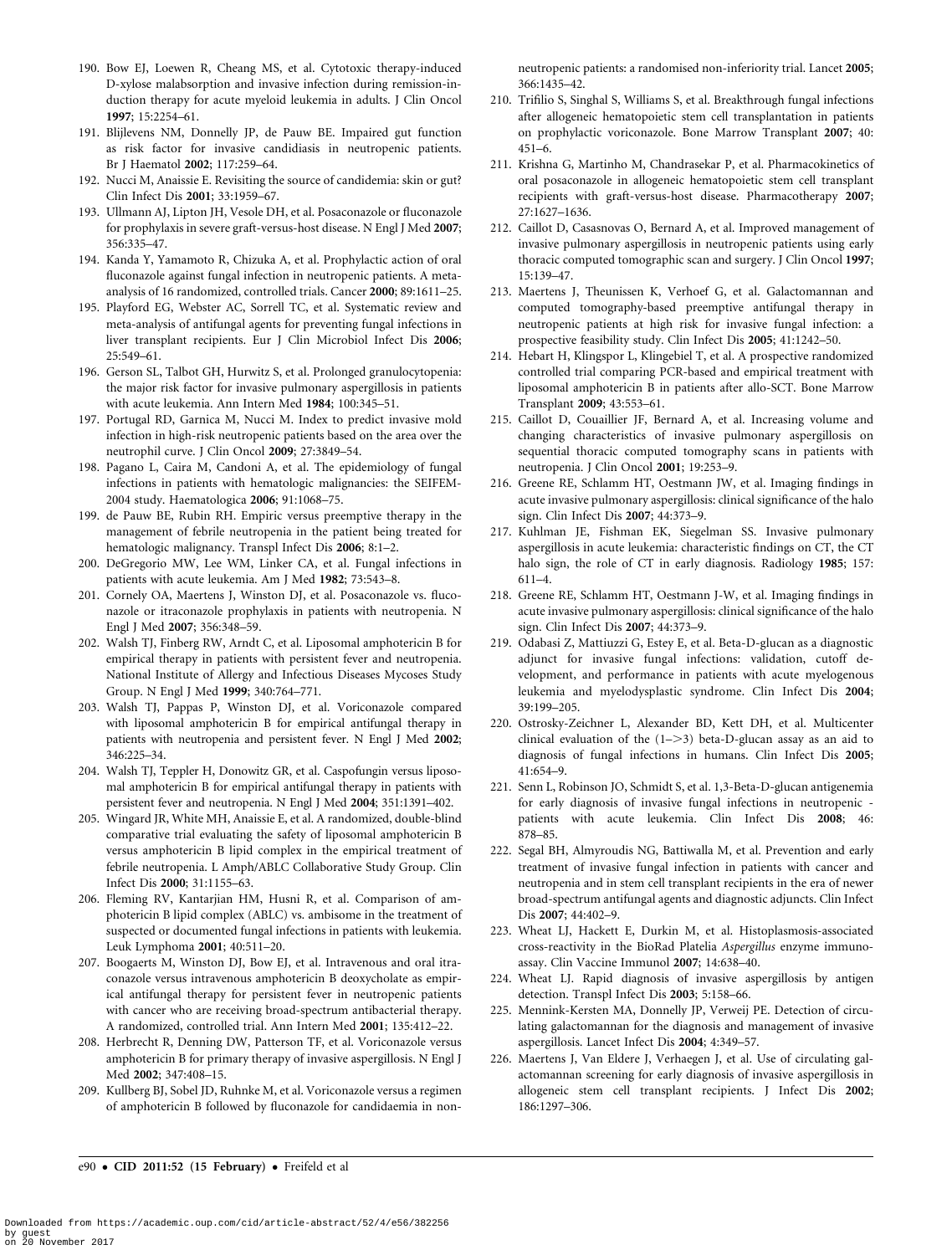- 190. Bow EJ, Loewen R, Cheang MS, et al. Cytotoxic therapy-induced D-xylose malabsorption and invasive infection during remission-induction therapy for acute myeloid leukemia in adults. J Clin Oncol 1997; 15:2254–61.
- 191. Blijlevens NM, Donnelly JP, de Pauw BE. Impaired gut function as risk factor for invasive candidiasis in neutropenic patients. Br J Haematol 2002; 117:259–64.
- 192. Nucci M, Anaissie E. Revisiting the source of candidemia: skin or gut? Clin Infect Dis 2001; 33:1959–67.
- 193. Ullmann AJ, Lipton JH, Vesole DH, et al. Posaconazole or fluconazole for prophylaxis in severe graft-versus-host disease. N Engl J Med 2007; 356:335–47.
- 194. Kanda Y, Yamamoto R, Chizuka A, et al. Prophylactic action of oral fluconazole against fungal infection in neutropenic patients. A metaanalysis of 16 randomized, controlled trials. Cancer 2000; 89:1611–25.
- 195. Playford EG, Webster AC, Sorrell TC, et al. Systematic review and meta-analysis of antifungal agents for preventing fungal infections in liver transplant recipients. Eur J Clin Microbiol Infect Dis 2006; 25:549–61.
- 196. Gerson SL, Talbot GH, Hurwitz S, et al. Prolonged granulocytopenia: the major risk factor for invasive pulmonary aspergillosis in patients with acute leukemia. Ann Intern Med 1984; 100:345–51.
- 197. Portugal RD, Garnica M, Nucci M. Index to predict invasive mold infection in high-risk neutropenic patients based on the area over the neutrophil curve. J Clin Oncol 2009; 27:3849–54.
- 198. Pagano L, Caira M, Candoni A, et al. The epidemiology of fungal infections in patients with hematologic malignancies: the SEIFEM-2004 study. Haematologica 2006; 91:1068–75.
- 199. de Pauw BE, Rubin RH. Empiric versus preemptive therapy in the management of febrile neutropenia in the patient being treated for hematologic malignancy. Transpl Infect Dis 2006; 8:1–2.
- 200. DeGregorio MW, Lee WM, Linker CA, et al. Fungal infections in patients with acute leukemia. Am J Med 1982; 73:543–8.
- 201. Cornely OA, Maertens J, Winston DJ, et al. Posaconazole vs. fluconazole or itraconazole prophylaxis in patients with neutropenia. N Engl J Med 2007; 356:348–59.
- 202. Walsh TJ, Finberg RW, Arndt C, et al. Liposomal amphotericin B for empirical therapy in patients with persistent fever and neutropenia. National Institute of Allergy and Infectious Diseases Mycoses Study Group. N Engl J Med 1999; 340:764–771.
- 203. Walsh TJ, Pappas P, Winston DJ, et al. Voriconazole compared with liposomal amphotericin B for empirical antifungal therapy in patients with neutropenia and persistent fever. N Engl J Med 2002; 346:225–34.
- 204. Walsh TJ, Teppler H, Donowitz GR, et al. Caspofungin versus liposomal amphotericin B for empirical antifungal therapy in patients with persistent fever and neutropenia. N Engl J Med 2004; 351:1391–402.
- 205. Wingard JR, White MH, Anaissie E, et al. A randomized, double-blind comparative trial evaluating the safety of liposomal amphotericin B versus amphotericin B lipid complex in the empirical treatment of febrile neutropenia. L Amph/ABLC Collaborative Study Group. Clin Infect Dis 2000; 31:1155–63.
- 206. Fleming RV, Kantarjian HM, Husni R, et al. Comparison of amphotericin B lipid complex (ABLC) vs. ambisome in the treatment of suspected or documented fungal infections in patients with leukemia. Leuk Lymphoma 2001; 40:511–20.
- 207. Boogaerts M, Winston DJ, Bow EJ, et al. Intravenous and oral itraconazole versus intravenous amphotericin B deoxycholate as empirical antifungal therapy for persistent fever in neutropenic patients with cancer who are receiving broad-spectrum antibacterial therapy. A randomized, controlled trial. Ann Intern Med 2001; 135:412–22.
- 208. Herbrecht R, Denning DW, Patterson TF, et al. Voriconazole versus amphotericin B for primary therapy of invasive aspergillosis. N Engl J Med 2002; 347:408–15.
- 209. Kullberg BJ, Sobel JD, Ruhnke M, et al. Voriconazole versus a regimen of amphotericin B followed by fluconazole for candidaemia in non-

neutropenic patients: a randomised non-inferiority trial. Lancet 2005; 366:1435–42.

- 210. Trifilio S, Singhal S, Williams S, et al. Breakthrough fungal infections after allogeneic hematopoietic stem cell transplantation in patients on prophylactic voriconazole. Bone Marrow Transplant 2007; 40: 451–6.
- 211. Krishna G, Martinho M, Chandrasekar P, et al. Pharmacokinetics of oral posaconazole in allogeneic hematopoietic stem cell transplant recipients with graft-versus-host disease. Pharmacotherapy 2007; 27:1627–1636.
- 212. Caillot D, Casasnovas O, Bernard A, et al. Improved management of invasive pulmonary aspergillosis in neutropenic patients using early thoracic computed tomographic scan and surgery. J Clin Oncol 1997; 15:139–47.
- 213. Maertens J, Theunissen K, Verhoef G, et al. Galactomannan and computed tomography-based preemptive antifungal therapy in neutropenic patients at high risk for invasive fungal infection: a prospective feasibility study. Clin Infect Dis 2005; 41:1242–50.
- 214. Hebart H, Klingspor L, Klingebiel T, et al. A prospective randomized controlled trial comparing PCR-based and empirical treatment with liposomal amphotericin B in patients after allo-SCT. Bone Marrow Transplant 2009; 43:553–61.
- 215. Caillot D, Couaillier JF, Bernard A, et al. Increasing volume and changing characteristics of invasive pulmonary aspergillosis on sequential thoracic computed tomography scans in patients with neutropenia. J Clin Oncol 2001; 19:253–9.
- 216. Greene RE, Schlamm HT, Oestmann JW, et al. Imaging findings in acute invasive pulmonary aspergillosis: clinical significance of the halo sign. Clin Infect Dis 2007; 44:373–9.
- 217. Kuhlman JE, Fishman EK, Siegelman SS. Invasive pulmonary aspergillosis in acute leukemia: characteristic findings on CT, the CT halo sign, the role of CT in early diagnosis. Radiology 1985; 157: 611–4.
- 218. Greene RE, Schlamm HT, Oestmann J-W, et al. Imaging findings in acute invasive pulmonary aspergillosis: clinical significance of the halo sign. Clin Infect Dis 2007; 44:373–9.
- 219. Odabasi Z, Mattiuzzi G, Estey E, et al. Beta-D-glucan as a diagnostic adjunct for invasive fungal infections: validation, cutoff development, and performance in patients with acute myelogenous leukemia and myelodysplastic syndrome. Clin Infect Dis 2004; 39:199–205.
- 220. Ostrosky-Zeichner L, Alexander BD, Kett DH, et al. Multicenter clinical evaluation of the  $(1->3)$  beta-D-glucan assay as an aid to diagnosis of fungal infections in humans. Clin Infect Dis 2005; 41:654–9.
- 221. Senn L, Robinson JO, Schmidt S, et al. 1,3-Beta-D-glucan antigenemia for early diagnosis of invasive fungal infections in neutropenic patients with acute leukemia. Clin Infect Dis 2008; 46: 878–85.
- 222. Segal BH, Almyroudis NG, Battiwalla M, et al. Prevention and early treatment of invasive fungal infection in patients with cancer and neutropenia and in stem cell transplant recipients in the era of newer broad-spectrum antifungal agents and diagnostic adjuncts. Clin Infect Dis 2007; 44:402–9.
- 223. Wheat LJ, Hackett E, Durkin M, et al. Histoplasmosis-associated cross-reactivity in the BioRad Platelia Aspergillus enzyme immunoassay. Clin Vaccine Immunol 2007; 14:638–40.
- 224. Wheat LJ. Rapid diagnosis of invasive aspergillosis by antigen detection. Transpl Infect Dis 2003; 5:158–66.
- 225. Mennink-Kersten MA, Donnelly JP, Verweij PE. Detection of circulating galactomannan for the diagnosis and management of invasive aspergillosis. Lancet Infect Dis 2004; 4:349–57.
- 226. Maertens J, Van Eldere J, Verhaegen J, et al. Use of circulating galactomannan screening for early diagnosis of invasive aspergillosis in allogeneic stem cell transplant recipients. J Infect Dis 2002; 186:1297–306.

e90 · CID 2011:52 (15 February) · Freifeld et al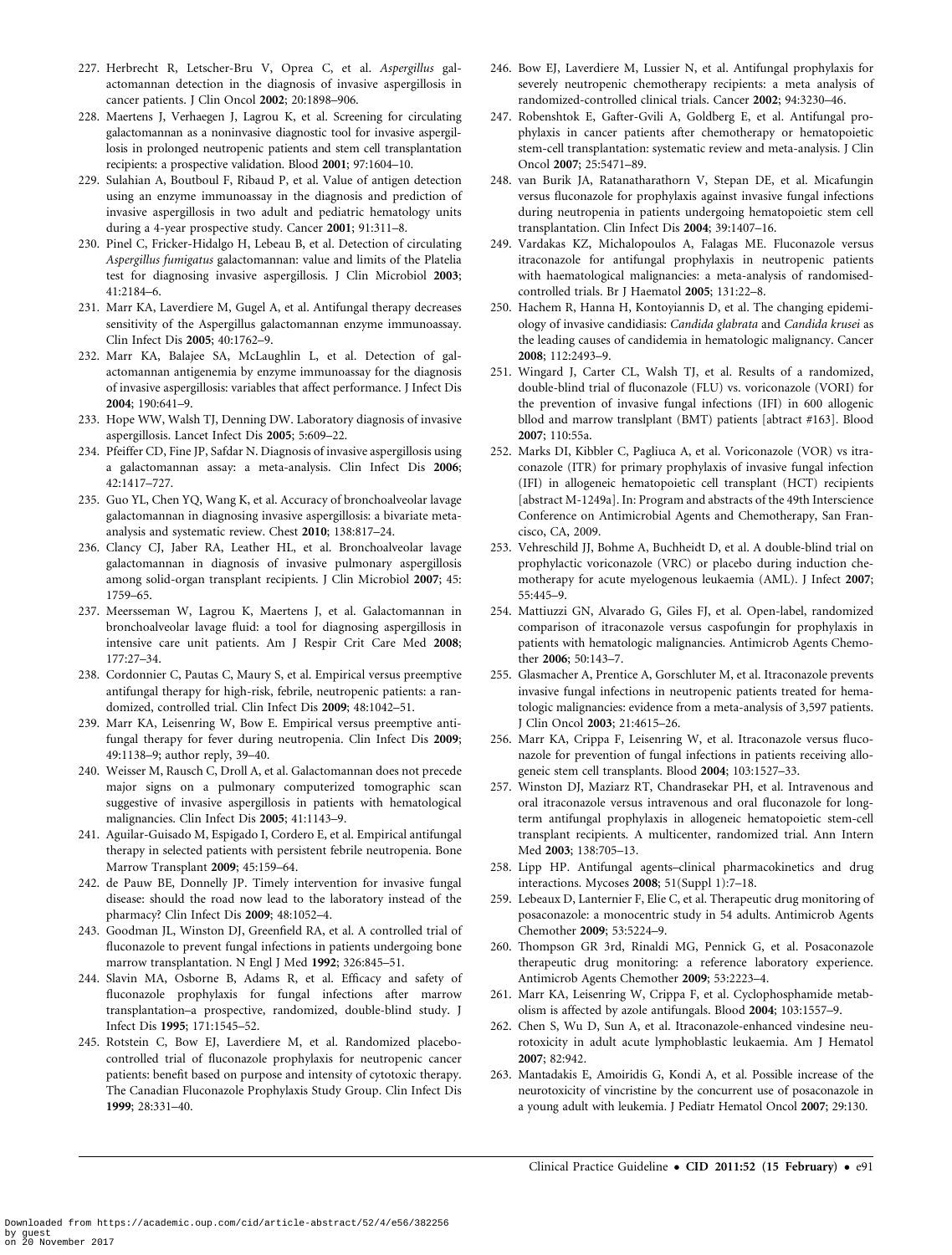- 227. Herbrecht R, Letscher-Bru V, Oprea C, et al. Aspergillus galactomannan detection in the diagnosis of invasive aspergillosis in cancer patients. J Clin Oncol 2002; 20:1898–906.
- 228. Maertens J, Verhaegen J, Lagrou K, et al. Screening for circulating galactomannan as a noninvasive diagnostic tool for invasive aspergillosis in prolonged neutropenic patients and stem cell transplantation recipients: a prospective validation. Blood 2001; 97:1604–10.
- 229. Sulahian A, Boutboul F, Ribaud P, et al. Value of antigen detection using an enzyme immunoassay in the diagnosis and prediction of invasive aspergillosis in two adult and pediatric hematology units during a 4-year prospective study. Cancer 2001; 91:311–8.
- 230. Pinel C, Fricker-Hidalgo H, Lebeau B, et al. Detection of circulating Aspergillus fumigatus galactomannan: value and limits of the Platelia test for diagnosing invasive aspergillosis. J Clin Microbiol 2003; 41:2184–6.
- 231. Marr KA, Laverdiere M, Gugel A, et al. Antifungal therapy decreases sensitivity of the Aspergillus galactomannan enzyme immunoassay. Clin Infect Dis 2005; 40:1762–9.
- 232. Marr KA, Balajee SA, McLaughlin L, et al. Detection of galactomannan antigenemia by enzyme immunoassay for the diagnosis of invasive aspergillosis: variables that affect performance. J Infect Dis 2004; 190:641–9.
- 233. Hope WW, Walsh TJ, Denning DW. Laboratory diagnosis of invasive aspergillosis. Lancet Infect Dis 2005; 5:609–22.
- 234. Pfeiffer CD, Fine JP, Safdar N. Diagnosis of invasive aspergillosis using a galactomannan assay: a meta-analysis. Clin Infect Dis 2006; 42:1417–727.
- 235. Guo YL, Chen YQ, Wang K, et al. Accuracy of bronchoalveolar lavage galactomannan in diagnosing invasive aspergillosis: a bivariate metaanalysis and systematic review. Chest 2010; 138:817–24.
- 236. Clancy CJ, Jaber RA, Leather HL, et al. Bronchoalveolar lavage galactomannan in diagnosis of invasive pulmonary aspergillosis among solid-organ transplant recipients. J Clin Microbiol 2007; 45: 1759–65.
- 237. Meersseman W, Lagrou K, Maertens J, et al. Galactomannan in bronchoalveolar lavage fluid: a tool for diagnosing aspergillosis in intensive care unit patients. Am J Respir Crit Care Med 2008; 177:27–34.
- 238. Cordonnier C, Pautas C, Maury S, et al. Empirical versus preemptive antifungal therapy for high-risk, febrile, neutropenic patients: a randomized, controlled trial. Clin Infect Dis 2009; 48:1042–51.
- 239. Marr KA, Leisenring W, Bow E. Empirical versus preemptive antifungal therapy for fever during neutropenia. Clin Infect Dis 2009; 49:1138–9; author reply, 39–40.
- 240. Weisser M, Rausch C, Droll A, et al. Galactomannan does not precede major signs on a pulmonary computerized tomographic scan suggestive of invasive aspergillosis in patients with hematological malignancies. Clin Infect Dis 2005; 41:1143–9.
- 241. Aguilar-Guisado M, Espigado I, Cordero E, et al. Empirical antifungal therapy in selected patients with persistent febrile neutropenia. Bone Marrow Transplant 2009; 45:159–64.
- 242. de Pauw BE, Donnelly JP. Timely intervention for invasive fungal disease: should the road now lead to the laboratory instead of the pharmacy? Clin Infect Dis 2009; 48:1052–4.
- 243. Goodman JL, Winston DJ, Greenfield RA, et al. A controlled trial of fluconazole to prevent fungal infections in patients undergoing bone marrow transplantation. N Engl J Med 1992; 326:845–51.
- 244. Slavin MA, Osborne B, Adams R, et al. Efficacy and safety of fluconazole prophylaxis for fungal infections after marrow transplantation–a prospective, randomized, double-blind study. J Infect Dis 1995; 171:1545–52.
- 245. Rotstein C, Bow EJ, Laverdiere M, et al. Randomized placebocontrolled trial of fluconazole prophylaxis for neutropenic cancer patients: benefit based on purpose and intensity of cytotoxic therapy. The Canadian Fluconazole Prophylaxis Study Group. Clin Infect Dis 1999; 28:331–40.
- 246. Bow EJ, Laverdiere M, Lussier N, et al. Antifungal prophylaxis for severely neutropenic chemotherapy recipients: a meta analysis of randomized-controlled clinical trials. Cancer 2002; 94:3230–46.
- 247. Robenshtok E, Gafter-Gvili A, Goldberg E, et al. Antifungal prophylaxis in cancer patients after chemotherapy or hematopoietic stem-cell transplantation: systematic review and meta-analysis. J Clin Oncol 2007; 25:5471–89.
- 248. van Burik JA, Ratanatharathorn V, Stepan DE, et al. Micafungin versus fluconazole for prophylaxis against invasive fungal infections during neutropenia in patients undergoing hematopoietic stem cell transplantation. Clin Infect Dis 2004; 39:1407–16.
- 249. Vardakas KZ, Michalopoulos A, Falagas ME. Fluconazole versus itraconazole for antifungal prophylaxis in neutropenic patients with haematological malignancies: a meta-analysis of randomisedcontrolled trials. Br J Haematol 2005; 131:22–8.
- 250. Hachem R, Hanna H, Kontoyiannis D, et al. The changing epidemiology of invasive candidiasis: Candida glabrata and Candida krusei as the leading causes of candidemia in hematologic malignancy. Cancer 2008; 112:2493–9.
- 251. Wingard J, Carter CL, Walsh TJ, et al. Results of a randomized, double-blind trial of fluconazole (FLU) vs. voriconazole (VORI) for the prevention of invasive fungal infections (IFI) in 600 allogenic bllod and marrow translplant (BMT) patients [abtract #163]. Blood 2007; 110:55a.
- 252. Marks DI, Kibbler C, Pagliuca A, et al. Voriconazole (VOR) vs itraconazole (ITR) for primary prophylaxis of invasive fungal infection (IFI) in allogeneic hematopoietic cell transplant (HCT) recipients [abstract M-1249a]. In: Program and abstracts of the 49th Interscience Conference on Antimicrobial Agents and Chemotherapy, San Francisco, CA, 2009.
- 253. Vehreschild JJ, Bohme A, Buchheidt D, et al. A double-blind trial on prophylactic voriconazole (VRC) or placebo during induction chemotherapy for acute myelogenous leukaemia (AML). J Infect 2007; 55:445–9.
- 254. Mattiuzzi GN, Alvarado G, Giles FJ, et al. Open-label, randomized comparison of itraconazole versus caspofungin for prophylaxis in patients with hematologic malignancies. Antimicrob Agents Chemother 2006; 50:143–7.
- 255. Glasmacher A, Prentice A, Gorschluter M, et al. Itraconazole prevents invasive fungal infections in neutropenic patients treated for hematologic malignancies: evidence from a meta-analysis of 3,597 patients. J Clin Oncol 2003; 21:4615–26.
- 256. Marr KA, Crippa F, Leisenring W, et al. Itraconazole versus fluconazole for prevention of fungal infections in patients receiving allogeneic stem cell transplants. Blood 2004; 103:1527–33.
- 257. Winston DJ, Maziarz RT, Chandrasekar PH, et al. Intravenous and oral itraconazole versus intravenous and oral fluconazole for longterm antifungal prophylaxis in allogeneic hematopoietic stem-cell transplant recipients. A multicenter, randomized trial. Ann Intern Med 2003; 138:705–13.
- 258. Lipp HP. Antifungal agents–clinical pharmacokinetics and drug interactions. Mycoses 2008; 51(Suppl 1):7–18.
- 259. Lebeaux D, Lanternier F, Elie C, et al. Therapeutic drug monitoring of posaconazole: a monocentric study in 54 adults. Antimicrob Agents Chemother 2009; 53:5224–9.
- 260. Thompson GR 3rd, Rinaldi MG, Pennick G, et al. Posaconazole therapeutic drug monitoring: a reference laboratory experience. Antimicrob Agents Chemother 2009; 53:2223–4.
- 261. Marr KA, Leisenring W, Crippa F, et al. Cyclophosphamide metabolism is affected by azole antifungals. Blood 2004; 103:1557–9.
- 262. Chen S, Wu D, Sun A, et al. Itraconazole-enhanced vindesine neurotoxicity in adult acute lymphoblastic leukaemia. Am J Hematol 2007; 82:942.
- 263. Mantadakis E, Amoiridis G, Kondi A, et al. Possible increase of the neurotoxicity of vincristine by the concurrent use of posaconazole in a young adult with leukemia. J Pediatr Hematol Oncol 2007; 29:130.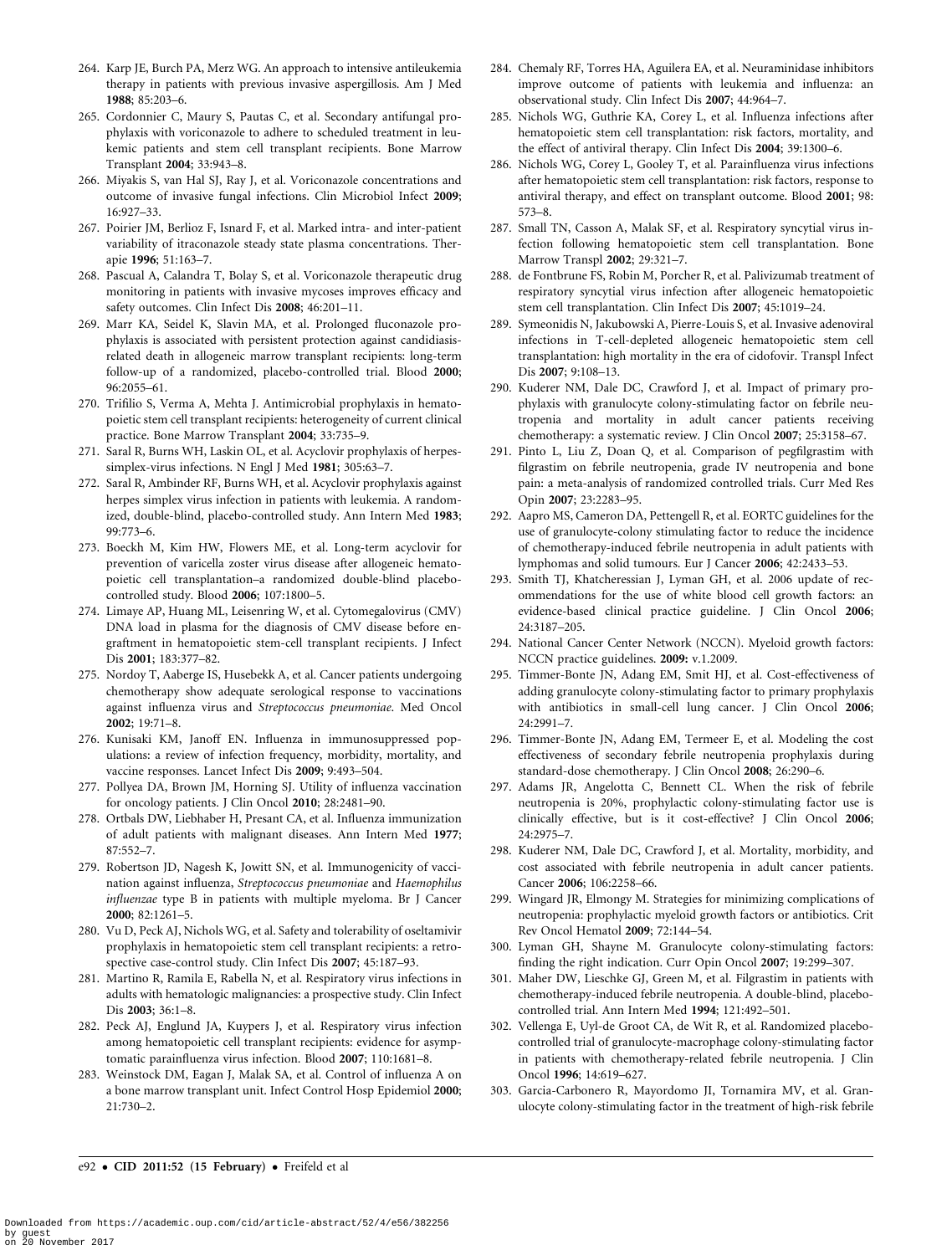- 264. Karp JE, Burch PA, Merz WG. An approach to intensive antileukemia therapy in patients with previous invasive aspergillosis. Am J Med 1988; 85:203–6.
- 265. Cordonnier C, Maury S, Pautas C, et al. Secondary antifungal prophylaxis with voriconazole to adhere to scheduled treatment in leukemic patients and stem cell transplant recipients. Bone Marrow Transplant 2004; 33:943–8.
- 266. Miyakis S, van Hal SJ, Ray J, et al. Voriconazole concentrations and outcome of invasive fungal infections. Clin Microbiol Infect 2009; 16:927–33.
- 267. Poirier JM, Berlioz F, Isnard F, et al. Marked intra- and inter-patient variability of itraconazole steady state plasma concentrations. Therapie 1996; 51:163–7.
- 268. Pascual A, Calandra T, Bolay S, et al. Voriconazole therapeutic drug monitoring in patients with invasive mycoses improves efficacy and safety outcomes. Clin Infect Dis 2008; 46:201–11.
- 269. Marr KA, Seidel K, Slavin MA, et al. Prolonged fluconazole prophylaxis is associated with persistent protection against candidiasisrelated death in allogeneic marrow transplant recipients: long-term follow-up of a randomized, placebo-controlled trial. Blood 2000; 96:2055–61.
- 270. Trifilio S, Verma A, Mehta J. Antimicrobial prophylaxis in hematopoietic stem cell transplant recipients: heterogeneity of current clinical practice. Bone Marrow Transplant 2004; 33:735–9.
- 271. Saral R, Burns WH, Laskin OL, et al. Acyclovir prophylaxis of herpessimplex-virus infections. N Engl J Med 1981; 305:63-7.
- 272. Saral R, Ambinder RF, Burns WH, et al. Acyclovir prophylaxis against herpes simplex virus infection in patients with leukemia. A randomized, double-blind, placebo-controlled study. Ann Intern Med 1983; 99:773–6.
- 273. Boeckh M, Kim HW, Flowers ME, et al. Long-term acyclovir for prevention of varicella zoster virus disease after allogeneic hematopoietic cell transplantation–a randomized double-blind placebocontrolled study. Blood 2006; 107:1800–5.
- 274. Limaye AP, Huang ML, Leisenring W, et al. Cytomegalovirus (CMV) DNA load in plasma for the diagnosis of CMV disease before engraftment in hematopoietic stem-cell transplant recipients. J Infect Dis 2001; 183:377–82.
- 275. Nordoy T, Aaberge IS, Husebekk A, et al. Cancer patients undergoing chemotherapy show adequate serological response to vaccinations against influenza virus and Streptococcus pneumoniae. Med Oncol 2002; 19:71–8.
- 276. Kunisaki KM, Janoff EN. Influenza in immunosuppressed populations: a review of infection frequency, morbidity, mortality, and vaccine responses. Lancet Infect Dis 2009; 9:493–504.
- 277. Pollyea DA, Brown JM, Horning SJ. Utility of influenza vaccination for oncology patients. J Clin Oncol 2010; 28:2481–90.
- 278. Ortbals DW, Liebhaber H, Presant CA, et al. Influenza immunization of adult patients with malignant diseases. Ann Intern Med 1977; 87:552–7.
- 279. Robertson JD, Nagesh K, Jowitt SN, et al. Immunogenicity of vaccination against influenza, Streptococcus pneumoniae and Haemophilus influenzae type B in patients with multiple myeloma. Br J Cancer 2000; 82:1261–5.
- 280. Vu D, Peck AJ, Nichols WG, et al. Safety and tolerability of oseltamivir prophylaxis in hematopoietic stem cell transplant recipients: a retrospective case-control study. Clin Infect Dis 2007; 45:187–93.
- 281. Martino R, Ramila E, Rabella N, et al. Respiratory virus infections in adults with hematologic malignancies: a prospective study. Clin Infect Dis 2003; 36:1–8.
- 282. Peck AJ, Englund JA, Kuypers J, et al. Respiratory virus infection among hematopoietic cell transplant recipients: evidence for asymptomatic parainfluenza virus infection. Blood 2007; 110:1681–8.
- 283. Weinstock DM, Eagan J, Malak SA, et al. Control of influenza A on a bone marrow transplant unit. Infect Control Hosp Epidemiol 2000; 21:730–2.
- 284. Chemaly RF, Torres HA, Aguilera EA, et al. Neuraminidase inhibitors improve outcome of patients with leukemia and influenza: an observational study. Clin Infect Dis 2007; 44:964–7.
- 285. Nichols WG, Guthrie KA, Corey L, et al. Influenza infections after hematopoietic stem cell transplantation: risk factors, mortality, and the effect of antiviral therapy. Clin Infect Dis 2004; 39:1300–6.
- 286. Nichols WG, Corey L, Gooley T, et al. Parainfluenza virus infections after hematopoietic stem cell transplantation: risk factors, response to antiviral therapy, and effect on transplant outcome. Blood 2001; 98: 573–8.
- 287. Small TN, Casson A, Malak SF, et al. Respiratory syncytial virus infection following hematopoietic stem cell transplantation. Bone Marrow Transpl 2002; 29:321–7.
- 288. de Fontbrune FS, Robin M, Porcher R, et al. Palivizumab treatment of respiratory syncytial virus infection after allogeneic hematopoietic stem cell transplantation. Clin Infect Dis 2007; 45:1019–24.
- 289. Symeonidis N, Jakubowski A, Pierre-Louis S, et al. Invasive adenoviral infections in T-cell-depleted allogeneic hematopoietic stem cell transplantation: high mortality in the era of cidofovir. Transpl Infect Dis 2007; 9:108–13.
- 290. Kuderer NM, Dale DC, Crawford J, et al. Impact of primary prophylaxis with granulocyte colony-stimulating factor on febrile neutropenia and mortality in adult cancer patients receiving chemotherapy: a systematic review. J Clin Oncol 2007; 25:3158–67.
- 291. Pinto L, Liu Z, Doan Q, et al. Comparison of pegfilgrastim with filgrastim on febrile neutropenia, grade IV neutropenia and bone pain: a meta-analysis of randomized controlled trials. Curr Med Res Opin 2007; 23:2283–95.
- 292. Aapro MS, Cameron DA, Pettengell R, et al. EORTC guidelines for the use of granulocyte-colony stimulating factor to reduce the incidence of chemotherapy-induced febrile neutropenia in adult patients with lymphomas and solid tumours. Eur J Cancer 2006; 42:2433–53.
- 293. Smith TJ, Khatcheressian J, Lyman GH, et al. 2006 update of recommendations for the use of white blood cell growth factors: an evidence-based clinical practice guideline. J Clin Oncol 2006; 24:3187–205.
- 294. National Cancer Center Network (NCCN). Myeloid growth factors: NCCN practice guidelines. 2009: v.1.2009.
- 295. Timmer-Bonte JN, Adang EM, Smit HJ, et al. Cost-effectiveness of adding granulocyte colony-stimulating factor to primary prophylaxis with antibiotics in small-cell lung cancer. J Clin Oncol 2006; 24:2991–7.
- 296. Timmer-Bonte JN, Adang EM, Termeer E, et al. Modeling the cost effectiveness of secondary febrile neutropenia prophylaxis during standard-dose chemotherapy. J Clin Oncol 2008; 26:290–6.
- 297. Adams JR, Angelotta C, Bennett CL. When the risk of febrile neutropenia is 20%, prophylactic colony-stimulating factor use is clinically effective, but is it cost-effective? J Clin Oncol 2006; 24:2975–7.
- 298. Kuderer NM, Dale DC, Crawford J, et al. Mortality, morbidity, and cost associated with febrile neutropenia in adult cancer patients. Cancer 2006; 106:2258–66.
- 299. Wingard JR, Elmongy M. Strategies for minimizing complications of neutropenia: prophylactic myeloid growth factors or antibiotics. Crit Rev Oncol Hematol 2009; 72:144–54.
- 300. Lyman GH, Shayne M. Granulocyte colony-stimulating factors: finding the right indication. Curr Opin Oncol 2007; 19:299–307.
- 301. Maher DW, Lieschke GJ, Green M, et al. Filgrastim in patients with chemotherapy-induced febrile neutropenia. A double-blind, placebocontrolled trial. Ann Intern Med 1994; 121:492–501.
- 302. Vellenga E, Uyl-de Groot CA, de Wit R, et al. Randomized placebocontrolled trial of granulocyte-macrophage colony-stimulating factor in patients with chemotherapy-related febrile neutropenia. J Clin Oncol 1996; 14:619–627.
- 303. Garcia-Carbonero R, Mayordomo JI, Tornamira MV, et al. Granulocyte colony-stimulating factor in the treatment of high-risk febrile

e92 · CID 2011:52 (15 February) · Freifeld et al